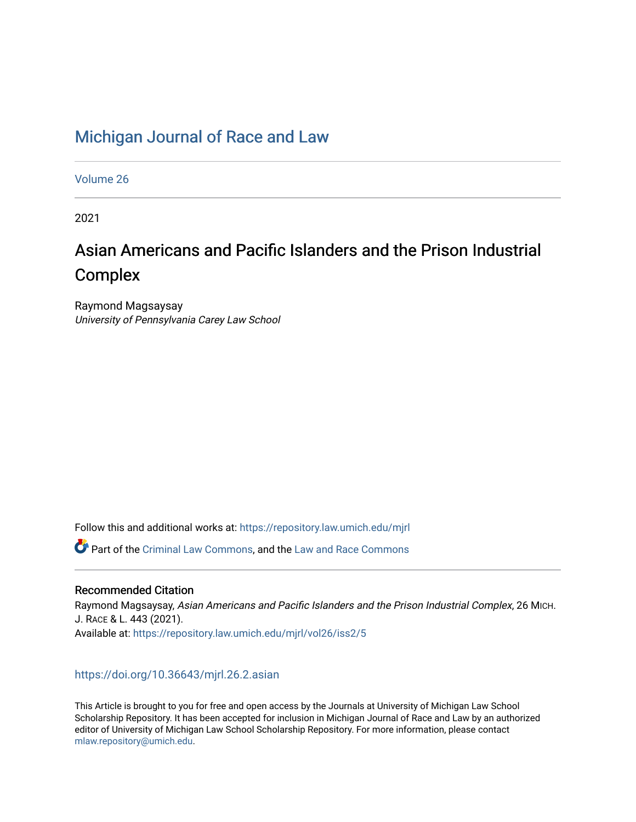## [Michigan Journal of Race and Law](https://repository.law.umich.edu/mjrl)

[Volume 26](https://repository.law.umich.edu/mjrl/vol26)

2021

# Asian Americans and Pacific Islanders and the Prison Industrial **Complex**

Raymond Magsaysay University of Pennsylvania Carey Law School

Follow this and additional works at: [https://repository.law.umich.edu/mjrl](https://repository.law.umich.edu/mjrl?utm_source=repository.law.umich.edu%2Fmjrl%2Fvol26%2Fiss2%2F5&utm_medium=PDF&utm_campaign=PDFCoverPages) 

Part of the [Criminal Law Commons,](http://network.bepress.com/hgg/discipline/912?utm_source=repository.law.umich.edu%2Fmjrl%2Fvol26%2Fiss2%2F5&utm_medium=PDF&utm_campaign=PDFCoverPages) and the [Law and Race Commons](http://network.bepress.com/hgg/discipline/1300?utm_source=repository.law.umich.edu%2Fmjrl%2Fvol26%2Fiss2%2F5&utm_medium=PDF&utm_campaign=PDFCoverPages)

## Recommended Citation

Raymond Magsaysay, Asian Americans and Pacific Islanders and the Prison Industrial Complex, 26 MICH. J. RACE & L. 443 (2021). Available at: [https://repository.law.umich.edu/mjrl/vol26/iss2/5](https://repository.law.umich.edu/mjrl/vol26/iss2/5?utm_source=repository.law.umich.edu%2Fmjrl%2Fvol26%2Fiss2%2F5&utm_medium=PDF&utm_campaign=PDFCoverPages) 

## <https://doi.org/10.36643/mjrl.26.2.asian>

This Article is brought to you for free and open access by the Journals at University of Michigan Law School Scholarship Repository. It has been accepted for inclusion in Michigan Journal of Race and Law by an authorized editor of University of Michigan Law School Scholarship Repository. For more information, please contact [mlaw.repository@umich.edu.](mailto:mlaw.repository@umich.edu)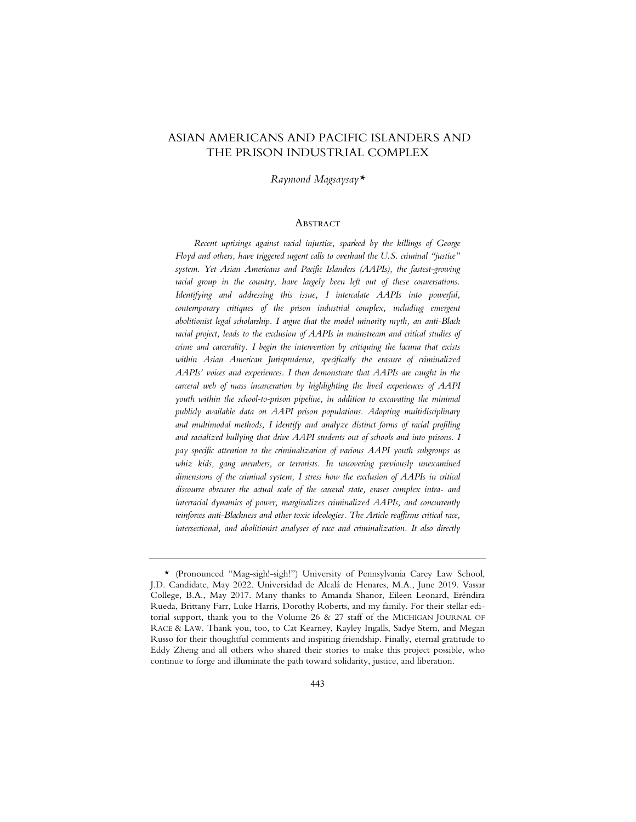## ASIAN AMERICANS AND PACIFIC ISLANDERS AND THE PRISON INDUSTRIAL COMPLEX

*Raymond Magsaysay\**

#### **ABSTRACT**

*Recent uprisings against racial injustice, sparked by the killings of George Floyd and others, have triggered urgent calls to overhaul the U.S. criminal "justice" system. Yet Asian Americans and Pacific Islanders (AAPIs), the fastest-growing* racial group in the country, have largely been left out of these conversations. *Identifying and addressing this issue, I intercalate AAPIs into powerful,*  contemporary critiques of the prison industrial complex, including emergent *abolitionist legal scholarship. I argue that the model minority myth, an anti-Black racial project, leads to the exclusion of AAPIs in mainstream and critical studies of crime and carcerality. I begin the intervention by critiquing the lacuna that exists within Asian American Jurisprudence, specifically the erasure of criminalized AAPIs' voices and experiences. I then demonstrate that AAPIs are caught in the carceral web of mass incarceration by highlighting the lived experiences of AAPI youth within the school-to-prison pipeline, in addition to excavating the minimal publicly available data on AAPI prison populations. Adopting multidisciplinary and multimodal methods, I identify and analyze distinct forms of racial profiling and racialized bullying that drive AAPI students out of schools and into prisons. I pay specific attention to the criminalization of various AAPI youth subgroups as whiz kids, gang members, or terrorists. In uncovering previously unexamined dimensions of the criminal system, I stress how the exclusion of AAPIs in critical discourse obscures the actual scale of the carceral state, erases complex intra- and interracial dynamics of power, marginalizes criminalized AAPIs, and concurrently reinforces anti-Blackness and other toxic ideologies. The Article reaffirms critical race, intersectional, and abolitionist analyses of race and criminalization. It also directly* 

<sup>\* (</sup>Pronounced "Mag-sigh!-sigh!") University of Pennsylvania Carey Law School, J.D. Candidate, May 2022. Universidad de Alcalá de Henares, M.A., June 2019. Vassar College, B.A., May 2017. Many thanks to Amanda Shanor, Eileen Leonard, Eréndira Rueda, Brittany Farr, Luke Harris, Dorothy Roberts, and my family. For their stellar editorial support, thank you to the Volume 26 & 27 staff of the MICHIGAN JOURNAL OF RACE & LAW. Thank you, too, to Cat Kearney, Kayley Ingalls, Sadye Stern, and Megan Russo for their thoughtful comments and inspiring friendship. Finally, eternal gratitude to Eddy Zheng and all others who shared their stories to make this project possible, who continue to forge and illuminate the path toward solidarity, justice, and liberation.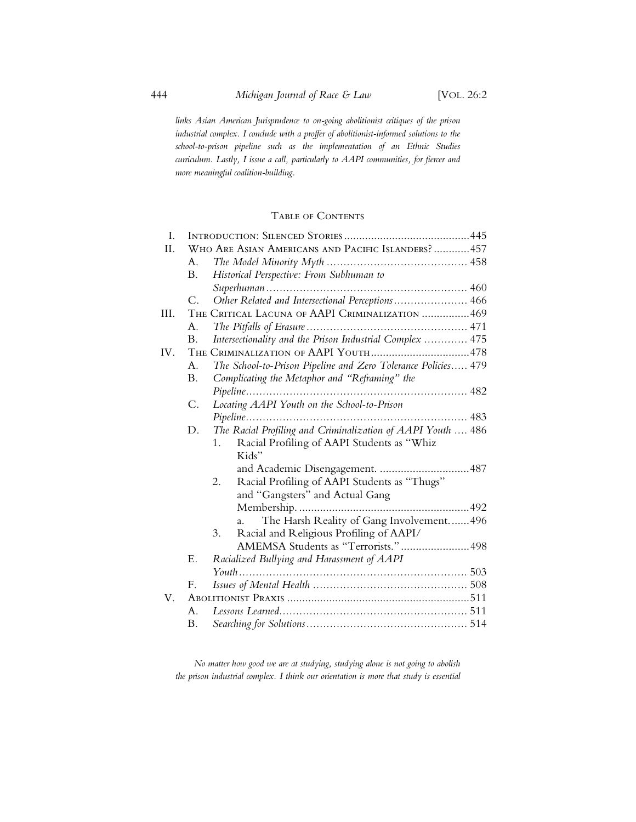*links Asian American Jurisprudence to on-going abolitionist critiques of the prison industrial complex. I conclude with a proffer of abolitionist-informed solutions to the school-to-prison pipeline such as the implementation of an Ethnic Studies curriculum. Lastly, I issue a call, particularly to AAPI communities, for fiercer and more meaningful coalition-building.*

### Table of Contents

| I.   |                                                 |                                                               |  |
|------|-------------------------------------------------|---------------------------------------------------------------|--|
| II.  |                                                 | WHO ARE ASIAN AMERICANS AND PACIFIC ISLANDERS?457             |  |
|      | A.                                              |                                                               |  |
|      | Β.                                              | Historical Perspective: From Subhuman to                      |  |
|      |                                                 |                                                               |  |
|      | $\mathcal{C}$ .                                 | Other Related and Intersectional Perceptions 466              |  |
| III. | THE CRITICAL LACUNA OF AAPI CRIMINALIZATION 469 |                                                               |  |
|      | A <sub>1</sub>                                  |                                                               |  |
|      | <b>B.</b>                                       | Intersectionality and the Prison Industrial Complex  475      |  |
| IV.  |                                                 |                                                               |  |
|      | A <sub>1</sub>                                  | The School-to-Prison Pipeline and Zero Tolerance Policies 479 |  |
|      | <b>B.</b>                                       | Complicating the Metaphor and "Reframing" the                 |  |
|      |                                                 |                                                               |  |
|      | $\mathsf{C}.$                                   | Locating AAPI Youth on the School-to-Prison                   |  |
|      |                                                 |                                                               |  |
|      | D.                                              | The Racial Profiling and Criminalization of AAPI Youth  486   |  |
|      |                                                 | Racial Profiling of AAPI Students as "Whiz<br>1 <sup>1</sup>  |  |
|      |                                                 | Kids"                                                         |  |
|      |                                                 | and Academic Disengagement. 487                               |  |
|      |                                                 | Racial Profiling of AAPI Students as "Thugs"<br>2.            |  |
|      |                                                 | and "Gangsters" and Actual Gang                               |  |
|      |                                                 |                                                               |  |
|      |                                                 | The Harsh Reality of Gang Involvement496<br>a.                |  |
|      |                                                 | 3.<br>Racial and Religious Profiling of AAPI/                 |  |
|      |                                                 | AMEMSA Students as "Terrorists."498                           |  |
|      | Ε.                                              | Racialized Bullying and Harassment of AAPI                    |  |
|      |                                                 |                                                               |  |
|      | F.                                              |                                                               |  |
| V.   |                                                 |                                                               |  |
|      | Α.                                              |                                                               |  |
|      | Β.                                              |                                                               |  |
|      |                                                 |                                                               |  |

*No matter how good we are at studying, studying alone is not going to abolish the prison industrial complex. I think our orientation is more that study is essential*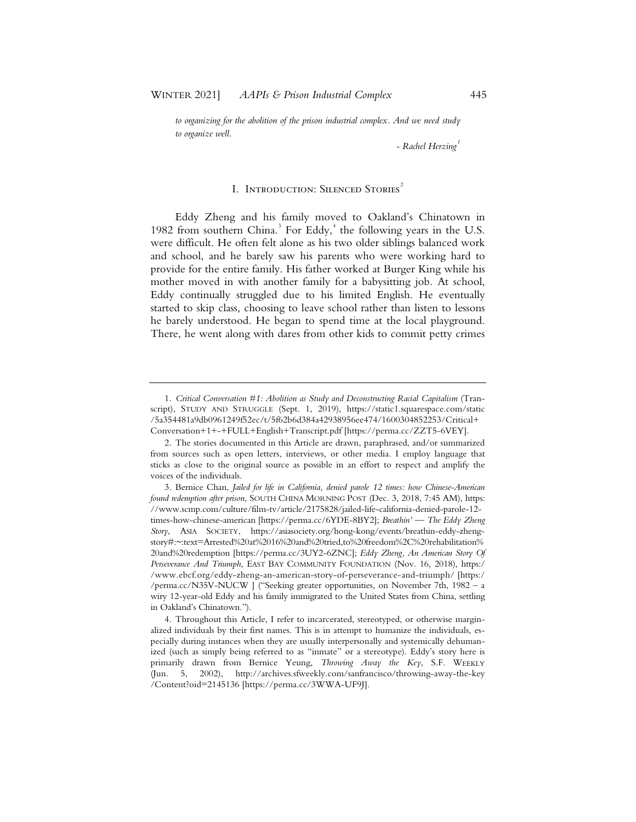*to organizing for the abolition of the prison industrial complex. And we need study to organize well.*

*- Rachel Herzing<sup>1</sup>*

#### I. INTRODUCTION: SILENCED STORIES<sup>2</sup>

Eddy Zheng and his family moved to Oakland's Chinatown in 1982 from southern China.<sup>3</sup> For Eddy,<sup>4</sup> the following years in the U.S. were difficult. He often felt alone as his two older siblings balanced work and school, and he barely saw his parents who were working hard to provide for the entire family. His father worked at Burger King while his mother moved in with another family for a babysitting job. At school, Eddy continually struggled due to his limited English. He eventually started to skip class, choosing to leave school rather than listen to lessons he barely understood. He began to spend time at the local playground. There, he went along with dares from other kids to commit petty crimes

<sup>1.</sup> *Critical Conversation #1: Abolition as Study and Deconstructing Racial Capitalism* (Transcript), STUDY AND STRUGGLE (Sept. 1, 2019), https://static1.squarespace.com/static /5a354481a9db0961249f52ec/t/5f62b6d384a42938956ee474/1600304852253/Critical+ Conversation+1+-+FULL+English+Transcript.pdf [https://perma.cc/ZZT5-6VEY].

<sup>2.</sup> The stories documented in this Article are drawn, paraphrased, and/or summarized from sources such as open letters, interviews, or other media. I employ language that sticks as close to the original source as possible in an effort to respect and amplify the voices of the individuals.

<sup>3.</sup> Bernice Chan, *Jailed for life in California, denied parole 12 times: how Chinese-American found redemption after prison*, SOUTH CHINA MORNING POST (Dec. 3, 2018, 7:45 AM), https: //www.scmp.com/culture/film-tv/article/2175828/jailed-life-california-denied-parole-12 times-how-chinese-american [https://perma.cc/6YDE-8BY2]; *Breathin'* — *The Eddy Zheng Story*, ASIA SOCIETY, https://asiasociety.org/hong-kong/events/breathin-eddy-zhengstory#:~:text=Arrested%20at%2016%20and%20tried,to%20freedom%2C%20rehabilitation% 20and%20redemption [https://perma.cc/3UY2-6ZNC]; *Eddy Zheng, An American Story Of Perseverance And Triumph*, EAST BAY COMMUNITY FOUNDATION (Nov. 16, 2018), https:/ /www.ebcf.org/eddy-zheng-an-american-story-of-perseverance-and-triumph/ [https:/ /perma.cc/N35V-NUCW ] ("Seeking greater opportunities, on November 7th, 1982 – a wiry 12-year-old Eddy and his family immigrated to the United States from China, settling in Oakland's Chinatown.").

<sup>4.</sup> Throughout this Article, I refer to incarcerated, stereotyped, or otherwise marginalized individuals by their first names. This is in attempt to humanize the individuals, especially during instances when they are usually interpersonally and systemically dehumanized (such as simply being referred to as "inmate" or a stereotype). Eddy's story here is primarily drawn from Bernice Yeung, *Throwing Away the Key*, S.F. WEEKLY (Jun. 5, 2002), http://archives.sfweekly.com/sanfrancisco/throwing-away-the-key /Content?oid=2145136 [https://perma.cc/3WWA-UF9J].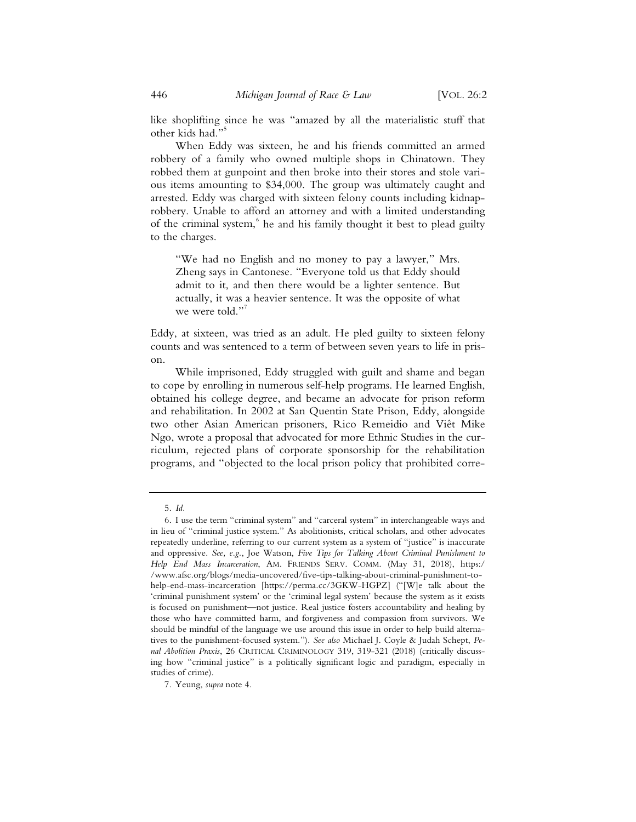like shoplifting since he was "amazed by all the materialistic stuff that other kids had."<sup>5</sup>

When Eddy was sixteen, he and his friends committed an armed robbery of a family who owned multiple shops in Chinatown. They robbed them at gunpoint and then broke into their stores and stole various items amounting to \$34,000. The group was ultimately caught and arrested. Eddy was charged with sixteen felony counts including kidnaprobbery. Unable to afford an attorney and with a limited understanding of the criminal system, <sup>6</sup> he and his family thought it best to plead guilty to the charges.

"We had no English and no money to pay a lawyer," Mrs. Zheng says in Cantonese. "Everyone told us that Eddy should admit to it, and then there would be a lighter sentence. But actually, it was a heavier sentence. It was the opposite of what we were told."<sup>7</sup>

Eddy, at sixteen, was tried as an adult. He pled guilty to sixteen felony counts and was sentenced to a term of between seven years to life in prison.

While imprisoned, Eddy struggled with guilt and shame and began to cope by enrolling in numerous self-help programs. He learned English, obtained his college degree, and became an advocate for prison reform and rehabilitation. In 2002 at San Quentin State Prison, Eddy, alongside two other Asian American prisoners, Rico Remeidio and Viêt Mike Ngo, wrote a proposal that advocated for more Ethnic Studies in the curriculum, rejected plans of corporate sponsorship for the rehabilitation programs, and "objected to the local prison policy that prohibited corre-

<sup>5.</sup> *Id.*

<sup>6.</sup> I use the term "criminal system" and "carceral system" in interchangeable ways and in lieu of "criminal justice system." As abolitionists, critical scholars, and other advocates repeatedly underline, referring to our current system as a system of "justice" is inaccurate and oppressive. *See, e.g.*, Joe Watson, *Five Tips for Talking About Criminal Punishment to Help End Mass Incarceration*, AM. FRIENDS SERV. COMM. (May 31, 2018), https:/ /www.afsc.org/blogs/media-uncovered/five-tips-talking-about-criminal-punishment-tohelp-end-mass-incarceration [https://perma.cc/3GKW-HGPZ] ("[W]e talk about the 'criminal punishment system' or the 'criminal legal system' because the system as it exists is focused on punishment—not justice. Real justice fosters accountability and healing by those who have committed harm, and forgiveness and compassion from survivors. We should be mindful of the language we use around this issue in order to help build alternatives to the punishment-focused system."). *See also* Michael J. Coyle & Judah Schept, *Penal Abolition Praxis*, 26 CRITICAL CRIMINOLOGY 319, 319-321 (2018) (critically discussing how "criminal justice" is a politically significant logic and paradigm, especially in studies of crime).

<sup>7.</sup> Yeung, *supra* note 4.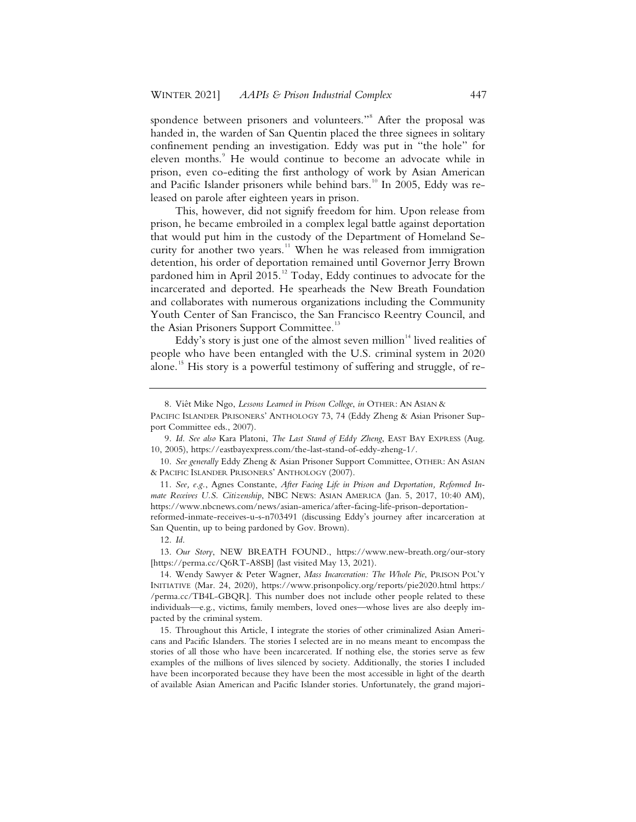spondence between prisoners and volunteers."<sup>8</sup> After the proposal was handed in, the warden of San Quentin placed the three signees in solitary confinement pending an investigation. Eddy was put in "the hole" for eleven months.<sup>9</sup> He would continue to become an advocate while in prison, even co-editing the first anthology of work by Asian American and Pacific Islander prisoners while behind bars.<sup>10</sup> In 2005, Eddy was released on parole after eighteen years in prison.

This, however, did not signify freedom for him. Upon release from prison, he became embroiled in a complex legal battle against deportation that would put him in the custody of the Department of Homeland Security for another two years.<sup>11</sup> When he was released from immigration detention, his order of deportation remained until Governor Jerry Brown pardoned him in April 2015.<sup>12</sup> Today, Eddy continues to advocate for the incarcerated and deported. He spearheads the New Breath Foundation and collaborates with numerous organizations including the Community Youth Center of San Francisco, the San Francisco Reentry Council, and the Asian Prisoners Support Committee.<sup>13</sup>

Eddy's story is just one of the almost seven million $14$  lived realities of people who have been entangled with the U.S. criminal system in 2020 alone.<sup>15</sup> His story is a powerful testimony of suffering and struggle, of re-

<sup>8.</sup> Viêt Mike Ngo, *Lessons Learned in Prison College*, *in* OTHER: AN ASIAN &

PACIFIC ISLANDER PRISONERS' ANTHOLOGY 73, 74 (Eddy Zheng & Asian Prisoner Support Committee eds., 2007).

<sup>9.</sup> *Id*. *See also* Kara Platoni, *The Last Stand of Eddy Zheng*, EAST BAY EXPRESS (Aug. 10, 2005), https://eastbayexpress.com/the-last-stand-of-eddy-zheng-1/.

<sup>10.</sup> *See generally* Eddy Zheng & Asian Prisoner Support Committee, OTHER: AN ASIAN & PACIFIC ISLANDER PRISONERS' ANTHOLOGY (2007).

<sup>11.</sup> *See, e.g.*, Agnes Constante, *After Facing Life in Prison and Deportation, Reformed Inmate Receives U.S. Citizenship*, NBC NEWS: ASIAN AMERICA (Jan. 5, 2017, 10:40 AM), https://www.nbcnews.com/news/asian-america/after-facing-life-prison-deportationreformed-inmate-receives-u-s-n703491 (discussing Eddy's journey after incarceration at

San Quentin, up to being pardoned by Gov. Brown).

<sup>12.</sup> *Id*.

<sup>13.</sup> *Our Story*, NEW BREATH FOUND., https://www.new-breath.org/our-story [https://perma.cc/Q6RT-A8SB] (last visited May 13, 2021).

<sup>14.</sup> Wendy Sawyer & Peter Wagner, *Mass Incarceration: The Whole Pie*, PRISON POL'Y INITIATIVE (Mar. 24, 2020), https://www.prisonpolicy.org/reports/pie2020.html https:/ /perma.cc/TB4L-GBQR]. This number does not include other people related to these individuals—e.g., victims, family members, loved ones—whose lives are also deeply impacted by the criminal system.

<sup>15.</sup> Throughout this Article, I integrate the stories of other criminalized Asian Americans and Pacific Islanders. The stories I selected are in no means meant to encompass the stories of all those who have been incarcerated. If nothing else, the stories serve as few examples of the millions of lives silenced by society. Additionally, the stories I included have been incorporated because they have been the most accessible in light of the dearth of available Asian American and Pacific Islander stories. Unfortunately, the grand majori-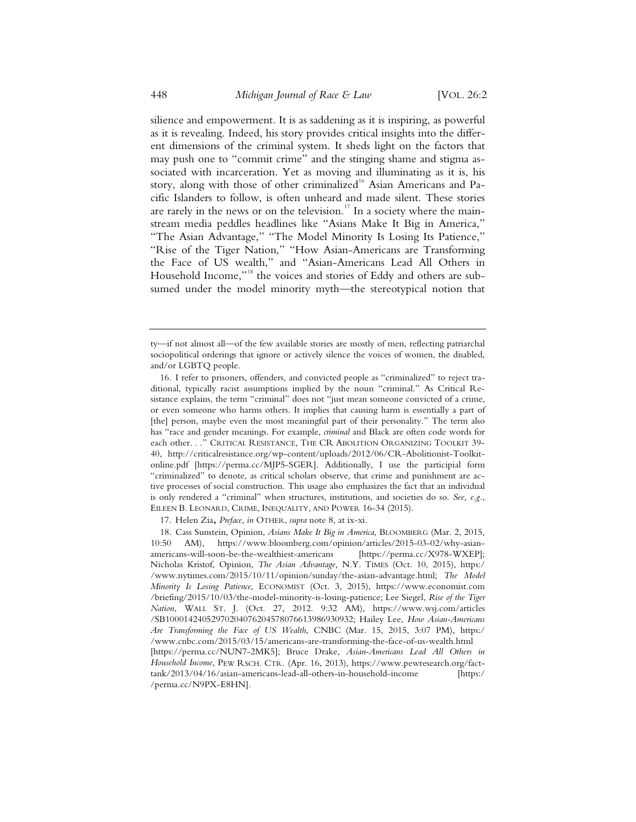silience and empowerment. It is as saddening as it is inspiring, as powerful as it is revealing. Indeed, his story provides critical insights into the different dimensions of the criminal system. It sheds light on the factors that may push one to "commit crime" and the stinging shame and stigma associated with incarceration. Yet as moving and illuminating as it is, his story, along with those of other criminalized<sup>16</sup> Asian Americans and Pacific Islanders to follow, is often unheard and made silent. These stories are rarely in the news or on the television.<sup>17</sup> In a society where the mainstream media peddles headlines like "Asians Make It Big in America," "The Asian Advantage," "The Model Minority Is Losing Its Patience," "Rise of the Tiger Nation," "How Asian-Americans are Transforming the Face of US wealth," and "Asian-Americans Lead All Others in Household Income,"<sup>18</sup> the voices and stories of Eddy and others are subsumed under the model minority myth—the stereotypical notion that

17. Helen Zia**,** *Preface*, *in* OTHER, *supra* note 8, at ix-xi.

18. Cass Sunstein, Opinion, *Asians Make It Big in America*, BLOOMBERG (Mar. 2, 2015, 10:50 AM), https://www.bloomberg.com/opinion/articles/2015-03-02/why-asianamericans-will-soon-be-the-wealthiest-americans [https://perma.cc/X978-WXEP]; Nicholas Kristof, Opinion, *The Asian Advantage*, N.Y. TIMES (Oct. 10, 2015), https:/ /www.nytimes.com/2015/10/11/opinion/sunday/the-asian-advantage.html; *The Model Minority Is Losing Patience*, ECONOMIST (Oct. 3, 2015), https://www.economist.com /briefing/2015/10/03/the-model-minority-is-losing-patience; Lee Siegel, *Rise of the Tiger Nation*, WALL ST. J. (Oct. 27, 2012. 9:32 AM), https://www.wsj.com/articles /SB10001424052970204076204578076613986930932; Hailey Lee, *How Asian-Americans Are Transforming the Face of US Wealth*, CNBC (Mar. 15, 2015, 3:07 PM), https:/ /www.cnbc.com/2015/03/15/americans-are-transforming-the-face-of-us-wealth.html [https://perma.cc/NUN7-2MK5]; Bruce Drake, *Asian-Americans Lead All Others in Household Income*, PEW RSCH. CTR. (Apr. 16, 2013), https://www.pewresearch.org/facttank/2013/04/16/asian-americans-lead-all-others-in-household-income [https:/

ty—if not almost all—of the few available stories are mostly of men, reflecting patriarchal sociopolitical orderings that ignore or actively silence the voices of women, the disabled, and/or LGBTQ people.

<sup>16.</sup> I refer to prisoners, offenders, and convicted people as "criminalized" to reject traditional, typically racist assumptions implied by the noun "criminal." As Critical Resistance explains, the term "criminal" does not "just mean someone convicted of a crime, or even someone who harms others. It implies that causing harm is essentially a part of [the] person, maybe even the most meaningful part of their personality." The term also has "race and gender meanings. For example, *criminal* and Black are often code words for each other. . ." CRITICAL RESISTANCE, THE CR ABOLITION ORGANIZING TOOLKIT 39- 40, http://criticalresistance.org/wp-content/uploads/2012/06/CR-Abolitionist-Toolkitonline.pdf [https://perma.cc/MJP5-SGER]. Additionally, I use the participial form "criminalized" to denote, as critical scholars observe, that crime and punishment are active processes of social construction. This usage also emphasizes the fact that an individual is only rendered a "criminal" when structures, institutions, and societies do so. *See, e.g.*, EILEEN B. LEONARD, CRIME, INEQUALITY, AND POWER 16-34 (2015).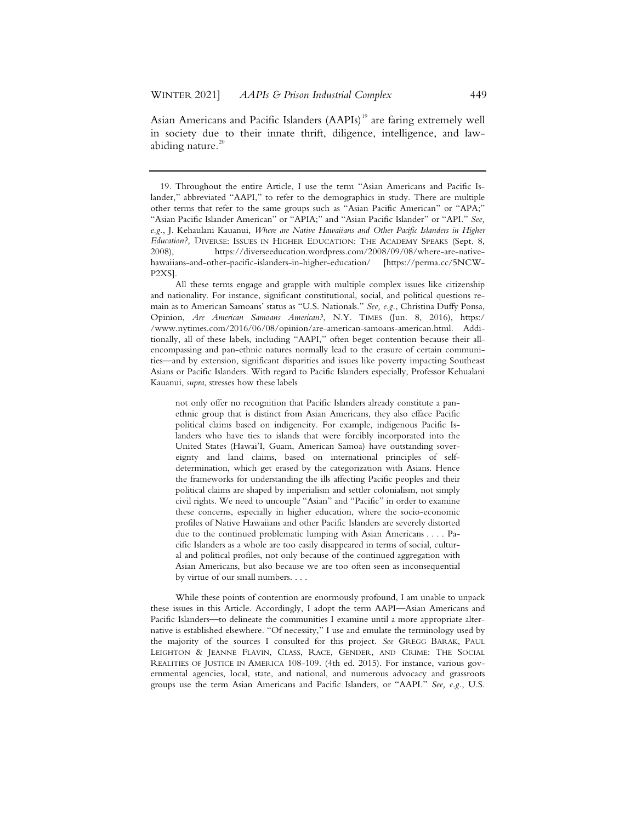Asian Americans and Pacific Islanders (AAPIs)<sup>19</sup> are faring extremely well in society due to their innate thrift, diligence, intelligence, and lawabiding nature. $20$ 

All these terms engage and grapple with multiple complex issues like citizenship and nationality. For instance, significant constitutional, social, and political questions remain as to American Samoans' status as "U.S. Nationals." *See, e.g.*, Christina Duffy Ponsa, Opinion, *Are American Samoans American?*, N.Y. TIMES (Jun. 8, 2016), https:/ /www.nytimes.com/2016/06/08/opinion/are-american-samoans-american.html. Additionally, all of these labels, including "AAPI," often beget contention because their allencompassing and pan-ethnic natures normally lead to the erasure of certain communities—and by extension, significant disparities and issues like poverty impacting Southeast Asians or Pacific Islanders. With regard to Pacific Islanders especially, Professor Kehualani Kauanui, *supra*, stresses how these labels

not only offer no recognition that Pacific Islanders already constitute a panethnic group that is distinct from Asian Americans, they also efface Pacific political claims based on indigeneity. For example, indigenous Pacific Islanders who have ties to islands that were forcibly incorporated into the United States (Hawai'I, Guam, American Samoa) have outstanding sovereignty and land claims, based on international principles of selfdetermination, which get erased by the categorization with Asians. Hence the frameworks for understanding the ills affecting Pacific peoples and their political claims are shaped by imperialism and settler colonialism, not simply civil rights. We need to uncouple "Asian" and "Pacific" in order to examine these concerns, especially in higher education, where the socio-economic profiles of Native Hawaiians and other Pacific Islanders are severely distorted due to the continued problematic lumping with Asian Americans . . . . Pacific Islanders as a whole are too easily disappeared in terms of social, cultural and political profiles, not only because of the continued aggregation with Asian Americans, but also because we are too often seen as inconsequential by virtue of our small numbers. . . .

While these points of contention are enormously profound, I am unable to unpack these issues in this Article. Accordingly, I adopt the term AAPI—Asian Americans and Pacific Islanders—to delineate the communities I examine until a more appropriate alternative is established elsewhere. "Of necessity," I use and emulate the terminology used by the majority of the sources I consulted for this project. *See* GREGG BARAK, PAUL LEIGHTON & JEANNE FLAVIN, CLASS, RACE, GENDER, AND CRIME: THE SOCIAL REALITIES OF JUSTICE IN AMERICA 108-109. (4th ed. 2015). For instance, various governmental agencies, local, state, and national, and numerous advocacy and grassroots groups use the term Asian Americans and Pacific Islanders, or "AAPI." *See, e.g.*, U.S.

<sup>19.</sup> Throughout the entire Article, I use the term "Asian Americans and Pacific Islander," abbreviated "AAPI," to refer to the demographics in study. There are multiple other terms that refer to the same groups such as "Asian Pacific American" or "APA;" "Asian Pacific Islander American" or "APIA;" and "Asian Pacific Islander" or "API." *See, e.g.*, J. Kehaulani Kauanui, *Where are Native Hawaiians and Other Pacific Islanders in Higher Education?,* DIVERSE: ISSUES IN HIGHER EDUCATION: THE ACADEMY SPEAKS (Sept. 8, 2008), https://diverseeducation.wordpress.com/2008/09/08/where-are-nativehawaiians-and-other-pacific-islanders-in-higher-education/ [https://perma.cc/5NCW-P2XS].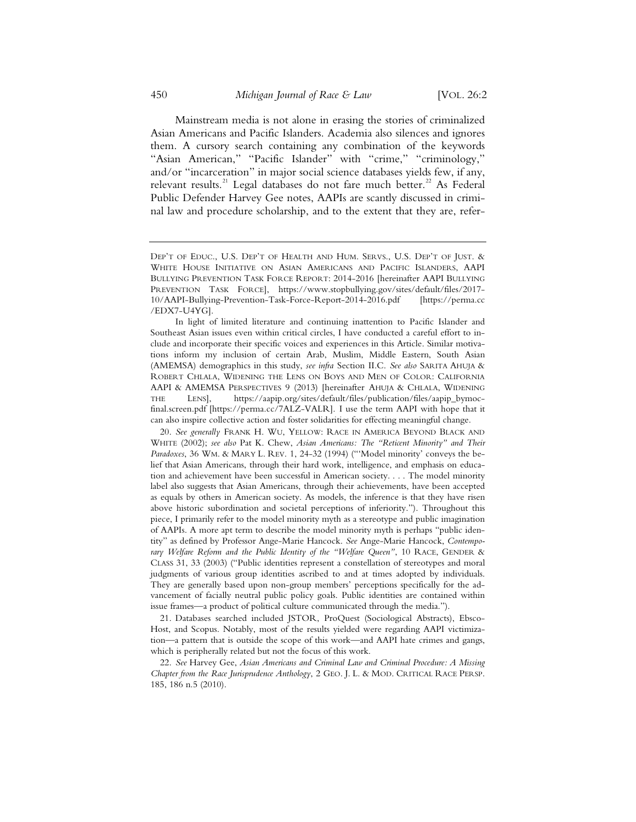Mainstream media is not alone in erasing the stories of criminalized Asian Americans and Pacific Islanders. Academia also silences and ignores them. A cursory search containing any combination of the keywords "Asian American," "Pacific Islander" with "crime," "criminology," and/or "incarceration" in major social science databases yields few, if any, relevant results.<sup>21</sup> Legal databases do not fare much better.<sup>22</sup> As Federal Public Defender Harvey Gee notes, AAPIs are scantly discussed in criminal law and procedure scholarship, and to the extent that they are, refer-

20. *See generally* FRANK H. WU, YELLOW: RACE IN AMERICA BEYOND BLACK AND WHITE (2002); *see also* Pat K. Chew, *Asian Americans: The "Reticent Minority" and Their* Paradoxes, 36 WM. & MARY L. REV. 1, 24-32 (1994) ("'Model minority' conveys the belief that Asian Americans, through their hard work, intelligence, and emphasis on education and achievement have been successful in American society. . . . The model minority label also suggests that Asian Americans, through their achievements, have been accepted as equals by others in American society. As models, the inference is that they have risen above historic subordination and societal perceptions of inferiority."). Throughout this piece, I primarily refer to the model minority myth as a stereotype and public imagination of AAPIs. A more apt term to describe the model minority myth is perhaps "public identity" as defined by Professor Ange-Marie Hancock. *See* Ange-Marie Hancock, *Contemporary Welfare Reform and the Public Identity of the "Welfare Queen"*, 10 RACE, GENDER & CLASS 31, 33 (2003) ("Public identities represent a constellation of stereotypes and moral judgments of various group identities ascribed to and at times adopted by individuals. They are generally based upon non-group members' perceptions specifically for the advancement of facially neutral public policy goals. Public identities are contained within issue frames—a product of political culture communicated through the media.").

21. Databases searched included JSTOR, ProQuest (Sociological Abstracts), Ebsco-Host, and Scopus. Notably, most of the results yielded were regarding AAPI victimization—a pattern that is outside the scope of this work—and AAPI hate crimes and gangs, which is peripherally related but not the focus of this work.

22. *See* Harvey Gee, *Asian Americans and Criminal Law and Criminal Procedure: A Missing Chapter from the Race Jurisprudence Anthology*,2GEO. J. L. & MOD. CRITICAL RACE PERSP. 185, 186 n.5 (2010).

DEP'T OF EDUC., U.S. DEP'T OF HEALTH AND HUM. SERVS., U.S. DEP'T OF JUST. & WHITE HOUSE INITIATIVE ON ASIAN AMERICANS AND PACIFIC ISLANDERS, AAPI BULLYING PREVENTION TASK FORCE REPORT: 2014-2016 [hereinafter AAPI BULLYING PREVENTION TASK FORCE], https://www.stopbullying.gov/sites/default/files/2017- 10/AAPI-Bullying-Prevention-Task-Force-Report-2014-2016.pdf [https://perma.cc /EDX7-U4YG].

In light of limited literature and continuing inattention to Pacific Islander and Southeast Asian issues even within critical circles, I have conducted a careful effort to include and incorporate their specific voices and experiences in this Article. Similar motivations inform my inclusion of certain Arab, Muslim, Middle Eastern, South Asian (AMEMSA) demographics in this study, *see infra* Section II.C. *See also* SARITA AHUJA & ROBERT CHLALA, WIDENING THE LENS ON BOYS AND MEN OF COLOR: CALIFORNIA AAPI & AMEMSA PERSPECTIVES 9 (2013) [hereinafter AHUJA & CHLALA, WIDENING THE LENS], https://aapip.org/sites/default/files/publication/files/aapip\_bymocfinal.screen.pdf [https://perma.cc/7ALZ-VALR]. I use the term AAPI with hope that it can also inspire collective action and foster solidarities for effecting meaningful change.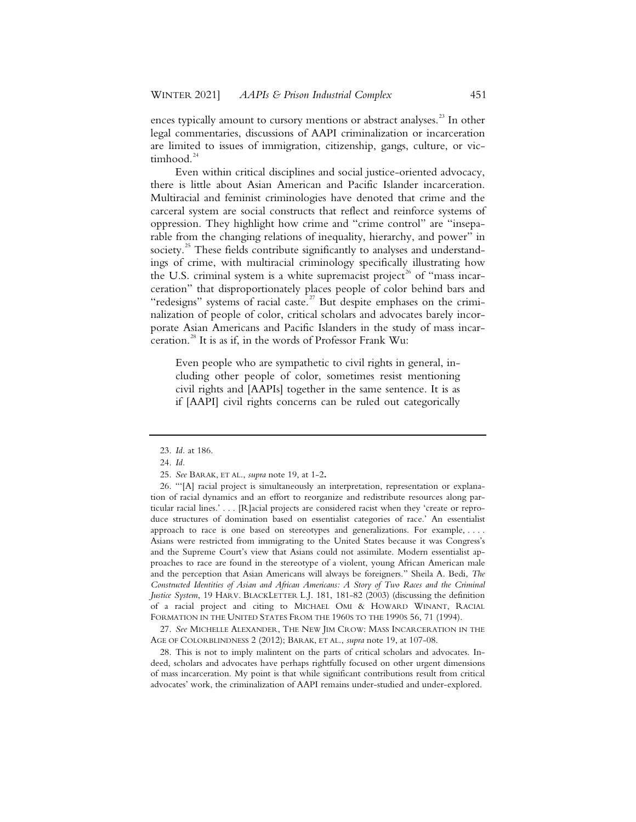ences typically amount to cursory mentions or abstract analyses.<sup>23</sup> In other legal commentaries, discussions of AAPI criminalization or incarceration are limited to issues of immigration, citizenship, gangs, culture, or victimhood. $^{2}$ 

Even within critical disciplines and social justice-oriented advocacy, there is little about Asian American and Pacific Islander incarceration. Multiracial and feminist criminologies have denoted that crime and the carceral system are social constructs that reflect and reinforce systems of oppression. They highlight how crime and "crime control" are "inseparable from the changing relations of inequality, hierarchy, and power" in society.<sup>25</sup> These fields contribute significantly to analyses and understandings of crime, with multiracial criminology specifically illustrating how the U.S. criminal system is a white supremacist project<sup>26</sup> of "mass incarceration" that disproportionately places people of color behind bars and "redesigns" systems of racial caste.<sup>27</sup> But despite emphases on the criminalization of people of color, critical scholars and advocates barely incorporate Asian Americans and Pacific Islanders in the study of mass incarceration.<sup>28</sup> It is as if, in the words of Professor Frank Wu:

Even people who are sympathetic to civil rights in general, including other people of color, sometimes resist mentioning civil rights and [AAPIs] together in the same sentence. It is as if [AAPI] civil rights concerns can be ruled out categorically

27. *See* MICHELLE ALEXANDER, THE NEW JIM CROW: MASS INCARCERATION IN THE AGE OF COLORBLINDNESS 2 (2012); BARAK, ET AL., *supra* note 19, at 107-08.

28. This is not to imply malintent on the parts of critical scholars and advocates. Indeed, scholars and advocates have perhaps rightfully focused on other urgent dimensions of mass incarceration. My point is that while significant contributions result from critical advocates' work, the criminalization of AAPI remains under-studied and under-explored.

<sup>23.</sup> *Id.* at 186.

<sup>24.</sup> *Id.*

<sup>25.</sup> *See* BARAK, ET AL., *supra* note 19, at 1-2**.**

<sup>26. &</sup>quot;'[A] racial project is simultaneously an interpretation, representation or explanation of racial dynamics and an effort to reorganize and redistribute resources along particular racial lines.' . . . [R]acial projects are considered racist when they 'create or reproduce structures of domination based on essentialist categories of race.' An essentialist approach to race is one based on stereotypes and generalizations. For example, . . . . Asians were restricted from immigrating to the United States because it was Congress's and the Supreme Court's view that Asians could not assimilate. Modern essentialist approaches to race are found in the stereotype of a violent, young African American male and the perception that Asian Americans will always be foreigners." Sheila A. Bedi, *The Constructed Identities of Asian and African Americans: A Story of Two Races and the Criminal Justice System*, 19 HARV. BLACKLETTER L.J. 181, 181-82 (2003) (discussing the definition of a racial project and citing to MICHAEL OMI & HOWARD WINANT, RACIAL FORMATION IN THE UNITED STATES FROM THE 1960S TO THE 1990S 56, 71 (1994).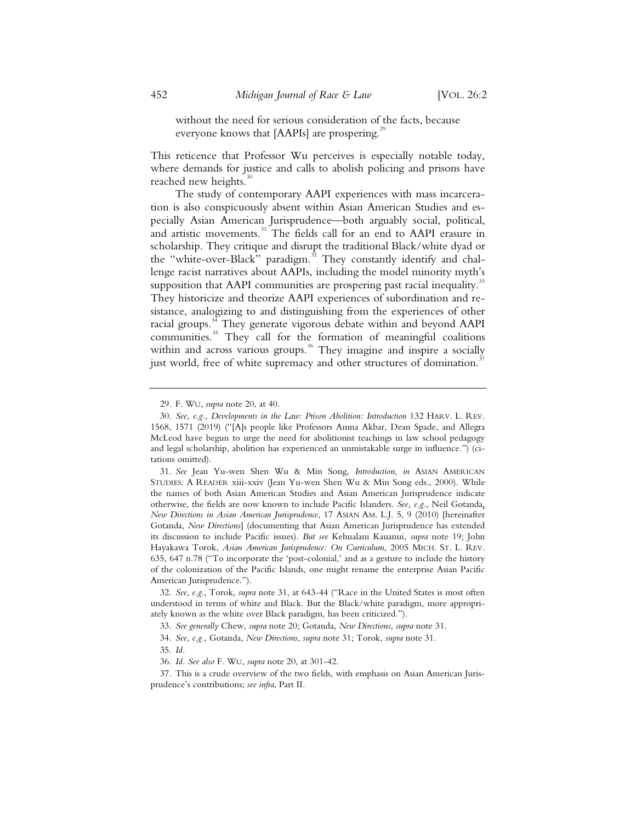without the need for serious consideration of the facts, because everyone knows that  $[AAPIs]$  are prospering.<sup>29</sup>

This reticence that Professor Wu perceives is especially notable today, where demands for justice and calls to abolish policing and prisons have reached new heights. $30$ 

The study of contemporary AAPI experiences with mass incarceration is also conspicuously absent within Asian American Studies and especially Asian American Jurisprudence—both arguably social, political, and artistic movements.<sup>31</sup> The fields call for an end to AAPI erasure in scholarship. They critique and disrupt the traditional Black/white dyad or the "white-over-Black" paradigm. $^{32}$  They constantly identify and challenge racist narratives about AAPIs, including the model minority myth's supposition that AAPI communities are prospering past racial inequality.<sup>3</sup> They historicize and theorize AAPI experiences of subordination and resistance, analogizing to and distinguishing from the experiences of other racial groups.<sup>34</sup> They generate vigorous debate within and beyond AAPI communities.<sup>35</sup> They call for the formation of meaningful coalitions within and across various groups.<sup>36</sup> They imagine and inspire a socially just world, free of white supremacy and other structures of domination.<sup>3</sup>

35. *Id.*

<sup>29.</sup> F. WU, *supra* note 20, at 40.

<sup>30.</sup> *See, e.g.*, *Developments in the Law: Prison Abolition: Introduction* 132 HARV. L. REV. 1568, 1571 (2019) ("[A]s people like Professors Amna Akbar, Dean Spade, and Allegra McLeod have begun to urge the need for abolitionist teachings in law school pedagogy and legal scholarship, abolition has experienced an unmistakable surge in influence.") (citations omitted).

<sup>31.</sup> *See* Jean Yu-wen Shen Wu & Min Song, *Introduction*, *in* ASIAN AMERICAN STUDIES: A READER xiii-xxiv (Jean Yu-wen Shen Wu & Min Song eds., 2000). While the names of both Asian American Studies and Asian American Jurisprudence indicate otherwise, the fields are now known to include Pacific Islanders. *See, e.g.*, Neil Gotanda, *New Directions in Asian American Jurisprudence*, 17 ASIAN AM. L.J. 5, 9 (2010) [hereinafter Gotanda, *New Directions*] (documenting that Asian American Jurisprudence has extended its discussion to include Pacific issues). *But see* Kehualani Kauanui, *supra* note 19; John Hayakawa Torok, *Asian American Jurisprudence: On Curriculum*, 2005 MICH. ST. L. REV. 635, 647 n.78 ("To incorporate the 'post-colonial,' and as a gesture to include the history of the colonization of the Pacific Islands, one might rename the enterprise Asian Pacific American Jurisprudence.").

<sup>32.</sup> *See*, *e.g*., Torok, *supra* note 31, at 643-44 ("Race in the United States is most often understood in terms of white and Black. But the Black/white paradigm, more appropriately known as the white over Black paradigm, has been criticized.").

<sup>33.</sup> *See generally* Chew, *supra* note 20; Gotanda, *New Directions*, *supra* note 31.

<sup>34.</sup> *See, e.g.*, Gotanda, *New Directions*, *supra* note 31; Torok, *supra* note 31.

<sup>36.</sup> *Id. See also* F. WU, *supra* note 20, at 301-42.

<sup>37.</sup> This is a crude overview of the two fields, with emphasis on Asian American Jurisprudence's contributions; *see infra*, Part II.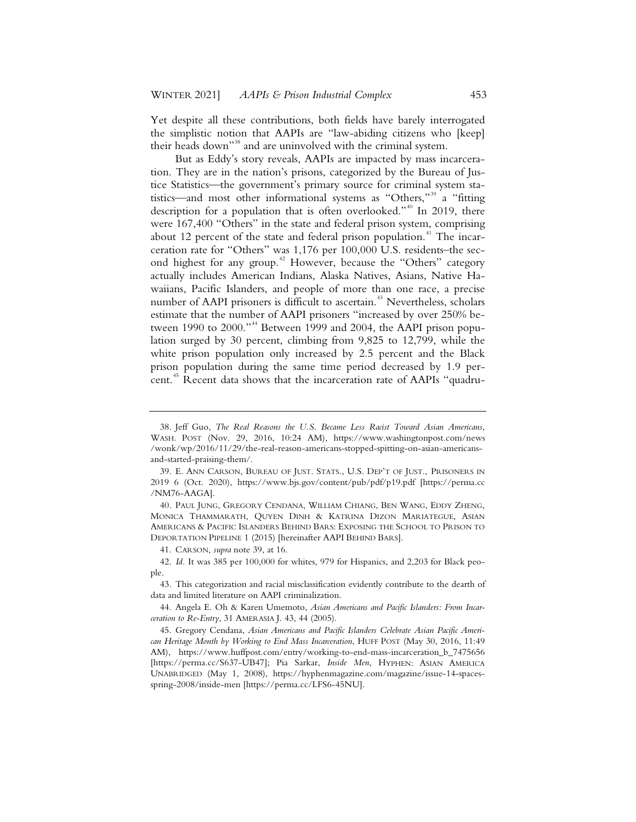Yet despite all these contributions, both fields have barely interrogated the simplistic notion that AAPIs are "law-abiding citizens who [keep] their heads down"<sup>38</sup> and are uninvolved with the criminal system.

But as Eddy's story reveals, AAPIs are impacted by mass incarceration. They are in the nation's prisons, categorized by the Bureau of Justice Statistics—the government's primary source for criminal system statistics—and most other informational systems as "Others,"<sup>39</sup> a "fitting description for a population that is often overlooked."<sup>40</sup> In 2019, there were 167,400 "Others" in the state and federal prison system, comprising about 12 percent of the state and federal prison population.<sup>41</sup> The incarceration rate for "Others" was 1,176 per 100,000 U.S. residents–the second highest for any group.<sup>42</sup> However, because the "Others" category actually includes American Indians, Alaska Natives, Asians, Native Hawaiians, Pacific Islanders, and people of more than one race, a precise number of AAPI prisoners is difficult to ascertain.<sup>43</sup> Nevertheless, scholars estimate that the number of AAPI prisoners "increased by over 250% between 1990 to 2000."<sup>44</sup> Between 1999 and 2004, the AAPI prison population surged by 30 percent, climbing from 9,825 to 12,799, while the white prison population only increased by 2.5 percent and the Black prison population during the same time period decreased by 1.9 percent.<sup>45</sup> Recent data shows that the incarceration rate of AAPIs "quadru-

<sup>38.</sup> Jeff Guo, *The Real Reasons the U.S. Became Less Racist Toward Asian Americans*, WASH. POST (Nov. 29, 2016, 10:24 AM), https://www.washingtonpost.com/news /wonk/wp/2016/11/29/the-real-reason-americans-stopped-spitting-on-asian-americansand-started-praising-them/.

<sup>39.</sup> E. ANN CARSON, BUREAU OF JUST. STATS., U.S. DEP'T OF JUST., PRISONERS IN 2019 6 (Oct. 2020), https://www.bjs.gov/content/pub/pdf/p19.pdf [https://perma.cc /NM76-AAGA].

<sup>40.</sup> PAUL JUNG, GREGORY CENDANA, WILLIAM CHIANG, BEN WANG, EDDY ZHENG, MONICA THAMMARATH, QUYEN DINH & KATRINA DIZON MARIATEGUE, ASIAN AMERICANS & PACIFIC ISLANDERS BEHIND BARS: EXPOSING THE SCHOOL TO PRISON TO DEPORTATION PIPELINE 1 (2015) [hereinafter AAPI BEHIND BARS].

<sup>41.</sup> CARSON, *supra* note 39, at 16.

<sup>42.</sup> *Id.* It was 385 per 100,000 for whites, 979 for Hispanics, and 2,203 for Black people.

<sup>43.</sup> This categorization and racial misclassification evidently contribute to the dearth of data and limited literature on AAPI criminalization.

<sup>44.</sup> Angela E. Oh & Karen Umemoto, *Asian Americans and Pacific Islanders: From Incarceration to Re-Entry*, 31 AMERASIA J. 43, 44 (2005).

<sup>45.</sup> Gregory Cendana, *Asian Americans and Pacific Islanders Celebrate Asian Pacific American Heritage Month by Working to End Mass Incarceration*, HUFF POST (May 30, 2016, 11:49 AM), https://www.huffpost.com/entry/working-to-end-mass-incarceration\_b\_7475656 [https://perma.cc/S637-UB47]; Pia Sarkar, *Inside Men*, HYPHEN: ASIAN AMERICA UNABRIDGED (May 1, 2008), https://hyphenmagazine.com/magazine/issue-14-spacesspring-2008/inside-men [https://perma.cc/LFS6-45NU].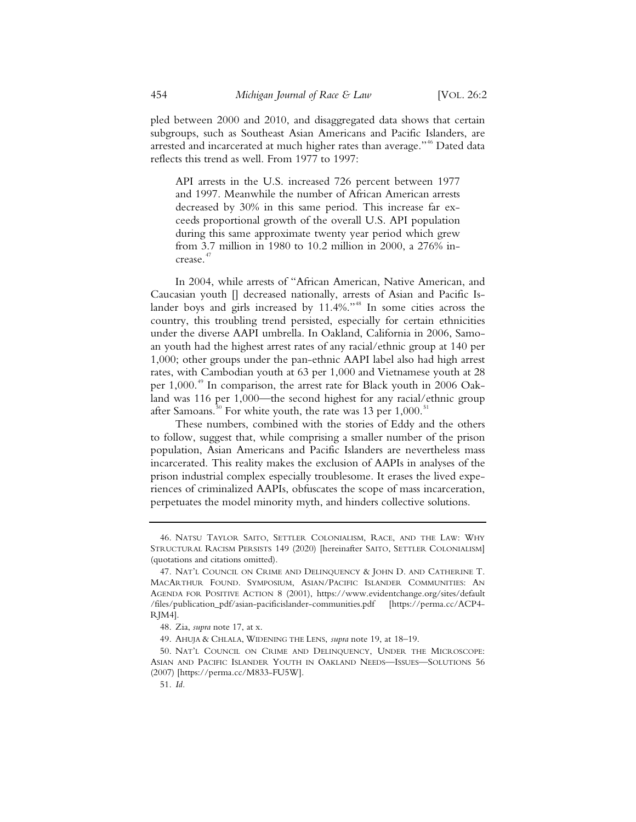pled between 2000 and 2010, and disaggregated data shows that certain subgroups, such as Southeast Asian Americans and Pacific Islanders, are arrested and incarcerated at much higher rates than average."<sup>46</sup> Dated data reflects this trend as well. From 1977 to 1997:

API arrests in the U.S. increased 726 percent between 1977 and 1997. Meanwhile the number of African American arrests decreased by 30% in this same period. This increase far exceeds proportional growth of the overall U.S. API population during this same approximate twenty year period which grew from 3.7 million in 1980 to 10.2 million in 2000, a 276% increase.<sup>4</sup>

In 2004, while arrests of "African American, Native American, and Caucasian youth [] decreased nationally, arrests of Asian and Pacific Islander boys and girls increased by 11.4%."<sup>48</sup> In some cities across the country, this troubling trend persisted, especially for certain ethnicities under the diverse AAPI umbrella. In Oakland, California in 2006, Samoan youth had the highest arrest rates of any racial/ethnic group at 140 per 1,000; other groups under the pan-ethnic AAPI label also had high arrest rates, with Cambodian youth at 63 per 1,000 and Vietnamese youth at 28 per  $1,000$ .<sup>49</sup> In comparison, the arrest rate for Black youth in 2006 Oakland was 116 per 1,000—the second highest for any racial/ethnic group after Samoans.<sup>50</sup> For white youth, the rate was 13 per  $1,000$ .<sup>5</sup>

These numbers, combined with the stories of Eddy and the others to follow, suggest that, while comprising a smaller number of the prison population, Asian Americans and Pacific Islanders are nevertheless mass incarcerated. This reality makes the exclusion of AAPIs in analyses of the prison industrial complex especially troublesome. It erases the lived experiences of criminalized AAPIs, obfuscates the scope of mass incarceration, perpetuates the model minority myth, and hinders collective solutions.

<sup>46.</sup> NATSU TAYLOR SAITO, SETTLER COLONIALISM, RACE, AND THE LAW: WHY STRUCTURAL RACISM PERSISTS 149 (2020) [hereinafter SAITO, SETTLER COLONIALISM] (quotations and citations omitted).

<sup>47.</sup> NAT'L COUNCIL ON CRIME AND DELINQUENCY & JOHN D. AND CATHERINE T. MACARTHUR FOUND. SYMPOSIUM, ASIAN/PACIFIC ISLANDER COMMUNITIES: AN AGENDA FOR POSITIVE ACTION 8 (2001), https://www.evidentchange.org/sites/default /files/publication\_pdf/asian-pacificislander-communities.pdf [https://perma.cc/ACP4- RJM4].

<sup>48.</sup> Zia, *supra* note 17, at x.

<sup>49.</sup> AHUJA & CHLALA, WIDENING THE LENS, *supra* note 19, at 18–19.

<sup>50.</sup> NAT'L COUNCIL ON CRIME AND DELINQUENCY, UNDER THE MICROSCOPE: ASIAN AND PACIFIC ISLANDER YOUTH IN OAKLAND NEEDS—ISSUES—SOLUTIONS 56 (2007) [https://perma.cc/M833-FU5W].

<sup>51.</sup> *Id.*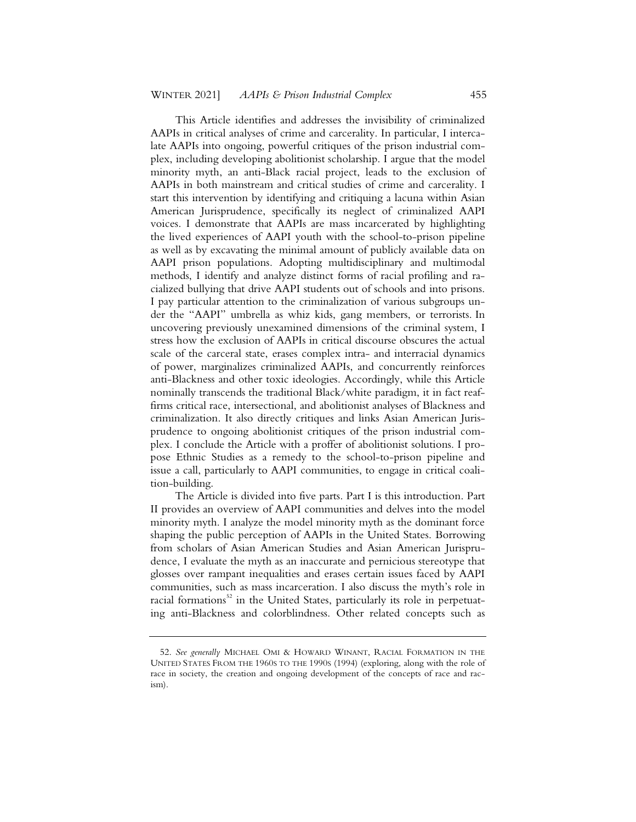This Article identifies and addresses the invisibility of criminalized AAPIs in critical analyses of crime and carcerality. In particular, I intercalate AAPIs into ongoing, powerful critiques of the prison industrial complex, including developing abolitionist scholarship. I argue that the model minority myth, an anti-Black racial project, leads to the exclusion of AAPIs in both mainstream and critical studies of crime and carcerality. I start this intervention by identifying and critiquing a lacuna within Asian American Jurisprudence, specifically its neglect of criminalized AAPI voices. I demonstrate that AAPIs are mass incarcerated by highlighting the lived experiences of AAPI youth with the school-to-prison pipeline as well as by excavating the minimal amount of publicly available data on AAPI prison populations. Adopting multidisciplinary and multimodal methods, I identify and analyze distinct forms of racial profiling and racialized bullying that drive AAPI students out of schools and into prisons. I pay particular attention to the criminalization of various subgroups under the "AAPI" umbrella as whiz kids, gang members, or terrorists. In uncovering previously unexamined dimensions of the criminal system, I stress how the exclusion of AAPIs in critical discourse obscures the actual scale of the carceral state, erases complex intra- and interracial dynamics of power, marginalizes criminalized AAPIs, and concurrently reinforces anti-Blackness and other toxic ideologies. Accordingly, while this Article nominally transcends the traditional Black/white paradigm, it in fact reaffirms critical race, intersectional, and abolitionist analyses of Blackness and criminalization. It also directly critiques and links Asian American Jurisprudence to ongoing abolitionist critiques of the prison industrial complex. I conclude the Article with a proffer of abolitionist solutions. I propose Ethnic Studies as a remedy to the school-to-prison pipeline and issue a call, particularly to AAPI communities, to engage in critical coalition-building.

The Article is divided into five parts. Part I is this introduction. Part II provides an overview of AAPI communities and delves into the model minority myth. I analyze the model minority myth as the dominant force shaping the public perception of AAPIs in the United States. Borrowing from scholars of Asian American Studies and Asian American Jurisprudence, I evaluate the myth as an inaccurate and pernicious stereotype that glosses over rampant inequalities and erases certain issues faced by AAPI communities, such as mass incarceration. I also discuss the myth's role in racial formations<sup>52</sup> in the United States, particularly its role in perpetuating anti-Blackness and colorblindness. Other related concepts such as

<sup>52.</sup> *See generally* MICHAEL OMI & HOWARD WINANT, RACIAL FORMATION IN THE UNITED STATES FROM THE 1960S TO THE 1990S (1994) (exploring, along with the role of race in society, the creation and ongoing development of the concepts of race and racism).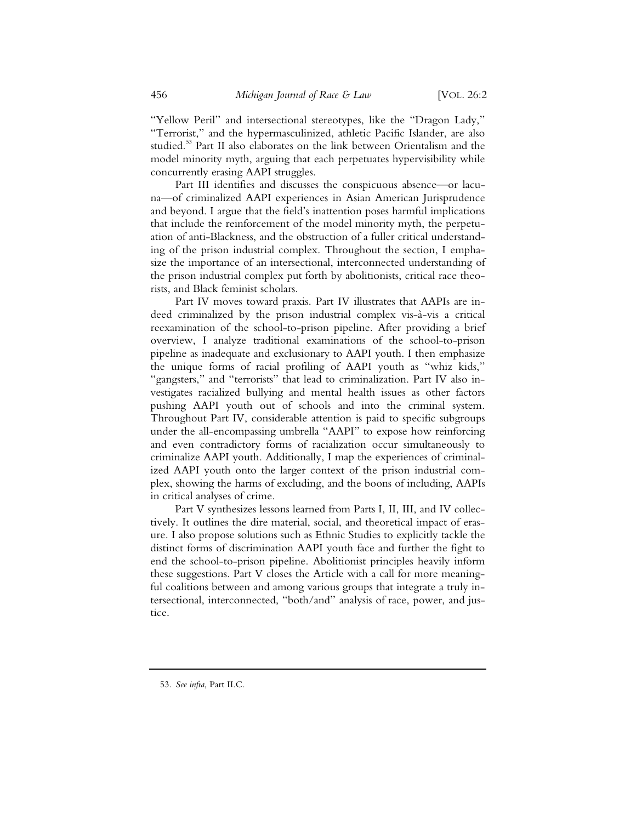"Yellow Peril" and intersectional stereotypes, like the "Dragon Lady," "Terrorist," and the hypermasculinized, athletic Pacific Islander, are also studied.<sup>53</sup> Part II also elaborates on the link between Orientalism and the model minority myth, arguing that each perpetuates hypervisibility while concurrently erasing AAPI struggles.

Part III identifies and discusses the conspicuous absence—or lacuna—of criminalized AAPI experiences in Asian American Jurisprudence and beyond. I argue that the field's inattention poses harmful implications that include the reinforcement of the model minority myth, the perpetuation of anti-Blackness, and the obstruction of a fuller critical understanding of the prison industrial complex. Throughout the section, I emphasize the importance of an intersectional, interconnected understanding of the prison industrial complex put forth by abolitionists, critical race theorists, and Black feminist scholars.

Part IV moves toward praxis. Part IV illustrates that AAPIs are indeed criminalized by the prison industrial complex vis-à-vis a critical reexamination of the school-to-prison pipeline. After providing a brief overview, I analyze traditional examinations of the school-to-prison pipeline as inadequate and exclusionary to AAPI youth. I then emphasize the unique forms of racial profiling of AAPI youth as "whiz kids," "gangsters," and "terrorists" that lead to criminalization. Part IV also investigates racialized bullying and mental health issues as other factors pushing AAPI youth out of schools and into the criminal system. Throughout Part IV, considerable attention is paid to specific subgroups under the all-encompassing umbrella "AAPI" to expose how reinforcing and even contradictory forms of racialization occur simultaneously to criminalize AAPI youth. Additionally, I map the experiences of criminalized AAPI youth onto the larger context of the prison industrial complex, showing the harms of excluding, and the boons of including, AAPIs in critical analyses of crime.

Part V synthesizes lessons learned from Parts I, II, III, and IV collectively. It outlines the dire material, social, and theoretical impact of erasure. I also propose solutions such as Ethnic Studies to explicitly tackle the distinct forms of discrimination AAPI youth face and further the fight to end the school-to-prison pipeline. Abolitionist principles heavily inform these suggestions. Part V closes the Article with a call for more meaningful coalitions between and among various groups that integrate a truly intersectional, interconnected, "both/and" analysis of race, power, and justice.

<sup>53.</sup> *See infra*, Part II.C.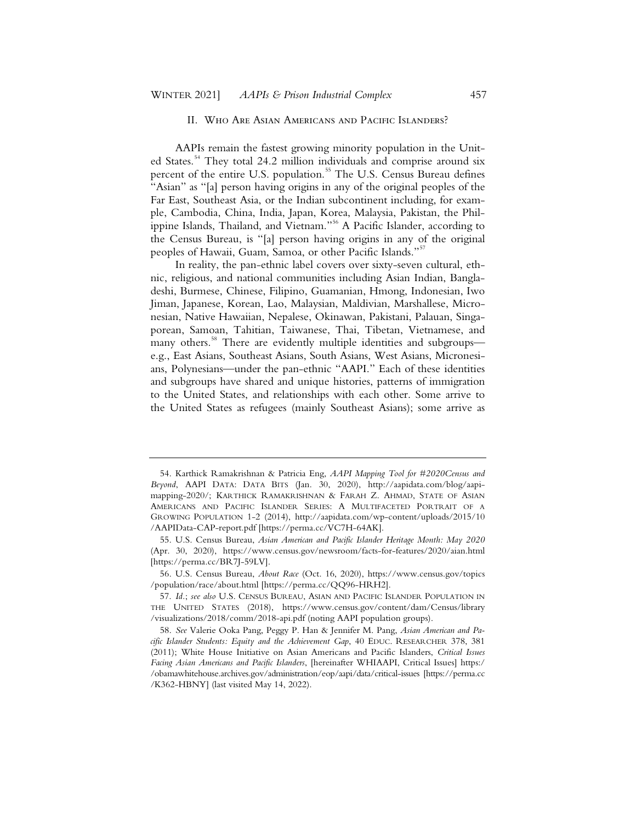#### II. Who Are Asian Americans and Pacific Islanders?

AAPIs remain the fastest growing minority population in the United States.<sup>54</sup> They total 24.2 million individuals and comprise around six percent of the entire U.S. population.<sup>55</sup> The U.S. Census Bureau defines "Asian" as "[a] person having origins in any of the original peoples of the Far East, Southeast Asia, or the Indian subcontinent including, for example, Cambodia, China, India, Japan, Korea, Malaysia, Pakistan, the Philippine Islands, Thailand, and Vietnam."<sup>56</sup> A Pacific Islander, according to the Census Bureau, is "[a] person having origins in any of the original peoples of Hawaii, Guam, Samoa, or other Pacific Islands."<sup>57</sup>

In reality, the pan-ethnic label covers over sixty-seven cultural, ethnic, religious, and national communities including Asian Indian, Bangladeshi, Burmese, Chinese, Filipino, Guamanian, Hmong, Indonesian, Iwo Jiman, Japanese, Korean, Lao, Malaysian, Maldivian, Marshallese, Micronesian, Native Hawaiian, Nepalese, Okinawan, Pakistani, Palauan, Singaporean, Samoan, Tahitian, Taiwanese, Thai, Tibetan, Vietnamese, and many others.<sup>58</sup> There are evidently multiple identities and subgroups e.g., East Asians, Southeast Asians, South Asians, West Asians, Micronesians, Polynesians—under the pan-ethnic "AAPI." Each of these identities and subgroups have shared and unique histories, patterns of immigration to the United States, and relationships with each other. Some arrive to the United States as refugees (mainly Southeast Asians); some arrive as

56. U.S. Census Bureau, *About Race* (Oct. 16, 2020), https://www.census.gov/topics /population/race/about.html [https://perma.cc/QQ96-HRH2].

<sup>54.</sup> Karthick Ramakrishnan & Patricia Eng, *AAPI Mapping Tool for #2020Census and Beyond*, AAPI DATA: DATA BITS (Jan. 30, 2020), http://aapidata.com/blog/aapimapping-2020/; KARTHICK RAMAKRISHNAN & FARAH Z. AHMAD, STATE OF ASIAN AMERICANS AND PACIFIC ISLANDER SERIES: A MULTIFACETED PORTRAIT OF A GROWING POPULATION 1-2 (2014), http://aapidata.com/wp-content/uploads/2015/10 /AAPIData-CAP-report.pdf [https://perma.cc/VC7H-64AK].

<sup>55.</sup> U.S. Census Bureau, *Asian American and Pacific Islander Heritage Month: May 2020* (Apr. 30, 2020), https://www.census.gov/newsroom/facts-for-features/2020/aian.html [https://perma.cc/BR7J-59LV].

<sup>57.</sup> *Id.*; *see also* U.S. CENSUS BUREAU, ASIAN AND PACIFIC ISLANDER POPULATION IN THE UNITED STATES (2018), https://www.census.gov/content/dam/Census/library /visualizations/2018/comm/2018-api.pdf (noting AAPI population groups).

<sup>58.</sup> *See* Valerie Ooka Pang, Peggy P. Han & Jennifer M. Pang, *Asian American and Pacific Islander Students: Equity and the Achievement Gap*, 40 EDUC. RESEARCHER 378, 381 (2011); White House Initiative on Asian Americans and Pacific Islanders, *Critical Issues Facing Asian Americans and Pacific Islanders*, [hereinafter WHIAAPI, Critical Issues] https:/ /obamawhitehouse.archives.gov/administration/eop/aapi/data/critical-issues [https://perma.cc /K362-HBNY] (last visited May 14, 2022).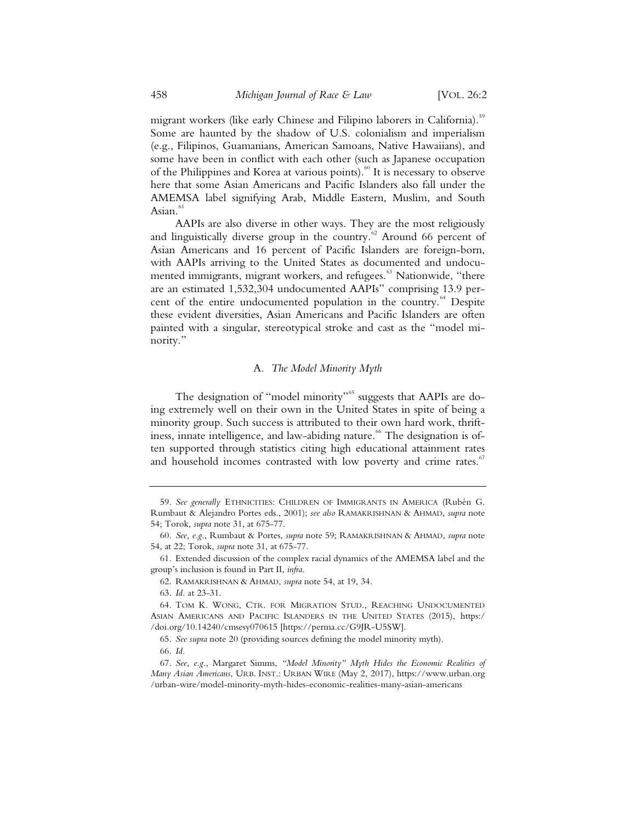migrant workers (like early Chinese and Filipino laborers in California).<sup>59</sup> Some are haunted by the shadow of U.S. colonialism and imperialism (e.g., Filipinos, Guamanians, American Samoans, Native Hawaiians), and some have been in conflict with each other (such as Japanese occupation of the Philippines and Korea at various points).<sup>60</sup> It is necessary to observe here that some Asian Americans and Pacific Islanders also fall under the AMEMSA label signifying Arab, Middle Eastern, Muslim, and South Asian.<sup>61</sup>

AAPIs are also diverse in other ways. They are the most religiously and linguistically diverse group in the country.<sup>62</sup> Around 66 percent of Asian Americans and 16 percent of Pacific Islanders are foreign-born, with AAPIs arriving to the United States as documented and undocumented immigrants, migrant workers, and refugees.<sup>63</sup> Nationwide, "there are an estimated 1,532,304 undocumented AAPIs" comprising 13.9 percent of the entire undocumented population in the country.<sup>64</sup> Despite these evident diversities, Asian Americans and Pacific Islanders are often painted with a singular, stereotypical stroke and cast as the "model minority."

#### A*. The Model Minority Myth*

The designation of "model minority"<sup>65</sup> suggests that AAPIs are doing extremely well on their own in the United States in spite of being a minority group. Such success is attributed to their own hard work, thriftiness, innate intelligence, and law-abiding nature.<sup>66</sup> The designation is often supported through statistics citing high educational attainment rates and household incomes contrasted with low poverty and crime rates.<sup>6</sup>

<sup>59.</sup> *See generally* ETHNICITIES: CHILDREN OF IMMIGRANTS IN AMERICA (Rubén G. Rumbaut & Alejandro Portes eds., 2001); *see also* RAMAKRISHNAN & AHMAD, *supra* note 54; Torok, *supra* note 31, at 675-77.

<sup>60.</sup> *See, e.g.*, Rumbaut & Portes, *supra* note 59; RAMAKRISHNAN & AHMAD, *supra* note 54, at 22; Torok, *supra* note 31, at 675-77.

<sup>61.</sup> Extended discussion of the complex racial dynamics of the AMEMSA label and the group's inclusion is found in Part II, *infra*.

<sup>62.</sup> RAMAKRISHNAN & AHMAD, *supra* note 54, at 19, 34.

<sup>63.</sup> *Id.* at 23-31.

<sup>64.</sup> TOM K. WONG, CTR. FOR MIGRATION STUD., REACHING UNDOCUMENTED ASIAN AMERICANS AND PACIFIC ISLANDERS IN THE UNITED STATES (2015), https:/ /doi.org/10.14240/cmsesy070615 [https://perma.cc/G9JR-U5SW].

<sup>65.</sup> *See supra* note 20 (providing sources defining the model minority myth). 66. *Id.*

<sup>67.</sup> *See, e.g.*, Margaret Simms, *"Model Minority" Myth Hides the Economic Realities of Many Asian Americans*, URB. INST.: URBAN WIRE (May 2, 2017), https://www.urban.org /urban-wire/model-minority-myth-hides-economic-realities-many-asian-americans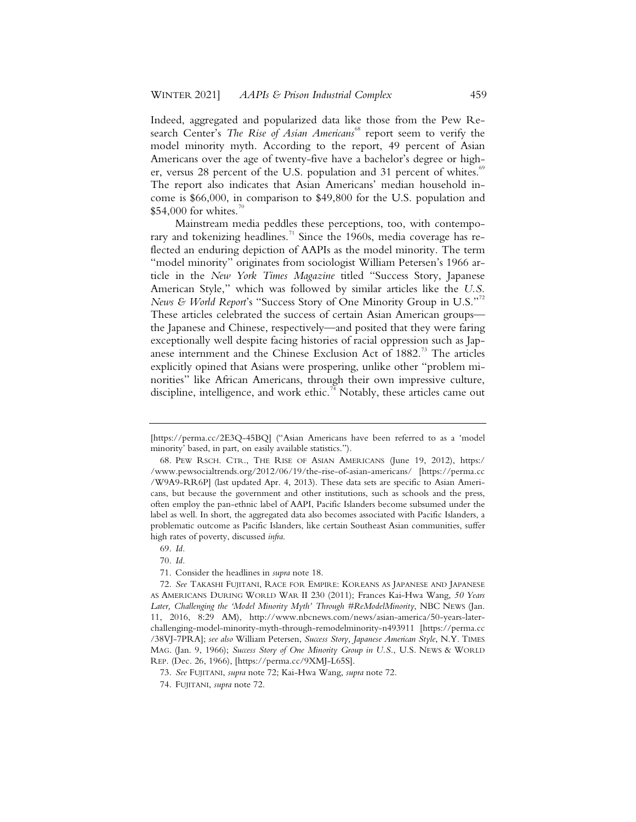Indeed, aggregated and popularized data like those from the Pew Research Center's *The Rise of Asian Americans*<sup>68</sup> report seem to verify the model minority myth. According to the report, 49 percent of Asian Americans over the age of twenty-five have a bachelor's degree or higher, versus 28 percent of the U.S. population and 31 percent of whites.<sup>69</sup> The report also indicates that Asian Americans' median household income is \$66,000, in comparison to \$49,800 for the U.S. population and  $$54,000$  for whites.<sup>7</sup>

Mainstream media peddles these perceptions, too, with contemporary and tokenizing headlines.<sup>71</sup> Since the 1960s, media coverage has reflected an enduring depiction of AAPIs as the model minority. The term "model minority" originates from sociologist William Petersen's 1966 article in the *New York Times Magazine* titled "Success Story, Japanese American Style," which was followed by similar articles like the *U.S. News & World Report*'s "Success Story of One Minority Group in U.S."<sup>72</sup> These articles celebrated the success of certain Asian American groups the Japanese and Chinese, respectively—and posited that they were faring exceptionally well despite facing histories of racial oppression such as Japanese internment and the Chinese Exclusion Act of 1882.<sup>73</sup> The articles explicitly opined that Asians were prospering, unlike other "problem minorities" like African Americans, through their own impressive culture, discipline, intelligence, and work ethic.<sup>74</sup> Notably, these articles came out

<sup>[</sup>https://perma.cc/2E3Q-45BQ] ("Asian Americans have been referred to as a 'model minority' based, in part, on easily available statistics.").

<sup>68.</sup> PEW RSCH. CTR., THE RISE OF ASIAN AMERICANS (June 19, 2012), https:/ /www.pewsocialtrends.org/2012/06/19/the-rise-of-asian-americans/ [https://perma.cc /W9A9-RR6P] (last updated Apr. 4, 2013). These data sets are specific to Asian Americans, but because the government and other institutions, such as schools and the press, often employ the pan-ethnic label of AAPI, Pacific Islanders become subsumed under the label as well. In short, the aggregated data also becomes associated with Pacific Islanders, a problematic outcome as Pacific Islanders, like certain Southeast Asian communities, suffer high rates of poverty, discussed *infra*.

<sup>69.</sup> *Id.*

<sup>70.</sup> *Id.*

<sup>71.</sup> Consider the headlines in *supra* note 18.

<sup>72.</sup> *See* TAKASHI FUJITANI, RACE FOR EMPIRE: KOREANS AS JAPANESE AND JAPANESE AS AMERICANS DURING WORLD WAR II 230 (2011); Frances Kai-Hwa Wang, *50 Years Later, Challenging the 'Model Minority Myth' Through #ReModelMinority*, NBC NEWS (Jan. 11, 2016, 8:29 AM), http://www.nbcnews.com/news/asian-america/50-years-laterchallenging-model-minority-myth-through-remodelminority-n493911 [https://perma.cc /38VJ-7PRA]; *see also* William Petersen, *Success Story, Japanese American Style*, N.Y. TIMES MAG. (Jan. 9, 1966); *Success Story of One Minority Group in U.S.*, U.S. NEWS & WORLD REP. (Dec. 26, 1966), [https://perma.cc/9XMJ-L65S].

<sup>73.</sup> *See* FUJITANI, *supra* note 72; Kai-Hwa Wang, *supra* note 72.

<sup>74.</sup> FUJITANI, *supra* note 72.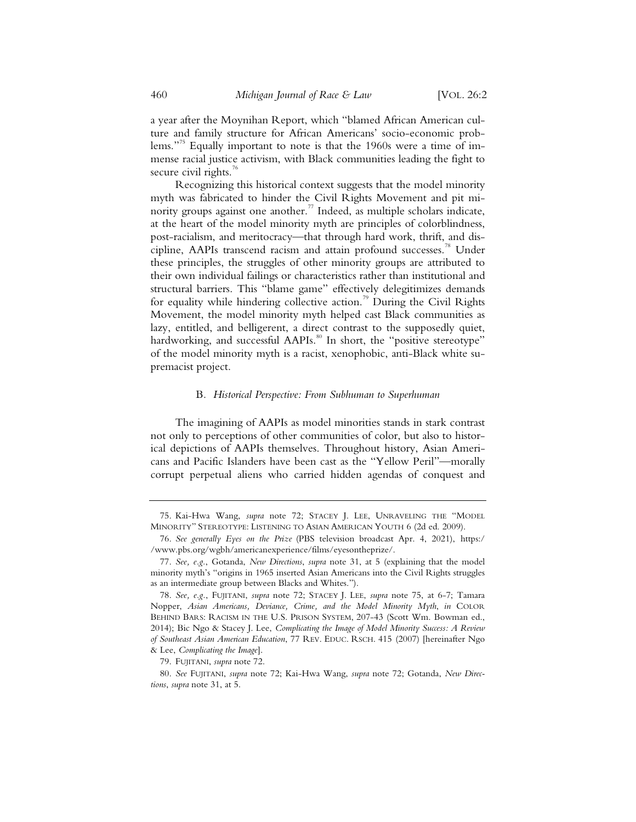a year after the Moynihan Report, which "blamed African American culture and family structure for African Americans' socio-economic problems."<sup>75</sup> Equally important to note is that the 1960s were a time of immense racial justice activism, with Black communities leading the fight to secure civil rights. $\frac{7}{6}$ 

Recognizing this historical context suggests that the model minority myth was fabricated to hinder the Civil Rights Movement and pit minority groups against one another.<sup>77</sup> Indeed, as multiple scholars indicate, at the heart of the model minority myth are principles of colorblindness, post-racialism, and meritocracy—that through hard work, thrift, and discipline, AAPIs transcend racism and attain profound successes.<sup>78</sup> Under these principles, the struggles of other minority groups are attributed to their own individual failings or characteristics rather than institutional and structural barriers. This "blame game" effectively delegitimizes demands for equality while hindering collective action.<sup>79</sup> During the Civil Rights Movement, the model minority myth helped cast Black communities as lazy, entitled, and belligerent, a direct contrast to the supposedly quiet, hardworking, and successful AAPIs.<sup>80</sup> In short, the "positive stereotype" of the model minority myth is a racist, xenophobic, anti-Black white supremacist project.

#### B*. Historical Perspective: From Subhuman to Superhuman*

The imagining of AAPIs as model minorities stands in stark contrast not only to perceptions of other communities of color, but also to historical depictions of AAPIs themselves. Throughout history, Asian Americans and Pacific Islanders have been cast as the "Yellow Peril"—morally corrupt perpetual aliens who carried hidden agendas of conquest and

<sup>75.</sup> Kai-Hwa Wang, *supra* note 72; STACEY J. LEE, UNRAVELING THE "MODEL MINORITY" STEREOTYPE: LISTENING TO ASIAN AMERICAN YOUTH 6 (2d ed. 2009).

<sup>76.</sup> *See generally Eyes on the Prize* (PBS television broadcast Apr. 4, 2021), https:/ /www.pbs.org/wgbh/americanexperience/films/eyesontheprize/.

<sup>77.</sup> *See, e.g.*, Gotanda, *New Directions*, *supra* note 31, at 5 (explaining that the model minority myth's "origins in 1965 inserted Asian Americans into the Civil Rights struggles as an intermediate group between Blacks and Whites.").

<sup>78.</sup> *See, e.g.*, FUJITANI, *supra* note 72; STACEY J. LEE, *supra* note 75, at 6-7; Tamara Nopper, *Asian Americans, Deviance, Crime, and the Model Minority Myth*, *in* COLOR BEHIND BARS: RACISM IN THE U.S. PRISON SYSTEM, 207-43 (Scott Wm. Bowman ed., 2014); Bic Ngo & Stacey J. Lee, *Complicating the Image of Model Minority Success: A Review of Southeast Asian American Education*, 77 REV. EDUC. RSCH. 415 (2007) [hereinafter Ngo & Lee, *Complicating the Image*].

<sup>79.</sup> FUJITANI, *supra* note 72.

<sup>80.</sup> *See* FUJITANI, *supra* note 72; Kai-Hwa Wang, *supra* note 72; Gotanda, *New Directions*, *supra* note 31, at 5.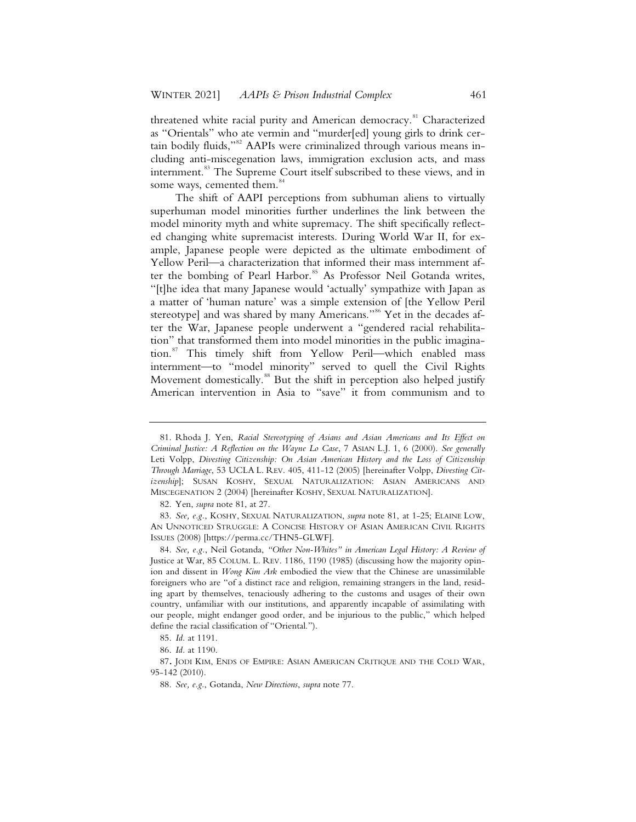threatened white racial purity and American democracy.<sup>81</sup> Characterized as "Orientals" who ate vermin and "murder[ed] young girls to drink certain bodily fluids,"<sup>82</sup> AAPIs were criminalized through various means including anti-miscegenation laws, immigration exclusion acts, and mass internment.<sup>83</sup> The Supreme Court itself subscribed to these views, and in some ways, cemented them.<sup>84</sup>

The shift of AAPI perceptions from subhuman aliens to virtually superhuman model minorities further underlines the link between the model minority myth and white supremacy. The shift specifically reflected changing white supremacist interests. During World War II, for example, Japanese people were depicted as the ultimate embodiment of Yellow Peril—a characterization that informed their mass internment after the bombing of Pearl Harbor.<sup>85</sup> As Professor Neil Gotanda writes, "[t]he idea that many Japanese would 'actually' sympathize with Japan as a matter of 'human nature' was a simple extension of [the Yellow Peril stereotype] and was shared by many Americans."<sup>86</sup> Yet in the decades after the War, Japanese people underwent a "gendered racial rehabilitation" that transformed them into model minorities in the public imagination.<sup>87</sup> This timely shift from Yellow Peril—which enabled mass internment—to "model minority" served to quell the Civil Rights Movement domestically.<sup>88</sup> But the shift in perception also helped justify American intervention in Asia to "save" it from communism and to

<sup>81.</sup> Rhoda J. Yen, *Racial Stereotyping of Asians and Asian Americans and Its Effect on Criminal Justice: A Reflection on the Wayne Lo Case*, 7 ASIAN L.J. 1, 6 (2000). *See generally*  Leti Volpp, *Divesting Citizenship: On Asian American History and the Loss of Citizenship Through Marriage*, 53 UCLA L. REV. 405, 411-12 (2005) [hereinafter Volpp, *Divesting Citizenship*]; SUSAN KOSHY, SEXUAL NATURALIZATION: ASIAN AMERICANS AND MISCEGENATION 2 (2004) [hereinafter KOSHY, SEXUAL NATURALIZATION].

<sup>82.</sup> Yen, *supra* note 81, at 27.

<sup>83.</sup> *See, e.g.*, KOSHY, SEXUAL NATURALIZATION, *supra* note 81, at 1-25; ELAINE LOW, AN UNNOTICED STRUGGLE: A CONCISE HISTORY OF ASIAN AMERICAN CIVIL RIGHTS ISSUES (2008) [https://perma.cc/THN5-GLWF].

<sup>84.</sup> *See, e.g.*, Neil Gotanda, *"Other Non-Whites" in American Legal History: A Review of*  Justice at War, 85 COLUM. L. REV. 1186, 1190 (1985) (discussing how the majority opinion and dissent in *Wong Kim Ark* embodied the view that the Chinese are unassimilable foreigners who are "of a distinct race and religion, remaining strangers in the land, residing apart by themselves, tenaciously adhering to the customs and usages of their own country, unfamiliar with our institutions, and apparently incapable of assimilating with our people, might endanger good order, and be injurious to the public," which helped define the racial classification of "Oriental.").

<sup>85.</sup> *Id.* at 1191.

<sup>86.</sup> *Id.* at 1190.

<sup>87</sup>**.** JODI KIM, ENDS OF EMPIRE: ASIAN AMERICAN CRITIQUE AND THE COLD WAR, 95-142 (2010).

<sup>88.</sup> *See, e.g.*, Gotanda, *New Directions*, *supra* note 77.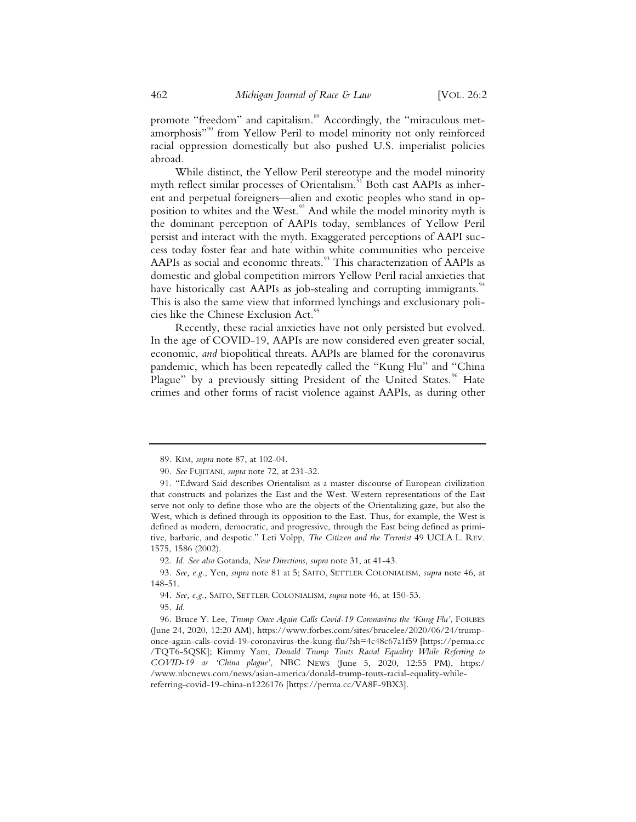promote "freedom" and capitalism.<sup>89</sup> Accordingly, the "miraculous metamorphosis"<sup>90</sup> from Yellow Peril to model minority not only reinforced racial oppression domestically but also pushed U.S. imperialist policies abroad.

While distinct, the Yellow Peril stereotype and the model minority myth reflect similar processes of Orientalism.<sup>91</sup> Both cast AAPIs as inherent and perpetual foreigners—alien and exotic peoples who stand in opposition to whites and the West.<sup>92</sup> And while the model minority myth is the dominant perception of AAPIs today, semblances of Yellow Peril persist and interact with the myth. Exaggerated perceptions of AAPI success today foster fear and hate within white communities who perceive AAPIs as social and economic threats.<sup>93</sup> This characterization of AAPIs as domestic and global competition mirrors Yellow Peril racial anxieties that have historically cast AAPIs as job-stealing and corrupting immigrants.<sup>94</sup> This is also the same view that informed lynchings and exclusionary policies like the Chinese Exclusion Act.<sup>95</sup>

Recently, these racial anxieties have not only persisted but evolved. In the age of COVID-19, AAPIs are now considered even greater social, economic, *and* biopolitical threats. AAPIs are blamed for the coronavirus pandemic, which has been repeatedly called the "Kung Flu" and "China Plague" by a previously sitting President of the United States.<sup>96</sup> Hate crimes and other forms of racist violence against AAPIs, as during other

95. *Id.*

<sup>89.</sup> KIM, *supra* note 87, at 102-04.

<sup>90.</sup> *See* FUJITANI, *supra* note 72, at 231-32.

<sup>91. &</sup>quot;Edward Said describes Orientalism as a master discourse of European civilization that constructs and polarizes the East and the West. Western representations of the East serve not only to define those who are the objects of the Orientalizing gaze, but also the West, which is defined through its opposition to the East. Thus, for example, the West is defined as modern, democratic, and progressive, through the East being defined as primitive, barbaric, and despotic." Leti Volpp, *The Citizen and the Terrorist* 49 UCLA L. REV. 1575, 1586 (2002).

<sup>92.</sup> *Id. See also* Gotanda, *New Directions*, *supra* note 31, at 41-43.

<sup>93.</sup> *See, e.g.*, Yen, *supra* note 81 at 5; SAITO, SETTLER COLONIALISM, *supra* note 46, at 148-51.

<sup>94.</sup> *See, e.g.*, SAITO, SETTLER COLONIALISM, *supra* note 46, at 150-53.

<sup>96.</sup> Bruce Y. Lee, *Trump Once Again Calls Covid-19 Coronavirus the 'Kung Flu'*, FORBES (June 24, 2020, 12:20 AM), https://www.forbes.com/sites/brucelee/2020/06/24/trumponce-again-calls-covid-19-coronavirus-the-kung-flu/?sh=4c48c67a1f59 [https://perma.cc /TQT6-5QSK]; Kimmy Yam, *Donald Trump Touts Racial Equality While Referring to COVID-19 as 'China plague'*, NBC NEWS (June 5, 2020, 12:55 PM), https:/ /www.nbcnews.com/news/asian-america/donald-trump-touts-racial-equality-whilereferring-covid-19-china-n1226176 [https://perma.cc/VA8F-9BX3].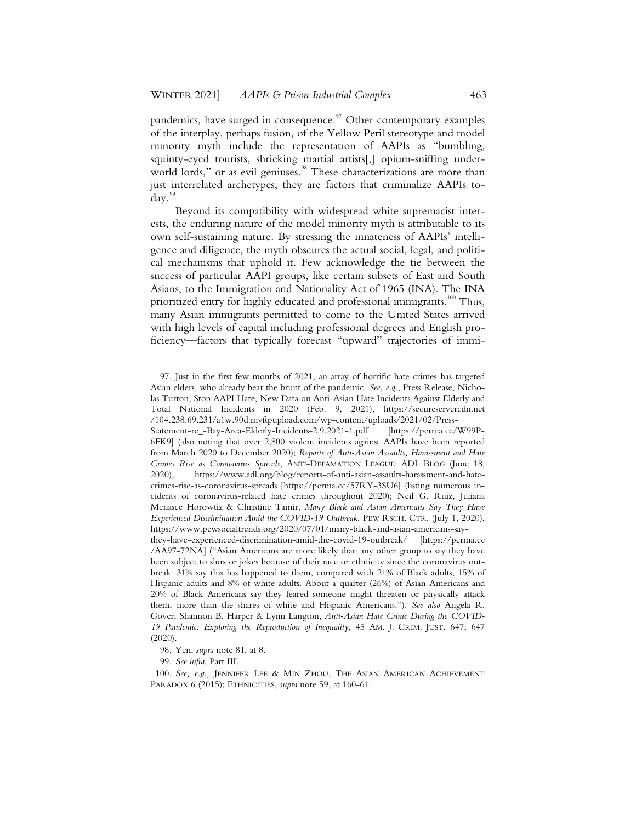pandemics, have surged in consequence. $97$  Other contemporary examples of the interplay, perhaps fusion, of the Yellow Peril stereotype and model minority myth include the representation of AAPIs as "bumbling, squinty-eyed tourists, shrieking martial artists[,] opium-sniffing underworld lords," or as evil geniuses.<sup>98</sup> These characterizations are more than just interrelated archetypes; they are factors that criminalize AAPIs to $day.$ 

Beyond its compatibility with widespread white supremacist interests, the enduring nature of the model minority myth is attributable to its own self-sustaining nature. By stressing the innateness of AAPIs' intelligence and diligence, the myth obscures the actual social, legal, and political mechanisms that uphold it. Few acknowledge the tie between the success of particular AAPI groups, like certain subsets of East and South Asians, to the Immigration and Nationality Act of 1965 (INA). The INA prioritized entry for highly educated and professional immigrants.<sup>100</sup> Thus, many Asian immigrants permitted to come to the United States arrived with high levels of capital including professional degrees and English proficiency—factors that typically forecast "upward" trajectories of immi-

<sup>97.</sup> Just in the first few months of 2021, an array of horrific hate crimes has targeted Asian elders, who already bear the brunt of the pandemic. *See, e.g.*, Press Release, Nicholas Turton, Stop AAPI Hate, New Data on Anti-Asian Hate Incidents Against Elderly and Total National Incidents in 2020 (Feb. 9, 2021), https://secureservercdn.net /104.238.69.231/a1w.90d.myftpupload.com/wp-content/uploads/2021/02/Press-

Statement-re\_-Bay-Area-Elderly-Incidents-2.9.2021-1.pdf 6FK9] (also noting that over 2,800 violent incidents against AAPIs have been reported from March 2020 to December 2020); *Reports of Anti-Asian Assaults, Harassment and Hate Crimes Rise as Coronavirus Spreads*, ANTI-DEFAMATION LEAGUE: ADL BLOG (June 18, 2020), https://www.adl.org/blog/reports-of-anti-asian-assaults-harassment-and-hatecrimes-rise-as-coronavirus-spreads [https://perma.cc/57RY-3SU6] (listing numerous incidents of coronavirus-related hate crimes throughout 2020); Neil G. Ruiz, Juliana Menasce Horowtiz & Christine Tamir, *Many Black and Asian Americans Say They Have Experienced Discrimination Amid the COVID-19 Outbreak*, PEW RSCH. CTR. (July 1, 2020), https://www.pewsocialtrends.org/2020/07/01/many-black-and-asian-americans-say-

they-have-experienced-discrimination-amid-the-covid-19-outbreak/ [https://perma.cc /AA97-72NA] ("Asian Americans are more likely than any other group to say they have been subject to slurs or jokes because of their race or ethnicity since the coronavirus outbreak: 31% say this has happened to them, compared with 21% of Black adults, 15% of Hispanic adults and 8% of white adults. About a quarter (26%) of Asian Americans and 20% of Black Americans say they feared someone might threaten or physically attack them, more than the shares of white and Hispanic Americans."). *See also* Angela R. Gover, Shannon B. Harper & Lynn Langton, *Anti-Asian Hate Crime During the COVID-19 Pandemic: Exploring the Reproduction of Inequality*, 45 AM. J. CRIM. JUST. 647, 647 (2020).

<sup>98.</sup> Yen, *supra* note 81, at 8.

<sup>99.</sup> *See infra*, Part III.

<sup>100.</sup> *See, e.g.,* JENNIFER LEE & MIN ZHOU, THE ASIAN AMERICAN ACHIEVEMENT PARADOX 6 (2015); ETHNICITIES, *supra* note 59, at 160-61.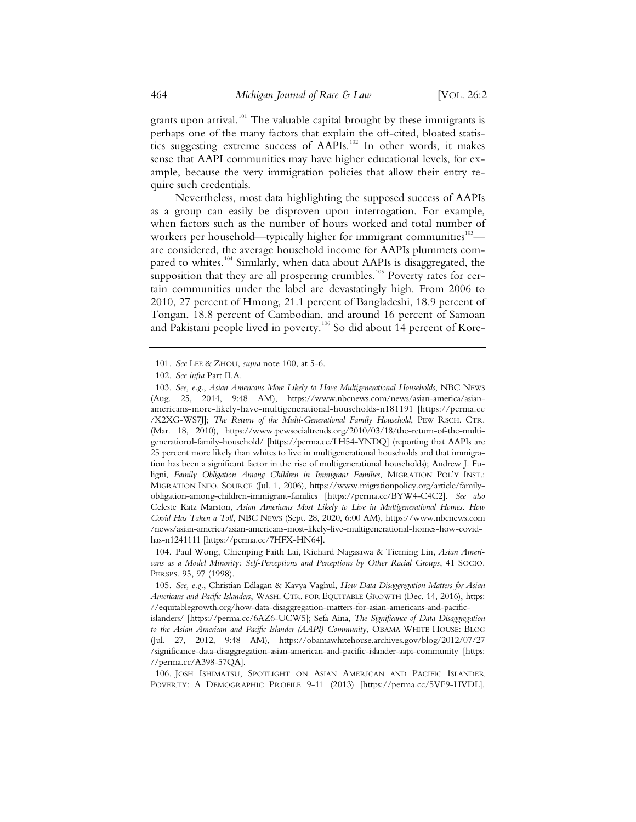grants upon arrival.<sup>101</sup> The valuable capital brought by these immigrants is perhaps one of the many factors that explain the oft-cited, bloated statistics suggesting extreme success of AAPIs.<sup>102</sup> In other words, it makes sense that AAPI communities may have higher educational levels, for example, because the very immigration policies that allow their entry require such credentials.

Nevertheless, most data highlighting the supposed success of AAPIs as a group can easily be disproven upon interrogation. For example, when factors such as the number of hours worked and total number of workers per household—typically higher for immigrant communities<sup>103</sup> are considered, the average household income for AAPIs plummets compared to whites.<sup>104</sup> Similarly, when data about AAPIs is disaggregated, the supposition that they are all prospering crumbles.<sup>105</sup> Poverty rates for certain communities under the label are devastatingly high. From 2006 to 2010, 27 percent of Hmong, 21.1 percent of Bangladeshi, 18.9 percent of Tongan, 18.8 percent of Cambodian, and around 16 percent of Samoan and Pakistani people lived in poverty.<sup>106</sup> So did about 14 percent of Kore-

<sup>101.</sup> *See* LEE & ZHOU, *supra* note 100, at 5-6.

<sup>102.</sup> *See infra* Part II.A.

<sup>103.</sup> *See, e.g.*, *Asian Americans More Likely to Have Multigenerational Households*, NBC NEWS (Aug. 25, 2014, 9:48 AM), https://www.nbcnews.com/news/asian-america/asianamericans-more-likely-have-multigenerational-households-n181191 [https://perma.cc /X2XG-WS7J]; *The Return of the Multi-Generational Family Household*, PEW RSCH. CTR. (Mar. 18, 2010), https://www.pewsocialtrends.org/2010/03/18/the-return-of-the-multigenerational-family-household/ [https://perma.cc/LH54-YNDQ] (reporting that AAPIs are 25 percent more likely than whites to live in multigenerational households and that immigration has been a significant factor in the rise of multigenerational households); Andrew J. Fuligni, *Family Obligation Among Children in Immigrant Families*, MIGRATION POL'Y INST.: MIGRATION INFO. SOURCE (Jul. 1, 2006), https://www.migrationpolicy.org/article/familyobligation-among-children-immigrant-families [https://perma.cc/BYW4-C4C2]. *See also* Celeste Katz Marston, *Asian Americans Most Likely to Live in Multigenerational Homes. How Covid Has Taken a Toll*, NBC NEWS (Sept. 28, 2020, 6:00 AM), https://www.nbcnews.com /news/asian-america/asian-americans-most-likely-live-multigenerational-homes-how-covidhas-n1241111 [https://perma.cc/7HFX-HN64].

<sup>104.</sup> Paul Wong, Chienping Faith Lai, Richard Nagasawa & Tieming Lin, *Asian Americans as a Model Minority: Self-Perceptions and Perceptions by Other Racial Groups*, 41 SOCIO. PERSPS. 95, 97 (1998).

<sup>105.</sup> *See, e.g.*, Christian Edlagan & Kavya Vaghul, *How Data Disaggregation Matters for Asian Americans and Pacific Islanders*, WASH. CTR. FOR EQUITABLE GROWTH (Dec. 14, 2016), https: //equitablegrowth.org/how-data-disaggregation-matters-for-asian-americans-and-pacific-

islanders/ [https://perma.cc/6AZ6-UCW5]; Sefa Aina, *The Significance of Data Disaggregation to the Asian American and Pacific Islander (AAPI) Community*, OBAMA WHITE HOUSE: BLOG (Jul. 27, 2012, 9:48 AM), https://obamawhitehouse.archives.gov/blog/2012/07/27 /significance-data-disaggregation-asian-american-and-pacific-islander-aapi-community [https: //perma.cc/A398-57QA].

<sup>106.</sup> JOSH ISHIMATSU, SPOTLIGHT ON ASIAN AMERICAN AND PACIFIC ISLANDER POVERTY: A DEMOGRAPHIC PROFILE 9-11 (2013) [https://perma.cc/5VF9-HVDL].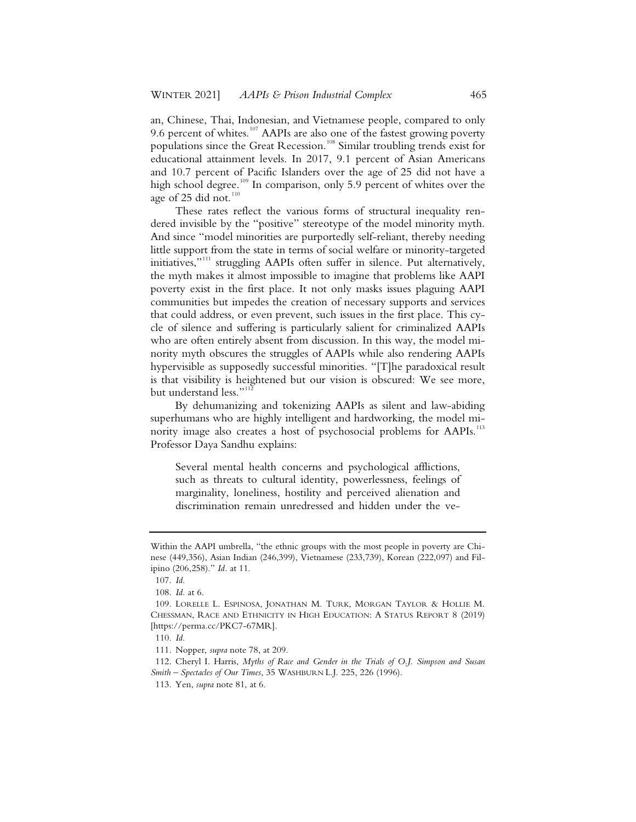an, Chinese, Thai, Indonesian, and Vietnamese people, compared to only 9.6 percent of whites.<sup>107</sup> AAPIs are also one of the fastest growing poverty populations since the Great Recession.<sup>108</sup> Similar troubling trends exist for educational attainment levels. In 2017, 9.1 percent of Asian Americans and 10.7 percent of Pacific Islanders over the age of 25 did not have a high school degree.<sup>109</sup> In comparison, only 5.9 percent of whites over the age of 25 did not.<sup>110</sup>

These rates reflect the various forms of structural inequality rendered invisible by the "positive" stereotype of the model minority myth. And since "model minorities are purportedly self-reliant, thereby needing little support from the state in terms of social welfare or minority-targeted initiatives,"<sup>111</sup> struggling AAPIs often suffer in silence. Put alternatively, the myth makes it almost impossible to imagine that problems like AAPI poverty exist in the first place. It not only masks issues plaguing AAPI communities but impedes the creation of necessary supports and services that could address, or even prevent, such issues in the first place. This cycle of silence and suffering is particularly salient for criminalized AAPIs who are often entirely absent from discussion. In this way, the model minority myth obscures the struggles of AAPIs while also rendering AAPIs hypervisible as supposedly successful minorities. "[T]he paradoxical result is that visibility is heightened but our vision is obscured: We see more, but understand less."<sup>11</sup>

By dehumanizing and tokenizing AAPIs as silent and law-abiding superhumans who are highly intelligent and hardworking, the model minority image also creates a host of psychosocial problems for AAPIs.<sup>113</sup> Professor Daya Sandhu explains:

Several mental health concerns and psychological afflictions, such as threats to cultural identity, powerlessness, feelings of marginality, loneliness, hostility and perceived alienation and discrimination remain unredressed and hidden under the ve-

Within the AAPI umbrella, "the ethnic groups with the most people in poverty are Chinese (449,356), Asian Indian (246,399), Vietnamese (233,739), Korean (222,097) and Filipino (206,258)." *Id.* at 11.

<sup>107.</sup> *Id.*

<sup>108.</sup> *Id.* at 6.

<sup>109.</sup> LORELLE L. ESPINOSA, JONATHAN M. TURK, MORGAN TAYLOR & HOLLIE M. CHESSMAN, RACE AND ETHNICITY IN HIGH EDUCATION: A STATUS REPORT 8 (2019) [https://perma.cc/PKC7-67MR].

<sup>110.</sup> *Id.*

<sup>111.</sup> Nopper, *supra* note 78, at 209.

<sup>112.</sup> Cheryl I. Harris, *Myths of Race and Gender in the Trials of O.J. Simpson and Susan Smith – Spectacles of Our Times*, 35 WASHBURN L.J. 225, 226 (1996).

<sup>113.</sup> Yen, *supra* note 81, at 6.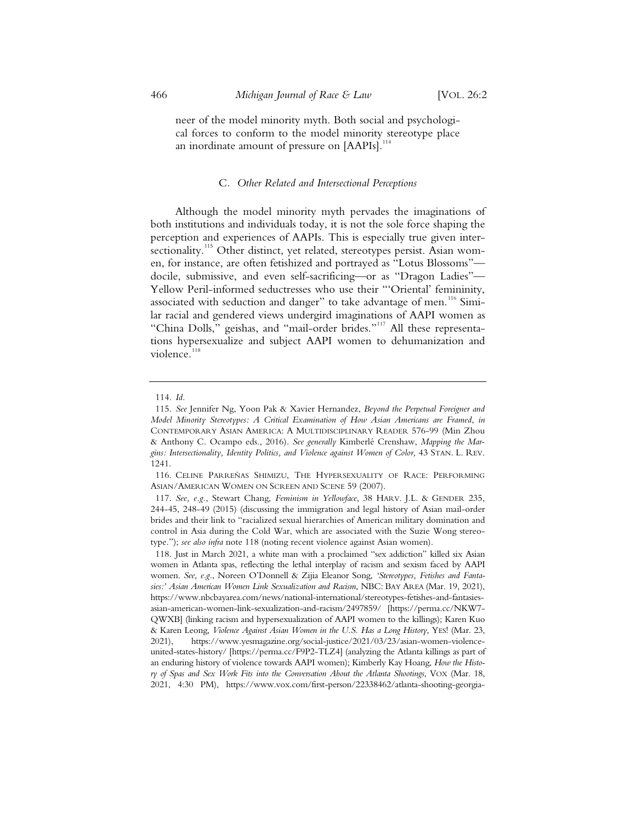neer of the model minority myth. Both social and psychological forces to conform to the model minority stereotype place an inordinate amount of pressure on  $[AAPIs]$ .<sup>114</sup>

#### C*. Other Related and Intersectional Perceptions*

Although the model minority myth pervades the imaginations of both institutions and individuals today, it is not the sole force shaping the perception and experiences of AAPIs. This is especially true given intersectionality.<sup>115</sup> Other distinct, yet related, stereotypes persist. Asian women, for instance, are often fetishized and portrayed as "Lotus Blossoms" docile, submissive, and even self-sacrificing—or as "Dragon Ladies"— Yellow Peril-informed seductresses who use their "'Oriental' femininity, associated with seduction and danger" to take advantage of men.<sup>116</sup> Similar racial and gendered views undergird imaginations of AAPI women as "China Dolls," geishas, and "mail-order brides."<sup>117</sup> All these representations hypersexualize and subject AAPI women to dehumanization and violence.<sup>118</sup>

 <sup>114.</sup> *Id.*

 <sup>115.</sup> *See* Jennifer Ng, Yoon Pak & Xavier Hernandez, *Beyond the Perpetual Foreigner and Model Minority Stereotypes: A Critical Examination of How Asian Americans are Framed*, *in*  CONTEMPORARY ASIAN AMERICA: A MULTIDISCIPLINARY READER 576-99 (Min Zhou & Anthony C. Ocampo eds., 2016). *See generally* Kimberlé Crenshaw, *Mapping the Margins: Intersectionality, Identity Politics, and Violence against Women of Color,* 43 STAN. L. REV. 1241.

 <sup>116.</sup> CELINE PARREÑAS SHIMIZU, THE HYPERSEXUALITY OF RACE: PERFORMING ASIAN/AMERICAN WOMEN ON SCREEN AND SCENE 59 (2007).

 <sup>117.</sup> *See, e.g.*, Stewart Chang, *Feminism in Yellowface*, 38 HARV. J.L. & GENDER 235, 244-45, 248-49 (2015) (discussing the immigration and legal history of Asian mail-order brides and their link to "racialized sexual hierarchies of American military domination and control in Asia during the Cold War, which are associated with the Suzie Wong stereotype."); *see also infra* note 118 (noting recent violence against Asian women).

 <sup>118.</sup> Just in March 2021, a white man with a proclaimed "sex addiction" killed six Asian women in Atlanta spas, reflecting the lethal interplay of racism and sexism faced by AAPI women. *See, e.g.*, Noreen O'Donnell & Zijia Eleanor Song, *'Stereotypes, Fetishes and Fantasies:' Asian American Women Link Sexualization and Racism*, NBC: BAY AREA (Mar. 19, 2021), https://www.nbcbayarea.com/news/national-international/stereotypes-fetishes-and-fantasiesasian-american-women-link-sexualization-and-racism/2497859/ [https://perma.cc/NKW7- QWXB] (linking racism and hypersexualization of AAPI women to the killings); Karen Kuo & Karen Leong, *Violence Against Asian Women in the U.S. Has a Long History*, YES! (Mar. 23, 2021), https://www.yesmagazine.org/social-justice/2021/03/23/asian-women-violenceunited-states-history/ [https://perma.cc/F9P2-TLZ4] (analyzing the Atlanta killings as part of an enduring history of violence towards AAPI women); Kimberly Kay Hoang, *How the History of Spas and Sex Work Fits into the Conversation About the Atlanta Shootings*, VOX (Mar. 18, 2021, 4:30 PM), https://www.vox.com/first-person/22338462/atlanta-shooting-georgia-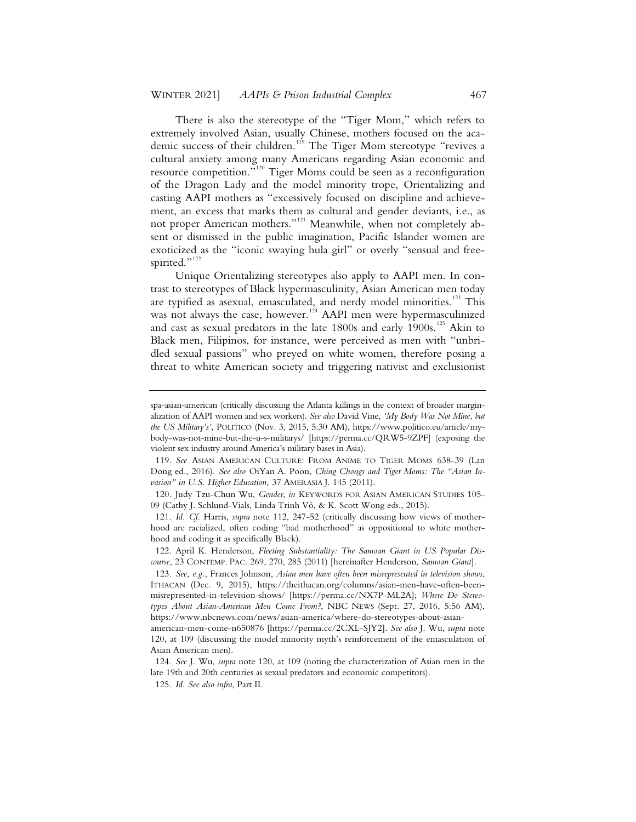There is also the stereotype of the "Tiger Mom," which refers to extremely involved Asian, usually Chinese, mothers focused on the academic success of their children.<sup>119</sup> The Tiger Mom stereotype "revives a cultural anxiety among many Americans regarding Asian economic and resource competition."<sup>120</sup> Tiger Moms could be seen as a reconfiguration of the Dragon Lady and the model minority trope, Orientalizing and casting AAPI mothers as "excessively focused on discipline and achievement, an excess that marks them as cultural and gender deviants, i.e., as not proper American mothers."<sup>121</sup> Meanwhile, when not completely absent or dismissed in the public imagination, Pacific Islander women are exoticized as the "iconic swaying hula girl" or overly "sensual and freespirited."<sup>122</sup>

Unique Orientalizing stereotypes also apply to AAPI men. In contrast to stereotypes of Black hypermasculinity, Asian American men today are typified as asexual, emasculated, and nerdy model minorities.<sup>123</sup> This was not always the case, however.<sup>124</sup> AAPI men were hypermasculinized and cast as sexual predators in the late 1800s and early 1900s.<sup>125</sup> Akin to Black men, Filipinos, for instance, were perceived as men with "unbridled sexual passions" who preyed on white women, therefore posing a threat to white American society and triggering nativist and exclusionist

spa-asian-american (critically discussing the Atlanta killings in the context of broader marginalization of AAPI women and sex workers). *See also* David Vine, *'My Body Was Not Mine, but the US Military's'*, POLITICO (Nov. 3, 2015, 5:30 AM), https://www.politico.eu/article/mybody-was-not-mine-but-the-u-s-militarys/ [https://perma.cc/QRW5-9ZPF] (exposing the violent sex industry around America's military bases in Asia).

<sup>119.</sup> *See* ASIAN AMERICAN CULTURE: FROM ANIME TO TIGER MOMS 638-39 (Lan Dong ed., 2016). *See also* OiYan A. Poon, *Ching Chongs and Tiger Moms: The "Asian Invasion" in U.S. Higher Education*, 37 AMERASIA J. 145 (2011).

<sup>120.</sup> Judy Tzu-Chun Wu, *Gender*, *in* KEYWORDS FOR ASIAN AMERICAN STUDIES 105- 09 (Cathy J. Schlund-Vials, Linda Trinh Võ, & K. Scott Wong eds., 2015).

<sup>121.</sup> *Id. Cf.* Harris, *supra* note 112, 247-52 (critically discussing how views of motherhood are racialized, often coding "bad motherhood" as oppositional to white motherhood and coding it as specifically Black).

<sup>122.</sup> April K. Henderson, *Fleeting Substantiality: The Samoan Giant in US Popular Discourse*, 23 CONTEMP. PAC. 269, 270, 285 (2011) [hereinafter Henderson, *Samoan Giant*].

<sup>123.</sup> *See, e.g.*, Frances Johnson, *Asian men have often been misrepresented in television shows*, ITHACAN (Dec. 9, 2015), https://theithacan.org/columns/asian-men-have-often-beenmisrepresented-in-television-shows/ [https://perma.cc/NX7P-ML2A]; *Where Do Stereotypes About Asian-American Men Come From?*, NBC NEWS (Sept. 27, 2016, 5:56 AM), https://www.nbcnews.com/news/asian-america/where-do-stereotypes-about-asian-

american-men-come-n650876 [https://perma.cc/2CXL-SJY2]. *See also* J. Wu, *supra* note 120, at 109 (discussing the model minority myth's reinforcement of the emasculation of Asian American men).

<sup>124.</sup> *See* J. Wu, *supra* note 120, at 109 (noting the characterization of Asian men in the late 19th and 20th centuries as sexual predators and economic competitors)*.*

<sup>125.</sup> *Id. See also infra*, Part II.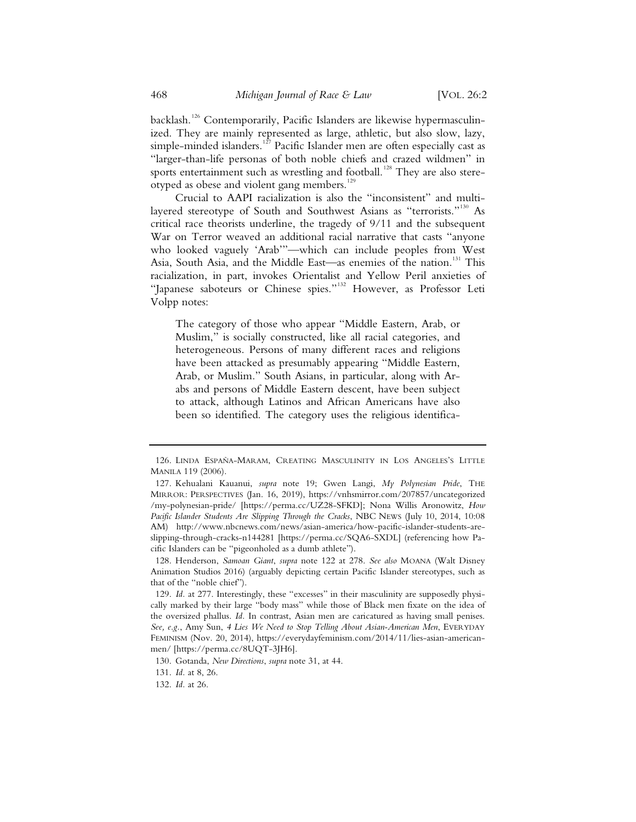backlash.<sup>126</sup> Contemporarily, Pacific Islanders are likewise hypermasculinized. They are mainly represented as large, athletic, but also slow, lazy, simple-minded islanders.<sup>127</sup> Pacific Islander men are often especially cast as "larger-than-life personas of both noble chiefs and crazed wildmen" in sports entertainment such as wrestling and football.<sup>128</sup> They are also stereotyped as obese and violent gang members.<sup>129</sup>

Crucial to AAPI racialization is also the "inconsistent" and multilayered stereotype of South and Southwest Asians as "terrorists."<sup>130</sup> As critical race theorists underline, the tragedy of 9/11 and the subsequent War on Terror weaved an additional racial narrative that casts "anyone who looked vaguely 'Arab'"—which can include peoples from West Asia, South Asia, and the Middle East-as enemies of the nation.<sup>131</sup> This racialization, in part, invokes Orientalist and Yellow Peril anxieties of "Japanese saboteurs or Chinese spies."<sup>132</sup> However, as Professor Leti Volpp notes:

The category of those who appear "Middle Eastern, Arab, or Muslim," is socially constructed, like all racial categories, and heterogeneous. Persons of many different races and religions have been attacked as presumably appearing "Middle Eastern, Arab, or Muslim." South Asians, in particular, along with Arabs and persons of Middle Eastern descent, have been subject to attack, although Latinos and African Americans have also been so identified. The category uses the religious identifica-

<sup>126.</sup> LINDA ESPAÑA-MARAM, CREATING MASCULINITY IN LOS ANGELES'S LITTLE MANILA 119 (2006).

<sup>127.</sup> Kehualani Kauanui, *supra* note 19; Gwen Langi, *My Polynesian Pride*, THE MIRROR: PERSPECTIVES (Jan. 16, 2019), https://vnhsmirror.com/207857/uncategorized /my-polynesian-pride/ [https://perma.cc/UZ28-SFKD]; Nona Willis Aronowitz, *How Pacific Islander Students Are Slipping Through the Cracks*, NBC NEWS (July 10, 2014, 10:08 AM) http://www.nbcnews.com/news/asian-america/how-pacific-islander-students-areslipping-through-cracks-n144281 [https://perma.cc/SQA6-SXDL] (referencing how Pacific Islanders can be "pigeonholed as a dumb athlete").

<sup>128.</sup> Henderson, *Samoan Giant*, *supra* note 122 at 278. *See also* MOANA (Walt Disney Animation Studios 2016) (arguably depicting certain Pacific Islander stereotypes, such as that of the "noble chief").

<sup>129.</sup> *Id.* at 277. Interestingly, these "excesses" in their masculinity are supposedly physically marked by their large "body mass" while those of Black men fixate on the idea of the oversized phallus. *Id.* In contrast, Asian men are caricatured as having small penises. *See, e.g.*, Amy Sun, *4 Lies We Need to Stop Telling About Asian-American Men*, EVERYDAY FEMINISM (Nov. 20, 2014), https://everydayfeminism.com/2014/11/lies-asian-americanmen/ [https://perma.cc/8UQT-3JH6].

<sup>130.</sup> Gotanda, *New Directions*, *supra* note 31, at 44.

<sup>131.</sup> *Id.* at 8, 26.

<sup>132.</sup> *Id.* at 26.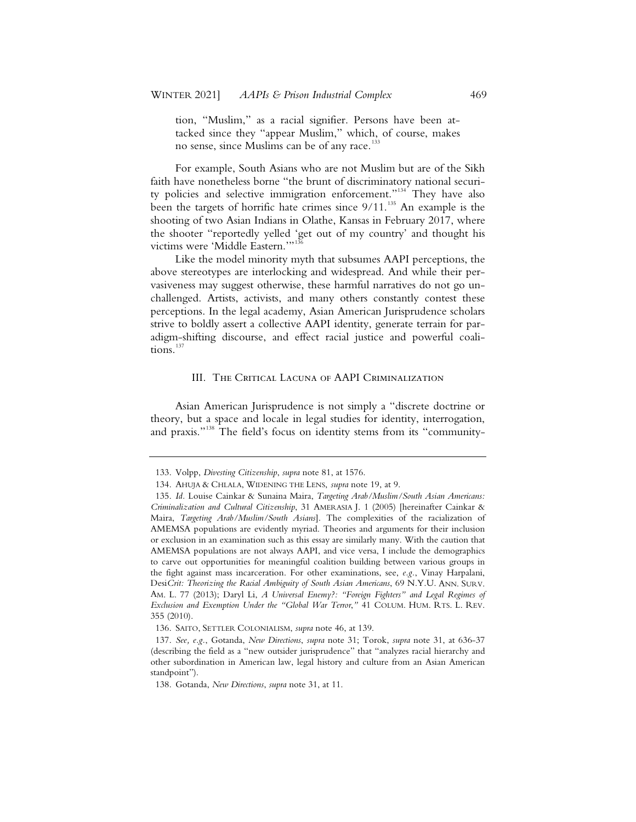tion, "Muslim," as a racial signifier. Persons have been attacked since they "appear Muslim," which, of course, makes no sense, since Muslims can be of any race.<sup>133</sup>

For example, South Asians who are not Muslim but are of the Sikh faith have nonetheless borne "the brunt of discriminatory national security policies and selective immigration enforcement."<sup>134</sup> They have also been the targets of horrific hate crimes since  $9/11$ .<sup>135</sup> An example is the shooting of two Asian Indians in Olathe, Kansas in February 2017, where the shooter "reportedly yelled 'get out of my country' and thought his victims were 'Middle Eastern.'"<sup>136</sup>

Like the model minority myth that subsumes AAPI perceptions, the above stereotypes are interlocking and widespread. And while their pervasiveness may suggest otherwise, these harmful narratives do not go unchallenged. Artists, activists, and many others constantly contest these perceptions. In the legal academy, Asian American Jurisprudence scholars strive to boldly assert a collective AAPI identity, generate terrain for paradigm-shifting discourse, and effect racial justice and powerful coalitions.<sup>137</sup>

#### III. The Critical Lacuna of AAPI Criminalization

Asian American Jurisprudence is not simply a "discrete doctrine or theory, but a space and locale in legal studies for identity, interrogation, and praxis."<sup>138</sup> The field's focus on identity stems from its "community-

<sup>133.</sup> Volpp, *Divesting Citizenship*, *supra* note 81, at 1576.

<sup>134.</sup> AHUJA & CHLALA, WIDENING THE LENS, *supra* note 19, at 9.

<sup>135.</sup> *Id.* Louise Cainkar & Sunaina Maira, *Targeting Arab/Muslim/South Asian Americans: Criminalization and Cultural Citizenship*, 31 AMERASIA J. 1 (2005) [hereinafter Cainkar & Maira, *Targeting Arab/Muslim/South Asians*]. The complexities of the racialization of AMEMSA populations are evidently myriad. Theories and arguments for their inclusion or exclusion in an examination such as this essay are similarly many. With the caution that AMEMSA populations are not always AAPI, and vice versa, I include the demographics to carve out opportunities for meaningful coalition building between various groups in the fight against mass incarceration. For other examinations, see, *e.g.*, Vinay Harpalani, Desi*Crit: Theorizing the Racial Ambiguity of South Asian Americans*, 69 N.Y.U. ANN. SURV. AM. L. 77 (2013); Daryl Li, *A Universal Enemy?: "Foreign Fighters" and Legal Regimes of Exclusion and Exemption Under the "Global War Terror*,*"* 41 COLUM. HUM. RTS. L. REV. 355 (2010).

<sup>136.</sup> SAITO, SETTLER COLONIALISM, *supra* note 46, at 139.

<sup>137.</sup> *See, e.g.*, Gotanda, *New Directions*, *supra* note 31; Torok, *supra* note 31, at 636-37 (describing the field as a "new outsider jurisprudence" that "analyzes racial hierarchy and other subordination in American law, legal history and culture from an Asian American standpoint").

<sup>138.</sup> Gotanda, *New Directions*, *supra* note 31, at 11.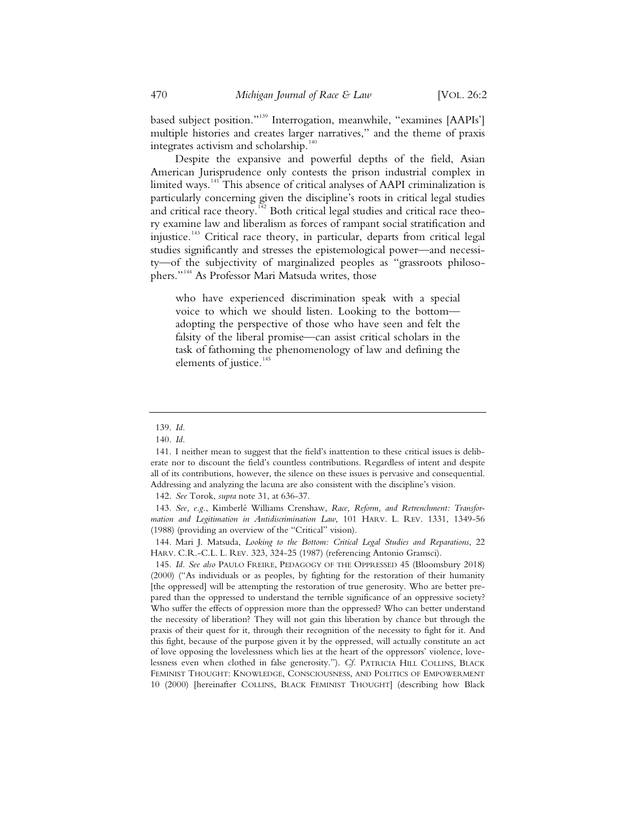based subject position."<sup>139</sup> Interrogation, meanwhile, "examines [AAPIs'] multiple histories and creates larger narratives," and the theme of praxis integrates activism and scholarship. $140$ 

Despite the expansive and powerful depths of the field, Asian American Jurisprudence only contests the prison industrial complex in limited ways.<sup>141</sup> This absence of critical analyses of AAPI criminalization is particularly concerning given the discipline's roots in critical legal studies and critical race theory.<sup>142</sup> Both critical legal studies and critical race theory examine law and liberalism as forces of rampant social stratification and injustice.<sup>143</sup> Critical race theory, in particular, departs from critical legal studies significantly and stresses the epistemological power—and necessity—of the subjectivity of marginalized peoples as "grassroots philosophers."<sup>144</sup> As Professor Mari Matsuda writes, those

who have experienced discrimination speak with a special voice to which we should listen. Looking to the bottom adopting the perspective of those who have seen and felt the falsity of the liberal promise—can assist critical scholars in the task of fathoming the phenomenology of law and defining the elements of justice.<sup>145</sup>

<sup>139.</sup> *Id.*

<sup>140.</sup> *Id.*

<sup>141.</sup> I neither mean to suggest that the field's inattention to these critical issues is deliberate nor to discount the field's countless contributions. Regardless of intent and despite all of its contributions, however, the silence on these issues is pervasive and consequential. Addressing and analyzing the lacuna are also consistent with the discipline's vision.

<sup>142.</sup> *See* Torok, *supra* note 31, at 636-37.

<sup>143.</sup> *See, e.g.*, Kimberlé Williams Crenshaw, *Race, Reform, and Retrenchment: Transformation and Legitimation in Antidiscrimination Law*, 101 HARV. L. REV. 1331, 1349-56 (1988) (providing an overview of the "Critical" vision).

<sup>144.</sup> Mari J. Matsuda, *Looking to the Bottom: Critical Legal Studies and Reparations*, 22 HARV. C.R.-C.L. L. REV. 323, 324-25 (1987) (referencing Antonio Gramsci).

<sup>145.</sup> *Id. See also* PAULO FREIRE, PEDAGOGY OF THE OPPRESSED 45 (Bloomsbury 2018) (2000) ("As individuals or as peoples, by fighting for the restoration of their humanity [the oppressed] will be attempting the restoration of true generosity. Who are better prepared than the oppressed to understand the terrible significance of an oppressive society? Who suffer the effects of oppression more than the oppressed? Who can better understand the necessity of liberation? They will not gain this liberation by chance but through the praxis of their quest for it, through their recognition of the necessity to fight for it. And this fight, because of the purpose given it by the oppressed, will actually constitute an act of love opposing the lovelessness which lies at the heart of the oppressors' violence, lovelessness even when clothed in false generosity."). *Cf.* PATRICIA HILL COLLINS, BLACK FEMINIST THOUGHT: KNOWLEDGE, CONSCIOUSNESS, AND POLITICS OF EMPOWERMENT 10 (2000) [hereinafter COLLINS, BLACK FEMINIST THOUGHT] (describing how Black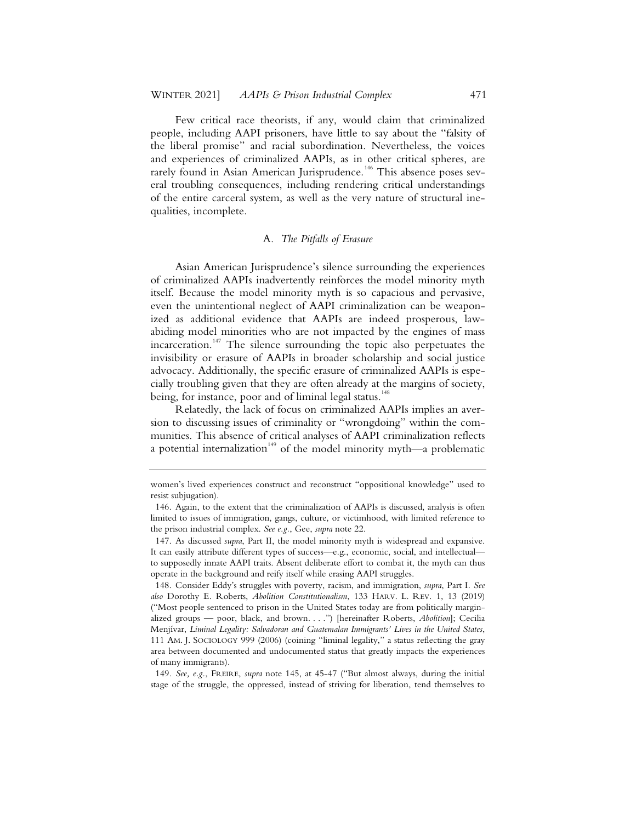Few critical race theorists, if any, would claim that criminalized people, including AAPI prisoners, have little to say about the "falsity of the liberal promise" and racial subordination. Nevertheless, the voices and experiences of criminalized AAPIs, as in other critical spheres, are rarely found in Asian American Jurisprudence.<sup>146</sup> This absence poses several troubling consequences, including rendering critical understandings of the entire carceral system, as well as the very nature of structural inequalities, incomplete.

#### A*. The Pitfalls of Erasure*

Asian American Jurisprudence's silence surrounding the experiences of criminalized AAPIs inadvertently reinforces the model minority myth itself. Because the model minority myth is so capacious and pervasive, even the unintentional neglect of AAPI criminalization can be weaponized as additional evidence that AAPIs are indeed prosperous, lawabiding model minorities who are not impacted by the engines of mass incarceration.<sup>147</sup> The silence surrounding the topic also perpetuates the invisibility or erasure of AAPIs in broader scholarship and social justice advocacy. Additionally, the specific erasure of criminalized AAPIs is especially troubling given that they are often already at the margins of society, being, for instance, poor and of liminal legal status.<sup>148</sup>

Relatedly, the lack of focus on criminalized AAPIs implies an aversion to discussing issues of criminality or "wrongdoing" within the communities. This absence of critical analyses of AAPI criminalization reflects a potential internalization<sup>149</sup> of the model minority myth—a problematic

women's lived experiences construct and reconstruct "oppositional knowledge" used to resist subjugation).

<sup>146.</sup> Again, to the extent that the criminalization of AAPIs is discussed, analysis is often limited to issues of immigration, gangs, culture, or victimhood, with limited reference to the prison industrial complex. *See e.g.*, Gee, *supra* note 22.

<sup>147.</sup> As discussed *supra*, Part II, the model minority myth is widespread and expansive. It can easily attribute different types of success—e.g., economic, social, and intellectual to supposedly innate AAPI traits. Absent deliberate effort to combat it, the myth can thus operate in the background and reify itself while erasing AAPI struggles.

<sup>148.</sup> Consider Eddy's struggles with poverty, racism, and immigration, *supra*, Part I. *See also* Dorothy E. Roberts, *Abolition Constitutionalism*, 133 HARV. L. REV. 1, 13 (2019) ("Most people sentenced to prison in the United States today are from politically marginalized groups — poor, black, and brown. . . .") [hereinafter Roberts, *Abolition*]; Cecilia Menjívar, *Liminal Legality: Salvadoran and Guatemalan Immigrants' Lives in the United States*, 111 AM. J. SOCIOLOGY 999 (2006) (coining "liminal legality," a status reflecting the gray area between documented and undocumented status that greatly impacts the experiences of many immigrants).

<sup>149.</sup> *See, e.g.*, FREIRE, *supra* note 145, at 45-47 ("But almost always, during the initial stage of the struggle, the oppressed, instead of striving for liberation, tend themselves to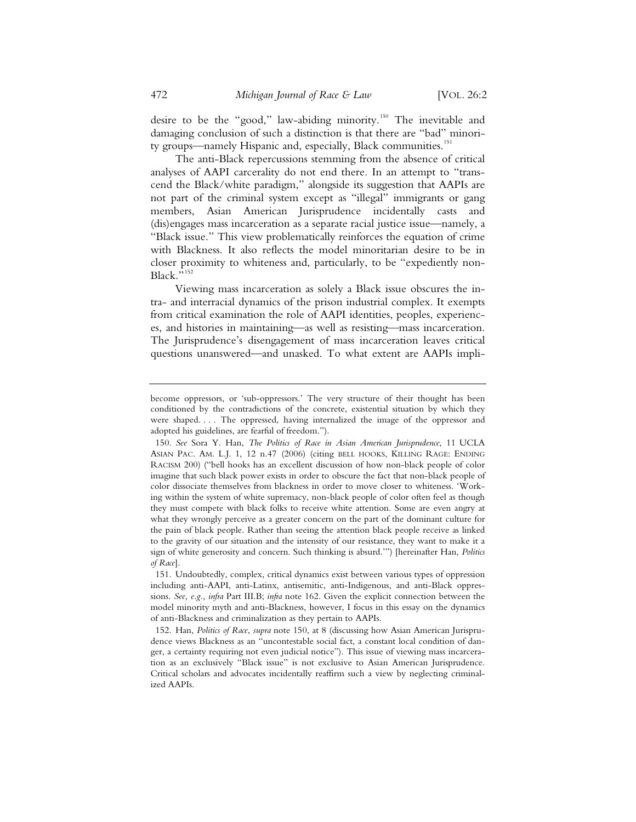desire to be the "good," law-abiding minority.<sup>150</sup> The inevitable and damaging conclusion of such a distinction is that there are "bad" minority groups—namely Hispanic and, especially, Black communities.<sup>151</sup>

The anti-Black repercussions stemming from the absence of critical analyses of AAPI carcerality do not end there. In an attempt to "transcend the Black/white paradigm," alongside its suggestion that AAPIs are not part of the criminal system except as "illegal" immigrants or gang members, Asian American Jurisprudence incidentally casts and (dis)engages mass incarceration as a separate racial justice issue—namely, a "Black issue." This view problematically reinforces the equation of crime with Blackness. It also reflects the model minoritarian desire to be in closer proximity to whiteness and, particularly, to be "expediently non-Black."<sup>152</sup>

Viewing mass incarceration as solely a Black issue obscures the intra- and interracial dynamics of the prison industrial complex. It exempts from critical examination the role of AAPI identities, peoples, experiences, and histories in maintaining—as well as resisting—mass incarceration. The Jurisprudence's disengagement of mass incarceration leaves critical questions unanswered—and unasked. To what extent are AAPIs impli-

become oppressors, or 'sub-oppressors.' The very structure of their thought has been conditioned by the contradictions of the concrete, existential situation by which they were shaped. . . . The oppressed, having internalized the image of the oppressor and adopted his guidelines, are fearful of freedom.").

<sup>150.</sup> *See* Sora Y. Han, *The Politics of Race in Asian American Jurisprudence*, 11 UCLA ASIAN PAC. AM. L.J. 1, 12 n.47 (2006) (citing BELL HOOKS, KILLING RAGE: ENDING RACISM 200) ("bell hooks has an excellent discussion of how non-black people of color imagine that such black power exists in order to obscure the fact that non-black people of color dissociate themselves from blackness in order to move closer to whiteness. 'Working within the system of white supremacy, non-black people of color often feel as though they must compete with black folks to receive white attention. Some are even angry at what they wrongly perceive as a greater concern on the part of the dominant culture for the pain of black people. Rather than seeing the attention black people receive as linked to the gravity of our situation and the intensity of our resistance, they want to make it a sign of white generosity and concern. Such thinking is absurd.'") [hereinafter Han, *Politics of Race*].

<sup>151.</sup> Undoubtedly, complex, critical dynamics exist between various types of oppression including anti-AAPI, anti-Latinx, antisemitic, anti-Indigenous, and anti-Black oppressions. *See, e.g.*, *infra* Part III.B; *infra* note 162. Given the explicit connection between the model minority myth and anti-Blackness, however, I focus in this essay on the dynamics of anti-Blackness and criminalization as they pertain to AAPIs.

<sup>152.</sup> Han, *Politics of Race*, *supra* note 150, at 8 (discussing how Asian American Jurisprudence views Blackness as an "uncontestable social fact, a constant local condition of danger, a certainty requiring not even judicial notice"). This issue of viewing mass incarceration as an exclusively "Black issue" is not exclusive to Asian American Jurisprudence. Critical scholars and advocates incidentally reaffirm such a view by neglecting criminalized AAPIs.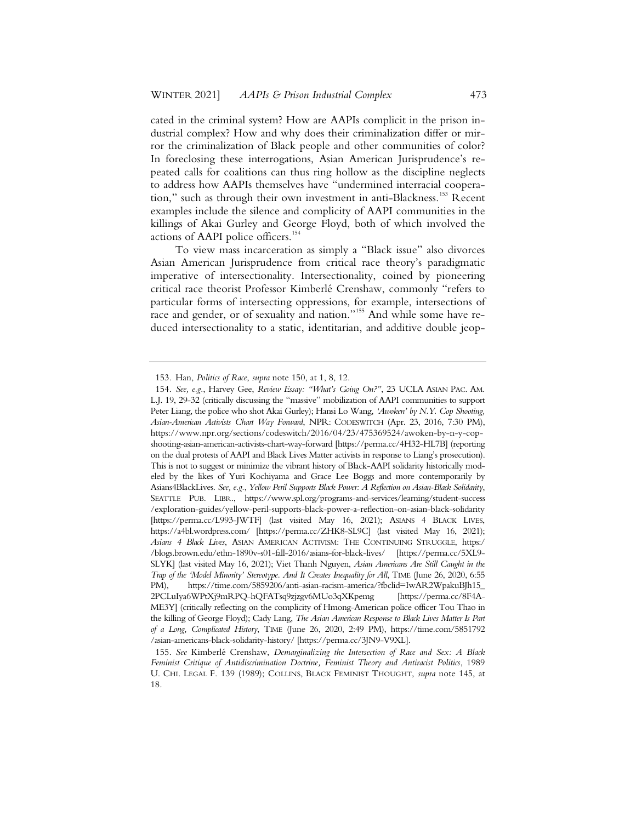cated in the criminal system? How are AAPIs complicit in the prison industrial complex? How and why does their criminalization differ or mirror the criminalization of Black people and other communities of color? In foreclosing these interrogations, Asian American Jurisprudence's repeated calls for coalitions can thus ring hollow as the discipline neglects to address how AAPIs themselves have "undermined interracial cooperation," such as through their own investment in anti-Blackness.<sup>153</sup> Recent examples include the silence and complicity of AAPI communities in the killings of Akai Gurley and George Floyd, both of which involved the actions of AAPI police officers.<sup>154</sup>

To view mass incarceration as simply a "Black issue" also divorces Asian American Jurisprudence from critical race theory's paradigmatic imperative of intersectionality. Intersectionality, coined by pioneering critical race theorist Professor Kimberlé Crenshaw, commonly "refers to particular forms of intersecting oppressions, for example, intersections of race and gender, or of sexuality and nation."<sup>155</sup> And while some have reduced intersectionality to a static, identitarian, and additive double jeop-

<sup>153.</sup> Han, *Politics of Race*, *supra* note 150, at 1, 8, 12.

<sup>154.</sup> *See, e.g.*, Harvey Gee, *Review Essay: "What's Going On?"*, 23 UCLA ASIAN PAC. AM. L.J. 19, 29-32 (critically discussing the "massive" mobilization of AAPI communities to support Peter Liang, the police who shot Akai Gurley); Hansi Lo Wang, *'Awoken' by N.Y. Cop Shooting, Asian-American Activists Chart Way Forward*, NPR: CODESWITCH (Apr. 23, 2016, 7:30 PM), https://www.npr.org/sections/codeswitch/2016/04/23/475369524/awoken-by-n-y-copshooting-asian-american-activists-chart-way-forward [https://perma.cc/4H32-HL7B] (reporting on the dual protests of AAPI and Black Lives Matter activists in response to Liang's prosecution). This is not to suggest or minimize the vibrant history of Black-AAPI solidarity historically modeled by the likes of Yuri Kochiyama and Grace Lee Boggs and more contemporarily by Asians4BlackLives. *See, e.g.*, *Yellow Peril Supports Black Power: A Reflection on Asian-Black Solidarity*, SEATTLE PUB. LIBR., https://www.spl.org/programs-and-services/learning/student-success /exploration-guides/yellow-peril-supports-black-power-a-reflection-on-asian-black-solidarity [https://perma.cc/L993-JWTF] (last visited May 16, 2021); ASIANS 4 BLACK LIVES, https://a4bl.wordpress.com/ [https://perma.cc/ZHK8-SL9C] (last visited May 16, 2021); *Asians 4 Black Lives*, ASIAN AMERICAN ACTIVISM: THE CONTINUING STRUGGLE, https:/ /blogs.brown.edu/ethn-1890v-s01-fall-2016/asians-for-black-lives/ [https://perma.cc/5XL9- SLYK] (last visited May 16, 2021); Viet Thanh Nguyen, *Asian Americans Are Still Caught in the Trap of the 'Model Minority' Stereotype. And It Creates Inequality for All*, TIME (June 26, 2020, 6:55 PM), https://time.com/5859206/anti-asian-racism-america/?fbclid=IwAR2WpakuBJh15\_ 2PCLuIya6WPtXj9mRPQ-hQFATsq9zjzgv6MUo3qXKpemg [https://perma.cc/8F4A-ME3Y] (critically reflecting on the complicity of Hmong-American police officer Tou Thao in the killing of George Floyd); Cady Lang, *The Asian American Response to Black Lives Matter Is Part of a Long, Complicated History*, TIME (June 26, 2020, 2:49 PM), https://time.com/5851792 /asian-americans-black-solidarity-history/ [https://perma.cc/3JN9-V9XL].

<sup>155.</sup> *See* Kimberlé Crenshaw, *Demarginalizing the Intersection of Race and Sex: A Black Feminist Critique of Antidiscrimination Doctrine, Feminist Theory and Antiracist Politics*, 1989 U. CHI. LEGAL F. 139 (1989); COLLINS, BLACK FEMINIST THOUGHT, *supra* note 145, at 18.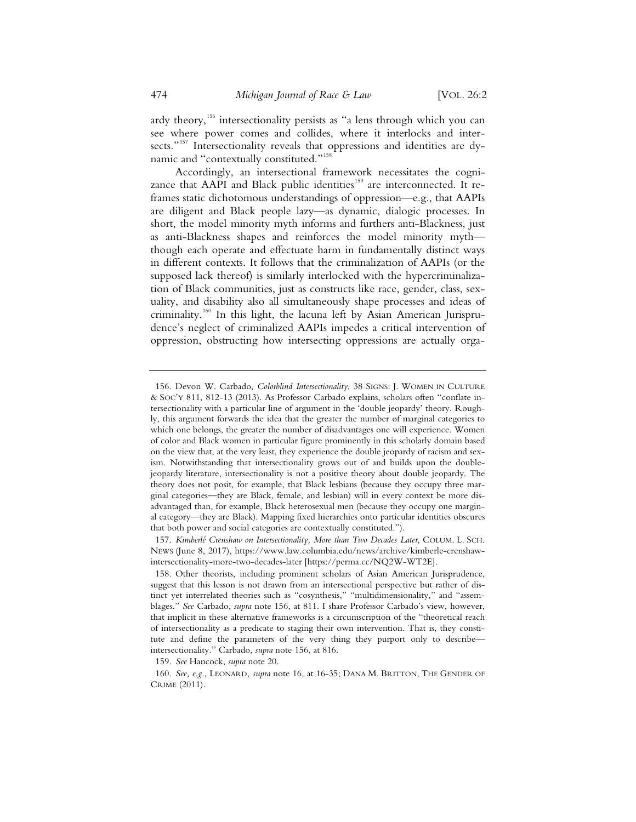ardy theory,<sup>156</sup> intersectionality persists as "a lens through which you can see where power comes and collides, where it interlocks and intersects."<sup>157</sup> Intersectionality reveals that oppressions and identities are dynamic and "contextually constituted."<sup>158</sup>

Accordingly, an intersectional framework necessitates the cognizance that AAPI and Black public identities<sup>159</sup> are interconnected. It reframes static dichotomous understandings of oppression—e.g., that AAPIs are diligent and Black people lazy—as dynamic, dialogic processes. In short, the model minority myth informs and furthers anti-Blackness, just as anti-Blackness shapes and reinforces the model minority myth though each operate and effectuate harm in fundamentally distinct ways in different contexts. It follows that the criminalization of AAPIs (or the supposed lack thereof) is similarly interlocked with the hypercriminalization of Black communities, just as constructs like race, gender, class, sexuality, and disability also all simultaneously shape processes and ideas of criminality.<sup>160</sup> In this light, the lacuna left by Asian American Jurisprudence's neglect of criminalized AAPIs impedes a critical intervention of oppression, obstructing how intersecting oppressions are actually orga-

159. *See* Hancock, *supra* note 20.

<sup>156.</sup> Devon W. Carbado, *Colorblind Intersectionality*, 38 SIGNS: J. WOMEN IN CULTURE & SOC'Y 811, 812-13 (2013). As Professor Carbado explains, scholars often "conflate intersectionality with a particular line of argument in the 'double jeopardy' theory. Roughly, this argument forwards the idea that the greater the number of marginal categories to which one belongs, the greater the number of disadvantages one will experience. Women of color and Black women in particular figure prominently in this scholarly domain based on the view that, at the very least, they experience the double jeopardy of racism and sexism. Notwithstanding that intersectionality grows out of and builds upon the doublejeopardy literature, intersectionality is not a positive theory about double jeopardy. The theory does not posit, for example, that Black lesbians (because they occupy three marginal categories—they are Black, female, and lesbian) will in every context be more disadvantaged than, for example, Black heterosexual men (because they occupy one marginal category—they are Black). Mapping fixed hierarchies onto particular identities obscures that both power and social categories are contextually constituted.").

<sup>157.</sup> *Kimberlé Crenshaw on Intersectionality, More than Two Decades Later*, COLUM. L. SCH. NEWS (June 8, 2017), https://www.law.columbia.edu/news/archive/kimberle-crenshawintersectionality-more-two-decades-later [https://perma.cc/NQ2W-WT2E].

<sup>158.</sup> Other theorists, including prominent scholars of Asian American Jurisprudence, suggest that this lesson is not drawn from an intersectional perspective but rather of distinct yet interrelated theories such as "cosynthesis," "multidimensionality," and "assemblages." *See* Carbado, *supra* note 156, at 811. I share Professor Carbado's view, however, that implicit in these alternative frameworks is a circumscription of the "theoretical reach of intersectionality as a predicate to staging their own intervention. That is, they constitute and define the parameters of the very thing they purport only to describe intersectionality." Carbado, *supra* note 156, at 816.

<sup>160.</sup> *See, e.g.*, LEONARD, *supra* note 16, at 16-35; DANA M. BRITTON, THE GENDER OF CRIME (2011).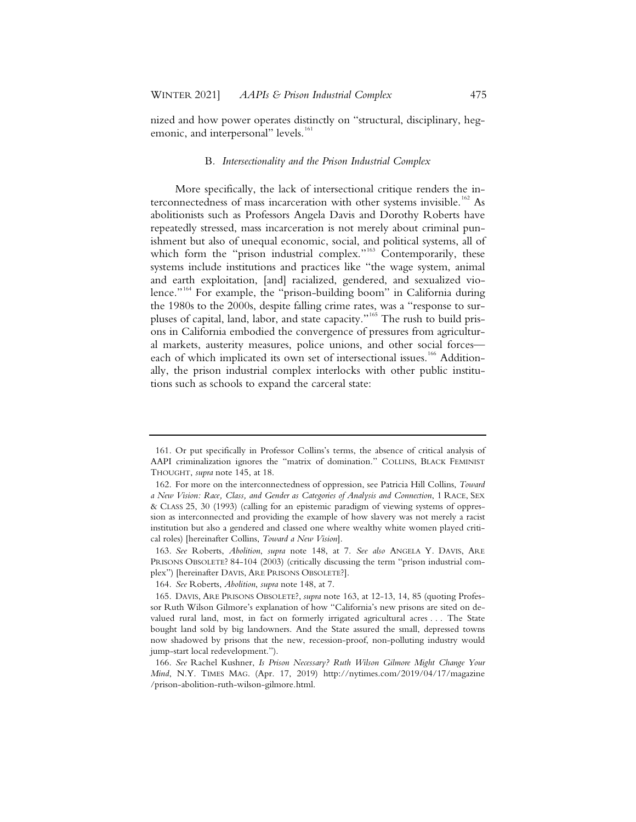nized and how power operates distinctly on "structural, disciplinary, hegemonic, and interpersonal" levels.<sup>161</sup>

#### B*. Intersectionality and the Prison Industrial Complex*

More specifically, the lack of intersectional critique renders the interconnectedness of mass incarceration with other systems invisible.<sup>162</sup> As abolitionists such as Professors Angela Davis and Dorothy Roberts have repeatedly stressed, mass incarceration is not merely about criminal punishment but also of unequal economic, social, and political systems, all of which form the "prison industrial complex."<sup>163</sup> Contemporarily, these systems include institutions and practices like "the wage system, animal and earth exploitation, [and] racialized, gendered, and sexualized violence."<sup>164</sup> For example, the "prison-building boom" in California during the 1980s to the 2000s, despite falling crime rates, was a "response to surpluses of capital, land, labor, and state capacity."<sup>165</sup> The rush to build prisons in California embodied the convergence of pressures from agricultural markets, austerity measures, police unions, and other social forces each of which implicated its own set of intersectional issues.<sup>166</sup> Additionally, the prison industrial complex interlocks with other public institutions such as schools to expand the carceral state:

<sup>161.</sup> Or put specifically in Professor Collins's terms, the absence of critical analysis of AAPI criminalization ignores the "matrix of domination." COLLINS, BLACK FEMINIST THOUGHT, *supra* note 145, at 18.

<sup>162.</sup> For more on the interconnectedness of oppression, see Patricia Hill Collins, *Toward a New Vision: Race, Class, and Gender as Categories of Analysis and Connection*,1RACE, SEX & CLASS 25, 30 (1993) (calling for an epistemic paradigm of viewing systems of oppression as interconnected and providing the example of how slavery was not merely a racist institution but also a gendered and classed one where wealthy white women played critical roles) [hereinafter Collins, *Toward a New Vision*].

<sup>163.</sup> *See* Roberts, *Abolition*, *supra* note 148, at 7. *See also* ANGELA Y. DAVIS, ARE PRISONS OBSOLETE? 84-104 (2003) (critically discussing the term "prison industrial complex") [hereinafter DAVIS, ARE PRISONS OBSOLETE?].

<sup>164.</sup> *See* Roberts, *Abolition*, *supra* note 148, at 7.

<sup>165.</sup> DAVIS, ARE PRISONS OBSOLETE?, *supra* note 163, at 12-13, 14, 85 (quoting Professor Ruth Wilson Gilmore's explanation of how "California's new prisons are sited on devalued rural land, most, in fact on formerly irrigated agricultural acres . . . The State bought land sold by big landowners. And the State assured the small, depressed towns now shadowed by prisons that the new, recession-proof, non-polluting industry would jump-start local redevelopment.").

<sup>166.</sup> *See* Rachel Kushner, *Is Prison Necessary? Ruth Wilson Gilmore Might Change Your Mind*, N.Y. TIMES MAG. (Apr. 17, 2019) http://nytimes.com/2019/04/17/magazine /prison-abolition-ruth-wilson-gilmore.html.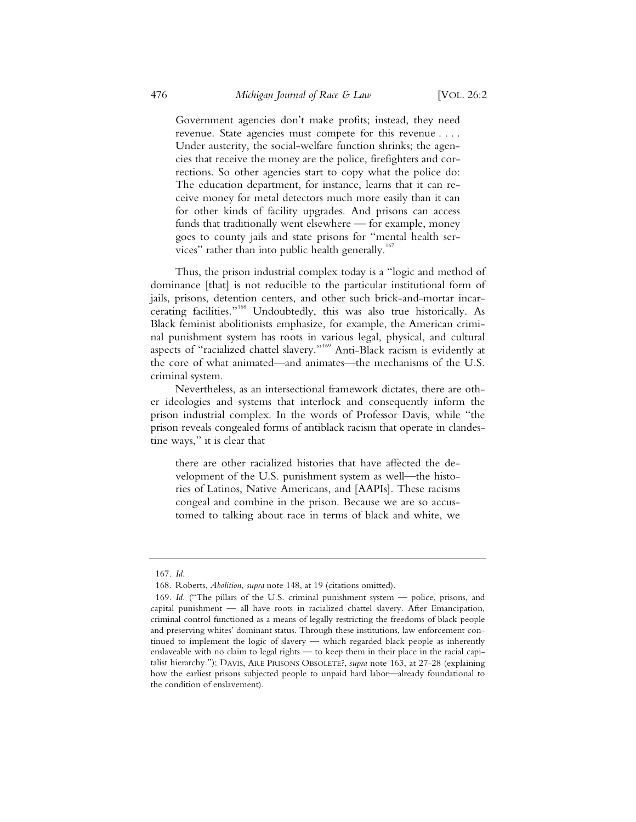Government agencies don't make profits; instead, they need revenue. State agencies must compete for this revenue . . . . Under austerity, the social-welfare function shrinks; the agencies that receive the money are the police, firefighters and corrections. So other agencies start to copy what the police do: The education department, for instance, learns that it can receive money for metal detectors much more easily than it can for other kinds of facility upgrades. And prisons can access funds that traditionally went elsewhere — for example, money goes to county jails and state prisons for "mental health services" rather than into public health generally. $167$ 

Thus, the prison industrial complex today is a "logic and method of dominance [that] is not reducible to the particular institutional form of jails, prisons, detention centers, and other such brick-and-mortar incarcerating facilities."<sup>168</sup> Undoubtedly, this was also true historically. As Black feminist abolitionists emphasize, for example, the American criminal punishment system has roots in various legal, physical, and cultural aspects of "racialized chattel slavery."<sup>169</sup> Anti-Black racism is evidently at the core of what animated—and animates—the mechanisms of the U.S. criminal system.

Nevertheless, as an intersectional framework dictates, there are other ideologies and systems that interlock and consequently inform the prison industrial complex. In the words of Professor Davis, while "the prison reveals congealed forms of antiblack racism that operate in clandestine ways," it is clear that

there are other racialized histories that have affected the development of the U.S. punishment system as well—the histories of Latinos, Native Americans, and [AAPIs]. These racisms congeal and combine in the prison. Because we are so accustomed to talking about race in terms of black and white, we

<sup>167.</sup> *Id.*

<sup>168.</sup> Roberts, *Abolition*, *supra* note 148, at 19 (citations omitted).

<sup>169.</sup> *Id.* ("The pillars of the U.S. criminal punishment system — police, prisons, and capital punishment — all have roots in racialized chattel slavery. After Emancipation, criminal control functioned as a means of legally restricting the freedoms of black people and preserving whites' dominant status. Through these institutions, law enforcement continued to implement the logic of slavery — which regarded black people as inherently enslaveable with no claim to legal rights — to keep them in their place in the racial capitalist hierarchy."); DAVIS, ARE PRISONS OBSOLETE?, *supra* note 163, at 27-28 (explaining how the earliest prisons subjected people to unpaid hard labor—already foundational to the condition of enslavement).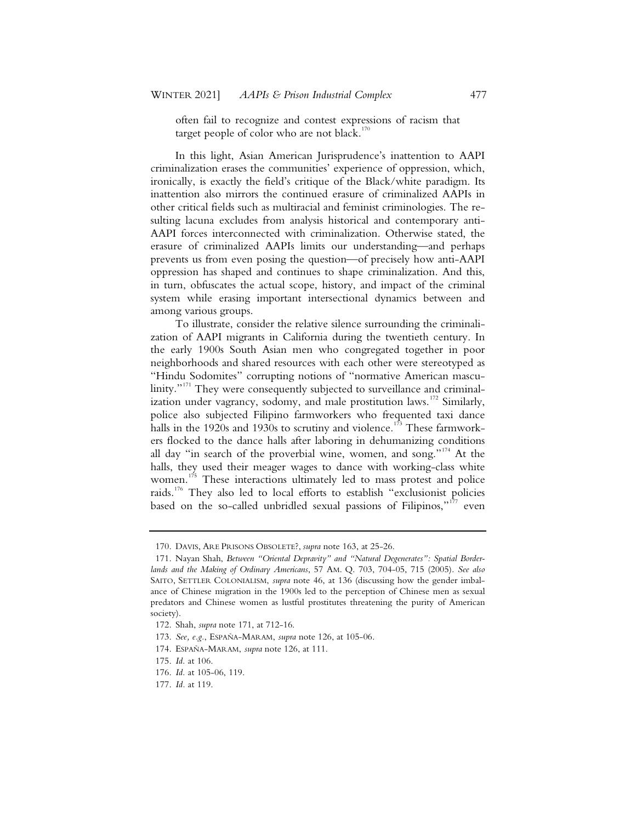often fail to recognize and contest expressions of racism that target people of color who are not black.<sup>170</sup>

In this light, Asian American Jurisprudence's inattention to AAPI criminalization erases the communities' experience of oppression, which, ironically, is exactly the field's critique of the Black/white paradigm. Its inattention also mirrors the continued erasure of criminalized AAPIs in other critical fields such as multiracial and feminist criminologies. The resulting lacuna excludes from analysis historical and contemporary anti-AAPI forces interconnected with criminalization. Otherwise stated, the erasure of criminalized AAPIs limits our understanding—and perhaps prevents us from even posing the question—of precisely how anti-AAPI oppression has shaped and continues to shape criminalization. And this, in turn, obfuscates the actual scope, history, and impact of the criminal system while erasing important intersectional dynamics between and among various groups.

To illustrate, consider the relative silence surrounding the criminalization of AAPI migrants in California during the twentieth century. In the early 1900s South Asian men who congregated together in poor neighborhoods and shared resources with each other were stereotyped as "Hindu Sodomites" corrupting notions of "normative American masculinity."<sup>171</sup> They were consequently subjected to surveillance and criminalization under vagrancy, sodomy, and male prostitution laws.<sup>172</sup> Similarly, police also subjected Filipino farmworkers who frequented taxi dance halls in the 1920s and 1930s to scrutiny and violence.<sup>173</sup> These farmworkers flocked to the dance halls after laboring in dehumanizing conditions all day "in search of the proverbial wine, women, and song."<sup>174</sup> At the halls, they used their meager wages to dance with working-class white women.<sup>175</sup> These interactions ultimately led to mass protest and police raids.<sup>176</sup> They also led to local efforts to establish "exclusionist policies based on the so-called unbridled sexual passions of Filipinos,"<sup>177</sup> even

<sup>170.</sup> DAVIS, ARE PRISONS OBSOLETE?, *supra* note 163, at 25-26.

<sup>171.</sup> Nayan Shah, *Between "Oriental Depravity" and "Natural Degenerates": Spatial Borderlands and the Making of Ordinary Americans*, 57 AM. Q. 703, 704-05, 715 (2005). *See also* SAITO, SETTLER COLONIALISM, *supra* note 46, at 136 (discussing how the gender imbalance of Chinese migration in the 1900s led to the perception of Chinese men as sexual predators and Chinese women as lustful prostitutes threatening the purity of American society).

<sup>172.</sup> Shah, *supra* note 171, at 712-16.

<sup>173.</sup> *See, e.g.*, ESPAÑA-MARAM, *supra* note 126, at 105-06.

<sup>174.</sup> ESPAÑA-MARAM, *supra* note 126, at 111.

<sup>175.</sup> *Id.* at 106.

<sup>176.</sup> *Id.* at 105-06, 119.

<sup>177.</sup> *Id.* at 119.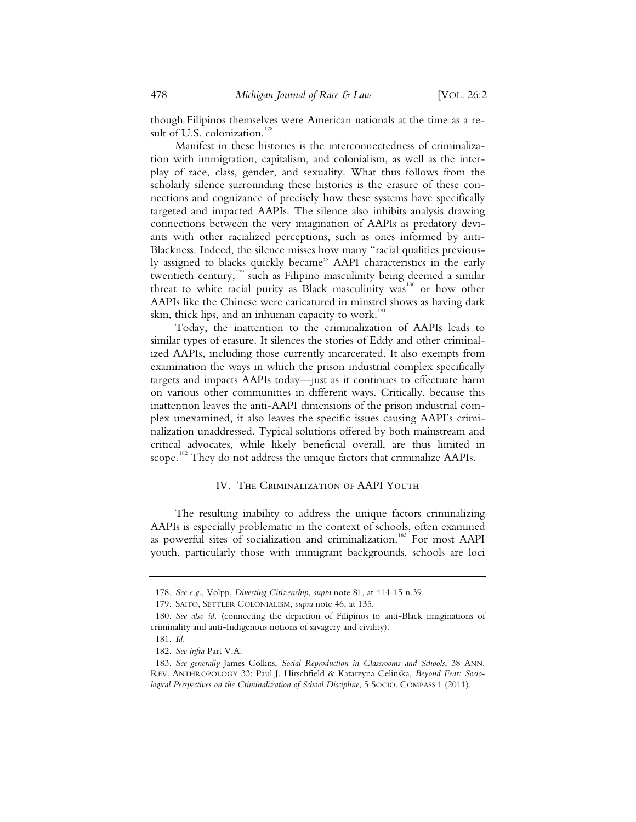though Filipinos themselves were American nationals at the time as a result of U.S. colonization.<sup>1</sup>

Manifest in these histories is the interconnectedness of criminalization with immigration, capitalism, and colonialism, as well as the interplay of race, class, gender, and sexuality. What thus follows from the scholarly silence surrounding these histories is the erasure of these connections and cognizance of precisely how these systems have specifically targeted and impacted AAPIs. The silence also inhibits analysis drawing connections between the very imagination of AAPIs as predatory deviants with other racialized perceptions, such as ones informed by anti-Blackness. Indeed, the silence misses how many "racial qualities previously assigned to blacks quickly became" AAPI characteristics in the early twentieth century,<sup>179</sup> such as Filipino masculinity being deemed a similar threat to white racial purity as Black masculinity was<sup>180</sup> or how other AAPIs like the Chinese were caricatured in minstrel shows as having dark skin, thick lips, and an inhuman capacity to work.<sup>181</sup>

Today, the inattention to the criminalization of AAPIs leads to similar types of erasure. It silences the stories of Eddy and other criminalized AAPIs, including those currently incarcerated. It also exempts from examination the ways in which the prison industrial complex specifically targets and impacts AAPIs today—just as it continues to effectuate harm on various other communities in different ways. Critically, because this inattention leaves the anti-AAPI dimensions of the prison industrial complex unexamined, it also leaves the specific issues causing AAPI's criminalization unaddressed. Typical solutions offered by both mainstream and critical advocates, while likely beneficial overall, are thus limited in scope.<sup>182</sup> They do not address the unique factors that criminalize AAPIs.

## IV. The Criminalization of AAPI Youth

The resulting inability to address the unique factors criminalizing AAPIs is especially problematic in the context of schools, often examined as powerful sites of socialization and criminalization.<sup>183</sup> For most AAPI youth, particularly those with immigrant backgrounds, schools are loci

<sup>178.</sup> *See e.g.*, Volpp, *Divesting Citizenship*, *supra* note 81, at 414-15 n.39.

<sup>179.</sup> SAITO, SETTLER COLONIALISM, *supra* note 46, at 135.

<sup>180.</sup> *See also id.* (connecting the depiction of Filipinos to anti-Black imaginations of criminality and anti-Indigenous notions of savagery and civility).

<sup>181.</sup> *Id.*

<sup>182.</sup> *See infra* Part V.A.

<sup>183.</sup> *See generally* James Collins, *Social Reproduction in Classrooms and Schools*, 38 ANN. REV. ANTHROPOLOGY 33; Paul J. Hirschfield & Katarzyna Celinska, *Beyond Fear: Sociological Perspectives on the Criminalization of School Discipline*, 5 SOCIO. COMPASS 1 (2011).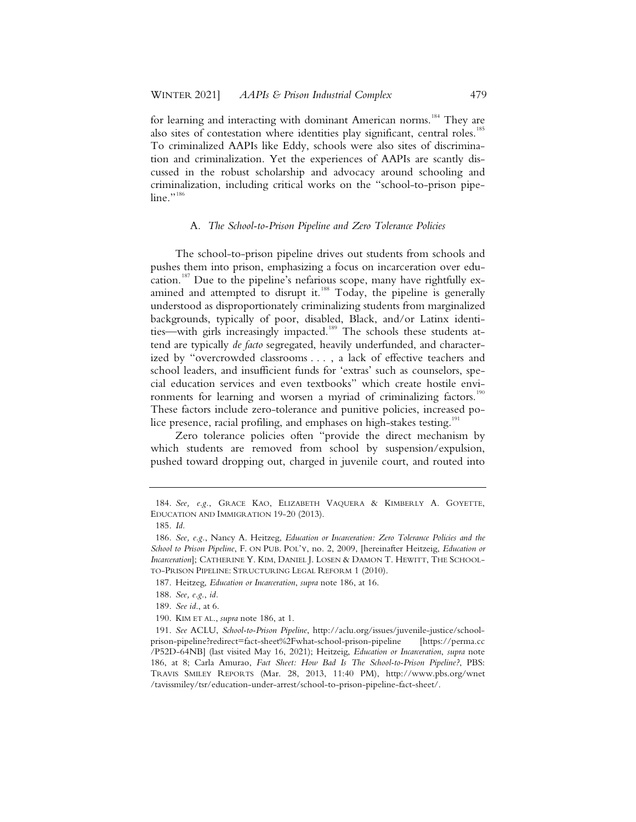for learning and interacting with dominant American norms.<sup>184</sup> They are also sites of contestation where identities play significant, central roles.<sup>185</sup> To criminalized AAPIs like Eddy, schools were also sites of discrimination and criminalization. Yet the experiences of AAPIs are scantly discussed in the robust scholarship and advocacy around schooling and criminalization, including critical works on the "school-to-prison pipeline."<sup>186</sup>

## A*. The School-to-Prison Pipeline and Zero Tolerance Policies*

The school-to-prison pipeline drives out students from schools and pushes them into prison, emphasizing a focus on incarceration over education.<sup>187</sup> Due to the pipeline's nefarious scope, many have rightfully examined and attempted to disrupt it.<sup>188</sup> Today, the pipeline is generally understood as disproportionately criminalizing students from marginalized backgrounds, typically of poor, disabled, Black, and/or Latinx identities—with girls increasingly impacted.<sup>189</sup> The schools these students attend are typically *de facto* segregated, heavily underfunded, and characterized by "overcrowded classrooms . . . , a lack of effective teachers and school leaders, and insufficient funds for 'extras' such as counselors, special education services and even textbooks" which create hostile environments for learning and worsen a myriad of criminalizing factors.<sup>190</sup> These factors include zero-tolerance and punitive policies, increased police presence, racial profiling, and emphases on high-stakes testing.<sup>191</sup>

Zero tolerance policies often "provide the direct mechanism by which students are removed from school by suspension/expulsion, pushed toward dropping out, charged in juvenile court, and routed into

<sup>184.</sup> *See, e.g.*, GRACE KAO, ELIZABETH VAQUERA & KIMBERLY A. GOYETTE, EDUCATION AND IMMIGRATION 19-20 (2013).

<sup>185.</sup> *Id.*

<sup>186.</sup> *See, e.g.*, Nancy A. Heitzeg, *Education or Incarceration: Zero Tolerance Policies and the School to Prison Pipeline*, F. ON PUB. POL'Y, no. 2, 2009, [hereinafter Heitzeig, *Education or Incarceration*]; CATHERINE Y. KIM, DANIEL J. LOSEN & DAMON T. HEWITT, THE SCHOOL-TO-PRISON PIPELINE: STRUCTURING LEGAL REFORM 1 (2010).

<sup>187.</sup> Heitzeg, *Education or Incarceration*, *supra* note 186, at 16.

<sup>188.</sup> *See, e.g.*, *id.*

<sup>189.</sup> *See id*., at 6.

<sup>190.</sup> KIM ET AL., *supra* note 186, at 1.

<sup>191.</sup> *See* ACLU, *School-to-Prison Pipeline*, http://aclu.org/issues/juvenile-justice/schoolprison-pipeline?redirect=fact-sheet%2Fwhat-school-prison-pipeline [https://perma.cc /P52D-64NB] (last visited May 16, 2021); Heitzeig, *Education or Incarceration*, *supra* note 186, at 8; Carla Amurao, *Fact Sheet: How Bad Is The School-to-Prison Pipeline?*, PBS: TRAVIS SMILEY REPORTS (Mar. 28, 2013, 11:40 PM), http://www.pbs.org/wnet /tavissmiley/tsr/education-under-arrest/school-to-prison-pipeline-fact-sheet/.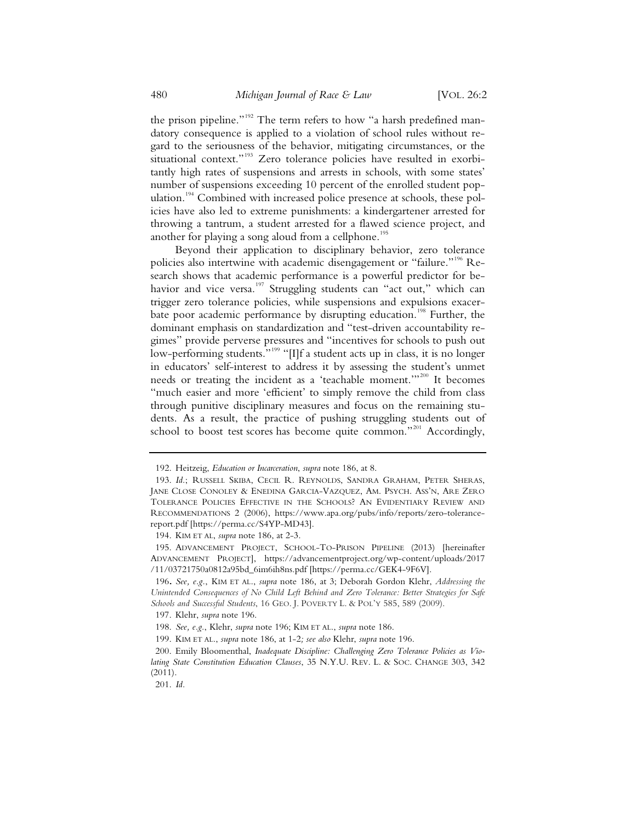the prison pipeline."<sup>192</sup> The term refers to how "a harsh predefined mandatory consequence is applied to a violation of school rules without regard to the seriousness of the behavior, mitigating circumstances, or the situational context."<sup>193</sup> Zero tolerance policies have resulted in exorbitantly high rates of suspensions and arrests in schools, with some states' number of suspensions exceeding 10 percent of the enrolled student population.<sup>194</sup> Combined with increased police presence at schools, these policies have also led to extreme punishments: a kindergartener arrested for throwing a tantrum, a student arrested for a flawed science project, and another for playing a song aloud from a cellphone.<sup>195</sup>

Beyond their application to disciplinary behavior, zero tolerance policies also intertwine with academic disengagement or "failure."<sup>196</sup> Research shows that academic performance is a powerful predictor for behavior and vice versa.<sup>197</sup> Struggling students can "act out," which can trigger zero tolerance policies, while suspensions and expulsions exacerbate poor academic performance by disrupting education.<sup>198</sup> Further, the dominant emphasis on standardization and "test-driven accountability regimes" provide perverse pressures and "incentives for schools to push out low-performing students."<sup>199</sup> "[I]f a student acts up in class, it is no longer in educators' self-interest to address it by assessing the student's unmet needs or treating the incident as a 'teachable moment.'"200 It becomes "much easier and more 'efficient' to simply remove the child from class through punitive disciplinary measures and focus on the remaining students. As a result, the practice of pushing struggling students out of school to boost test scores has become quite common."<sup>201</sup> Accordingly,

 <sup>192.</sup> Heitzeig, *Education or Incarceration*, *supra* note 186, at 8.

 <sup>193.</sup> *Id.*; RUSSELL SKIBA, CECIL R. REYNOLDS, SANDRA GRAHAM, PETER SHERAS, JANE CLOSE CONOLEY & ENEDINA GARCIA-VAZQUEZ, AM. PSYCH. ASS'N, ARE ZERO TOLERANCE POLICIES EFFECTIVE IN THE SCHOOLS? AN EVIDENTIARY REVIEW AND RECOMMENDATIONS 2 (2006), https://www.apa.org/pubs/info/reports/zero-tolerancereport.pdf [https://perma.cc/S4YP-MD43].

 <sup>194.</sup> KIM ET AL, *supra* note 186, at 2-3.

 <sup>195.</sup> ADVANCEMENT PROJECT, SCHOOL-TO-PRISON PIPELINE (2013) [hereinafter ADVANCEMENT PROJECT], https://advancementproject.org/wp-content/uploads/2017 /11/03721750a0812a95bd\_6im6ih8ns.pdf [https://perma.cc/GEK4-9F6V].

<sup>196</sup>**.** *See, e.g.*, KIM ET AL., *supra* note 186, at 3; Deborah Gordon Klehr, *Addressing the Unintended Consequences of No Child Left Behind and Zero Tolerance: Better Strategies for Safe Schools and Successful Students*, 16 GEO. J. POVERTY L. & POL'Y 585, 589 (2009).

 <sup>197.</sup> Klehr, *supra* note 196.

 <sup>198.</sup> *See, e.g.*, Klehr, *supra* note 196; KIM ET AL., *supra* note 186.

 <sup>199.</sup> KIM ET AL., *supra* note 186, at 1-2*; see also* Klehr, *supra* note 196.

 <sup>200.</sup> Emily Bloomenthal, *Inadequate Discipline: Challenging Zero Tolerance Policies as Violating State Constitution Education Clauses*, 35 N.Y.U. REV. L. & SOC. CHANGE 303, 342 (2011).

 <sup>201.</sup> *Id.*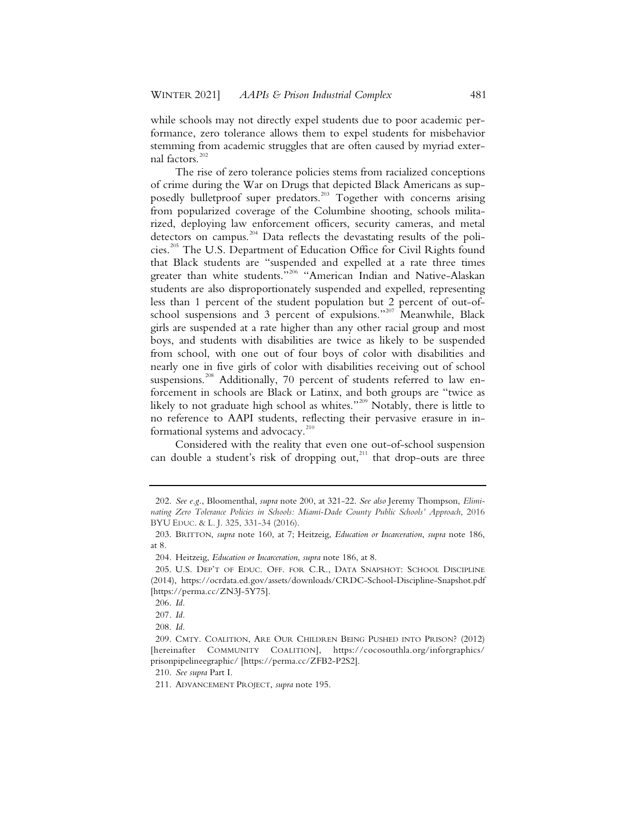while schools may not directly expel students due to poor academic performance, zero tolerance allows them to expel students for misbehavior stemming from academic struggles that are often caused by myriad external factors.<sup>202</sup>

The rise of zero tolerance policies stems from racialized conceptions of crime during the War on Drugs that depicted Black Americans as supposedly bulletproof super predators.<sup>203</sup> Together with concerns arising from popularized coverage of the Columbine shooting, schools militarized, deploying law enforcement officers, security cameras, and metal detectors on campus.204 Data reflects the devastating results of the policies.205 The U.S. Department of Education Office for Civil Rights found that Black students are "suspended and expelled at a rate three times greater than white students."<sup>206</sup> "American Indian and Native-Alaskan students are also disproportionately suspended and expelled, representing less than 1 percent of the student population but 2 percent of out-ofschool suspensions and 3 percent of expulsions."<sup>207</sup> Meanwhile, Black girls are suspended at a rate higher than any other racial group and most boys, and students with disabilities are twice as likely to be suspended from school, with one out of four boys of color with disabilities and nearly one in five girls of color with disabilities receiving out of school suspensions.<sup>208</sup> Additionally, 70 percent of students referred to law enforcement in schools are Black or Latinx, and both groups are "twice as likely to not graduate high school as whites."<sup>209</sup> Notably, there is little to no reference to AAPI students, reflecting their pervasive erasure in informational systems and advocacy.<sup>210</sup>

Considered with the reality that even one out-of-school suspension can double a student's risk of dropping out, $211$  that drop-outs are three

 <sup>202.</sup> *See e.g.*, Bloomenthal, *supra* note 200, at 321-22. *See also* Jeremy Thompson, *Eliminating Zero Tolerance Policies in Schools: Miami-Dade County Public Schools' Approach*, 2016 BYU EDUC. & L. J. 325, 331-34 (2016).

 <sup>203.</sup> BRITTON, *supra* note 160, at 7; Heitzeig, *Education or Incarceration*, *supra* note 186, at 8.

 <sup>204.</sup> Heitzeig, *Education or Incarceration*, *supra* note 186, at 8.

 <sup>205.</sup> U.S. DEP'T OF EDUC. OFF. FOR C.R., DATA SNAPSHOT: SCHOOL DISCIPLINE (2014), https://ocrdata.ed.gov/assets/downloads/CRDC-School-Discipline-Snapshot.pdf [https://perma.cc/ZN3J-5Y75].

 <sup>206.</sup> *Id.*

 <sup>207.</sup> *Id.*

 <sup>208.</sup> *Id.*

 <sup>209.</sup> CMTY. COALITION, ARE OUR CHILDREN BEING PUSHED INTO PRISON? (2012) [hereinafter COMMUNITY COALITION], https://cocosouthla.org/inforgraphics/ prisonpipelineegraphic/ [https://perma.cc/ZFB2-P2S2].

 <sup>210.</sup> *See supra* Part I.

 <sup>211.</sup> ADVANCEMENT PROJECT, *supra* note 195.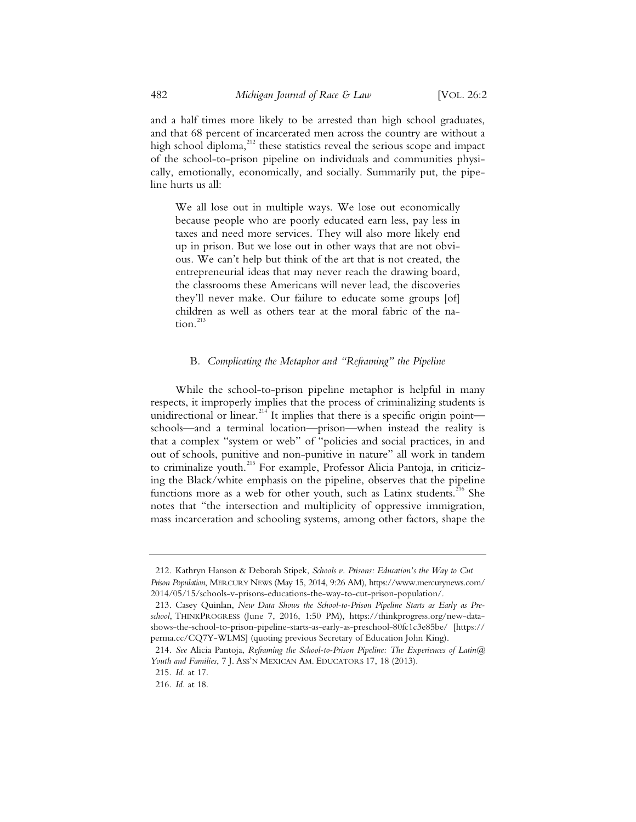and a half times more likely to be arrested than high school graduates, and that 68 percent of incarcerated men across the country are without a high school diploma, $^{212}$  these statistics reveal the serious scope and impact of the school-to-prison pipeline on individuals and communities physically, emotionally, economically, and socially. Summarily put, the pipeline hurts us all:

We all lose out in multiple ways. We lose out economically because people who are poorly educated earn less, pay less in taxes and need more services. They will also more likely end up in prison. But we lose out in other ways that are not obvious. We can't help but think of the art that is not created, the entrepreneurial ideas that may never reach the drawing board, the classrooms these Americans will never lead, the discoveries they'll never make. Our failure to educate some groups [of] children as well as others tear at the moral fabric of the nation.<sup>213</sup>

### B*. Complicating the Metaphor and "Reframing" the Pipeline*

While the school-to-prison pipeline metaphor is helpful in many respects, it improperly implies that the process of criminalizing students is unidirectional or linear.<sup>214</sup> It implies that there is a specific origin point schools—and a terminal location—prison—when instead the reality is that a complex "system or web" of "policies and social practices, in and out of schools, punitive and non-punitive in nature" all work in tandem to criminalize youth.<sup>215</sup> For example, Professor Alicia Pantoja, in criticizing the Black/white emphasis on the pipeline, observes that the pipeline functions more as a web for other youth, such as Latinx students.<sup>216</sup> She notes that "the intersection and multiplicity of oppressive immigration, mass incarceration and schooling systems, among other factors, shape the

<sup>212.</sup> Kathryn Hanson & Deborah Stipek, *Schools v. Prisons: Education's the Way to Cut Prison Population*, MERCURY NEWS (May 15, 2014, 9:26 AM), https://www.mercurynews.com/ 2014/05/15/schools-v-prisons-educations-the-way-to-cut-prison-population/.

<sup>213.</sup> Casey Quinlan, *New Data Shows the School-to-Prison Pipeline Starts as Early as Preschool*, THINKPROGRESS (June 7, 2016, 1:50 PM), https://thinkprogress.org/new-datashows-the-school-to-prison-pipeline-starts-as-early-as-preschool-80fc1c3e85be/ [https:// perma.cc/CQ7Y-WLMS] (quoting previous Secretary of Education John King).

<sup>214.</sup> *See* Alicia Pantoja, *Reframing the School-to-Prison Pipeline: The Experiences of Latin@ Youth and Families*, 7 J. ASS'N MEXICAN AM. EDUCATORS 17, 18 (2013).

<sup>215.</sup> *Id.* at 17.

<sup>216.</sup> *Id.* at 18.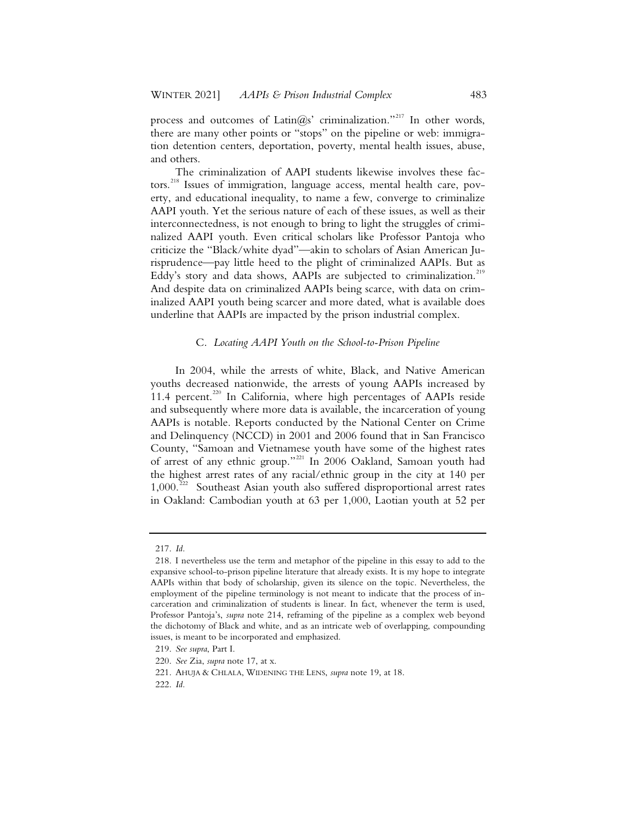process and outcomes of Latin $(a)$ s' criminalization."<sup>217</sup> In other words, there are many other points or "stops" on the pipeline or web: immigration detention centers, deportation, poverty, mental health issues, abuse, and others.

The criminalization of AAPI students likewise involves these factors.<sup>218</sup> Issues of immigration, language access, mental health care, poverty, and educational inequality, to name a few, converge to criminalize AAPI youth. Yet the serious nature of each of these issues, as well as their interconnectedness, is not enough to bring to light the struggles of criminalized AAPI youth. Even critical scholars like Professor Pantoja who criticize the "Black/white dyad"—akin to scholars of Asian American Jurisprudence—pay little heed to the plight of criminalized AAPIs. But as Eddy's story and data shows, AAPIs are subjected to criminalization.<sup>219</sup> And despite data on criminalized AAPIs being scarce, with data on criminalized AAPI youth being scarcer and more dated, what is available does underline that AAPIs are impacted by the prison industrial complex.

### C. *Locating AAPI Youth on the School-to-Prison Pipeline*

In 2004, while the arrests of white, Black, and Native American youths decreased nationwide, the arrests of young AAPIs increased by 11.4 percent.<sup>220</sup> In California, where high percentages of AAPIs reside and subsequently where more data is available, the incarceration of young AAPIs is notable. Reports conducted by the National Center on Crime and Delinquency (NCCD) in 2001 and 2006 found that in San Francisco County, "Samoan and Vietnamese youth have some of the highest rates of arrest of any ethnic group."<sup>221</sup> In 2006 Oakland, Samoan youth had the highest arrest rates of any racial/ethnic group in the city at 140 per  $1,000$ .<sup>222</sup> Southeast Asian youth also suffered disproportional arrest rates in Oakland: Cambodian youth at 63 per 1,000, Laotian youth at 52 per

<sup>217.</sup> *Id.*

<sup>218.</sup> I nevertheless use the term and metaphor of the pipeline in this essay to add to the expansive school-to-prison pipeline literature that already exists. It is my hope to integrate AAPIs within that body of scholarship, given its silence on the topic. Nevertheless, the employment of the pipeline terminology is not meant to indicate that the process of incarceration and criminalization of students is linear. In fact, whenever the term is used, Professor Pantoja's, *supra* note 214, reframing of the pipeline as a complex web beyond the dichotomy of Black and white, and as an intricate web of overlapping, compounding issues, is meant to be incorporated and emphasized.

<sup>219.</sup> *See supra*, Part I.

<sup>220.</sup> *See* Zia, *supra* note 17, at x.

<sup>221.</sup> AHUJA & CHLALA, WIDENING THE LENS, *supra* note 19, at 18.

<sup>222.</sup> *Id.*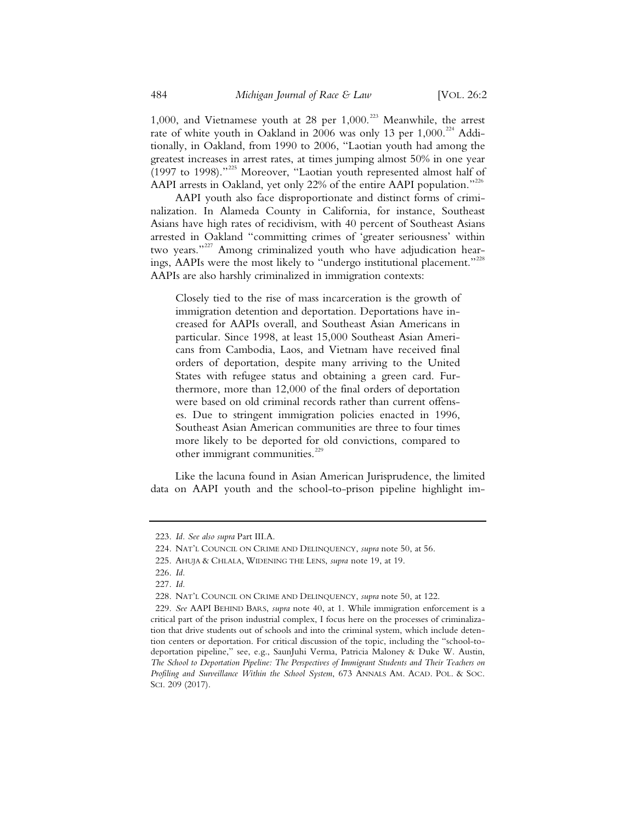1,000, and Vietnamese youth at 28 per  $1,000$ .<sup>223</sup> Meanwhile, the arrest rate of white youth in Oakland in 2006 was only 13 per  $1,000$ .<sup>224</sup> Additionally, in Oakland, from 1990 to 2006, "Laotian youth had among the greatest increases in arrest rates, at times jumping almost 50% in one year (1997 to 1998)."<sup>225</sup> Moreover, "Laotian youth represented almost half of AAPI arrests in Oakland, yet only 22% of the entire AAPI population."<sup>226</sup>

AAPI youth also face disproportionate and distinct forms of criminalization. In Alameda County in California, for instance, Southeast Asians have high rates of recidivism, with 40 percent of Southeast Asians arrested in Oakland "committing crimes of 'greater seriousness' within two vears."<sup>227</sup> Among criminalized youth who have adjudication hearings, AAPIs were the most likely to "undergo institutional placement."<sup>228</sup> AAPIs are also harshly criminalized in immigration contexts:

Closely tied to the rise of mass incarceration is the growth of immigration detention and deportation. Deportations have increased for AAPIs overall, and Southeast Asian Americans in particular. Since 1998, at least 15,000 Southeast Asian Americans from Cambodia, Laos, and Vietnam have received final orders of deportation, despite many arriving to the United States with refugee status and obtaining a green card. Furthermore, more than 12,000 of the final orders of deportation were based on old criminal records rather than current offenses. Due to stringent immigration policies enacted in 1996, Southeast Asian American communities are three to four times more likely to be deported for old convictions, compared to other immigrant communities.<sup>229</sup>

Like the lacuna found in Asian American Jurisprudence, the limited data on AAPI youth and the school-to-prison pipeline highlight im-

<sup>223.</sup> *Id. See also supra* Part III.A.

<sup>224.</sup> NAT'L COUNCIL ON CRIME AND DELINQUENCY, *supra* note 50, at 56.

<sup>225.</sup> AHUJA & CHLALA, WIDENING THE LENS, *supra* note 19, at 19.

<sup>226.</sup> *Id.*

<sup>227.</sup> *Id.*

<sup>228.</sup> NAT'L COUNCIL ON CRIME AND DELINQUENCY, *supra* note 50, at 122.

<sup>229.</sup> *See* AAPI BEHIND BARS, *supra* note 40, at 1. While immigration enforcement is a critical part of the prison industrial complex, I focus here on the processes of criminalization that drive students out of schools and into the criminal system, which include detention centers or deportation. For critical discussion of the topic, including the "school-todeportation pipeline," see, e.g., SaunJuhi Verma, Patricia Maloney & Duke W. Austin, *The School to Deportation Pipeline: The Perspectives of Immigrant Students and Their Teachers on*  Profiling and Surveillance Within the School System, 673 ANNALS AM. ACAD. POL. & SOC. SCI. 209 (2017).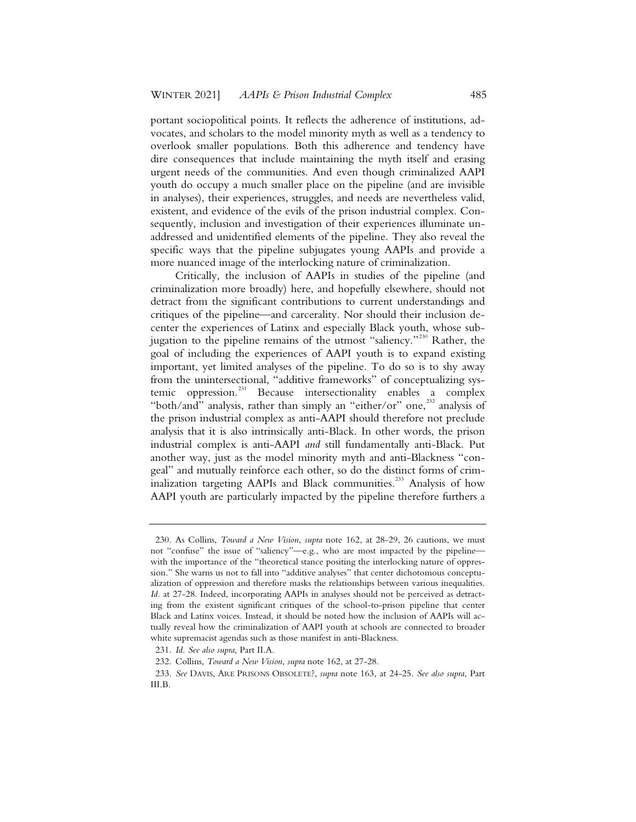portant sociopolitical points. It reflects the adherence of institutions, advocates, and scholars to the model minority myth as well as a tendency to overlook smaller populations. Both this adherence and tendency have dire consequences that include maintaining the myth itself and erasing urgent needs of the communities. And even though criminalized AAPI youth do occupy a much smaller place on the pipeline (and are invisible in analyses), their experiences, struggles, and needs are nevertheless valid, existent, and evidence of the evils of the prison industrial complex. Consequently, inclusion and investigation of their experiences illuminate unaddressed and unidentified elements of the pipeline. They also reveal the specific ways that the pipeline subjugates young AAPIs and provide a more nuanced image of the interlocking nature of criminalization.

Critically, the inclusion of AAPIs in studies of the pipeline (and criminalization more broadly) here, and hopefully elsewhere, should not detract from the significant contributions to current understandings and critiques of the pipeline—and carcerality. Nor should their inclusion decenter the experiences of Latinx and especially Black youth, whose subjugation to the pipeline remains of the utmost "saliency."<sup>230</sup> Rather, the goal of including the experiences of AAPI youth is to expand existing important, yet limited analyses of the pipeline. To do so is to shy away from the unintersectional, "additive frameworks" of conceptualizing systemic oppression.<sup>231</sup> Because intersectionality enables a complex "both/and" analysis, rather than simply an "either/or" one,<sup>232</sup> analysis of the prison industrial complex as anti-AAPI should therefore not preclude analysis that it is also intrinsically anti-Black. In other words, the prison industrial complex is anti-AAPI *and* still fundamentally anti-Black. Put another way, just as the model minority myth and anti-Blackness "congeal" and mutually reinforce each other, so do the distinct forms of criminalization targeting AAPIs and Black communities.<sup>233</sup> Analysis of how AAPI youth are particularly impacted by the pipeline therefore furthers a

<sup>230.</sup> As Collins, *Toward a New Vision*, *supra* note 162, at 28-29, 26 cautions, we must not "confuse" the issue of "saliency"—e.g., who are most impacted by the pipeline with the importance of the "theoretical stance positing the interlocking nature of oppression." She warns us not to fall into "additive analyses" that center dichotomous conceptualization of oppression and therefore masks the relationships between various inequalities. *Id.* at 27-28. Indeed, incorporating AAPIs in analyses should not be perceived as detracting from the existent significant critiques of the school-to-prison pipeline that center Black and Latinx voices. Instead, it should be noted how the inclusion of AAPIs will actually reveal how the criminalization of AAPI youth at schools are connected to broader white supremacist agendas such as those manifest in anti-Blackness.

<sup>231.</sup> *Id. See also supra*, Part II.A.

<sup>232.</sup> Collins, *Toward a New Vision*, *supra* note 162, at 27-28.

<sup>233.</sup> *See* DAVIS, ARE PRISONS OBSOLETE?, *supra* note 163, at 24-25. *See also supra*, Part III.B.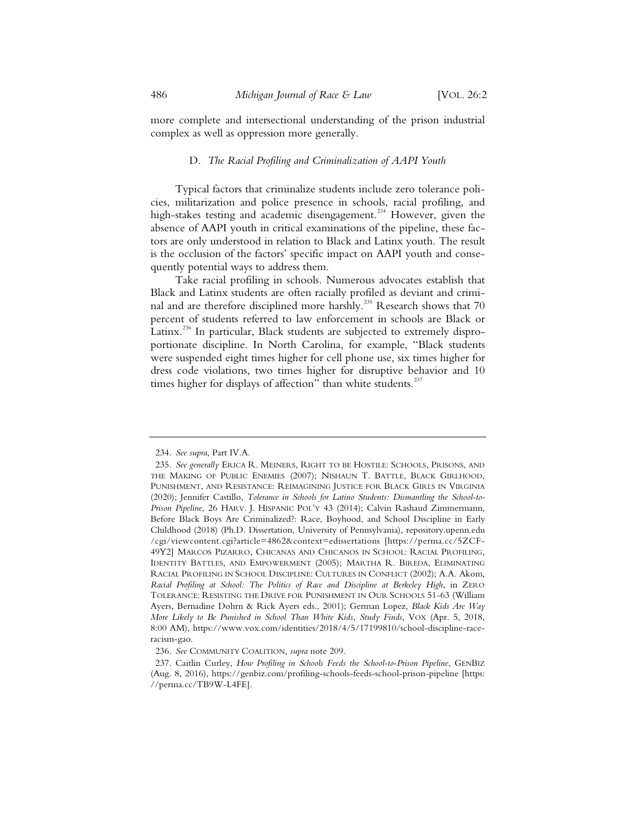more complete and intersectional understanding of the prison industrial complex as well as oppression more generally.

### D. *The Racial Profiling and Criminalization of AAPI Youth*

Typical factors that criminalize students include zero tolerance policies, militarization and police presence in schools, racial profiling, and high-stakes testing and academic disengagement.<sup>234</sup> However, given the absence of AAPI youth in critical examinations of the pipeline, these factors are only understood in relation to Black and Latinx youth. The result is the occlusion of the factors' specific impact on AAPI youth and consequently potential ways to address them.

Take racial profiling in schools. Numerous advocates establish that Black and Latinx students are often racially profiled as deviant and criminal and are therefore disciplined more harshly.<sup>235</sup> Research shows that 70 percent of students referred to law enforcement in schools are Black or Latinx.<sup>236</sup> In particular, Black students are subjected to extremely disproportionate discipline. In North Carolina, for example, "Black students were suspended eight times higher for cell phone use, six times higher for dress code violations, two times higher for disruptive behavior and 10 times higher for displays of affection" than white students. $237$ 

<sup>234.</sup> *See supra*, Part IV.A.

<sup>235.</sup> *See generally* ERICA R. MEINERS, RIGHT TO BE HOSTILE: SCHOOLS, PRISONS, AND THE MAKING OF PUBLIC ENEMIES (2007); NISHAUN T. BATTLE, BLACK GIRLHOOD, PUNISHMENT, AND RESISTANCE: REIMAGINING JUSTICE FOR BLACK GIRLS IN VIRGINIA (2020); Jennifer Castillo, *Tolerance in Schools for Latino Students: Dismantling the School-to-Prison Pipeline*, 26 HARV. J. HISPANIC POL'Y 43 (2014); Calvin Rashaud Zimmermann, Before Black Boys Are Criminalized?: Race, Boyhood, and School Discipline in Early Childhood (2018) (Ph.D. Dissertation, University of Pennsylvania), repository.upenn.edu /cgi/viewcontent.cgi?article=4862&context=edissertations [https://perma.cc/5ZCF-49Y2] MARCOS PIZARRO, CHICANAS AND CHICANOS IN SCHOOL: RACIAL PROFILING, IDENTITY BATTLES, AND EMPOWERMENT (2005); MARTHA R. BIREDA, ELIMINATING RACIAL PROFILING IN SCHOOL DISCIPLINE: CULTURES IN CONFLICT (2002); A.A. Akom, *Racial Profiling at School: The Politics of Race and Discipline at Berkeley High*, in ZERO TOLERANCE: RESISTING THE DRIVE FOR PUNISHMENT IN OUR SCHOOLS 51-63 (William Ayers, Bernadine Dohrn & Rick Ayers eds., 2001); German Lopez, *Black Kids Are Way More Likely to Be Punished in School Than White Kids, Study Finds*, VOX (Apr. 5, 2018, 8:00 AM), https://www.vox.com/identities/2018/4/5/17199810/school-discipline-raceracism-gao.

<sup>236.</sup> *See* COMMUNITY COALITION, *supra* note 209.

<sup>237.</sup> Caitlin Curley, *How Profiling in Schools Feeds the School-to-Prison Pipeline*, GENBIZ (Aug. 8, 2016), https://genbiz.com/profiling-schools-feeds-school-prison-pipeline [https: //perma.cc/TB9W-L4FE].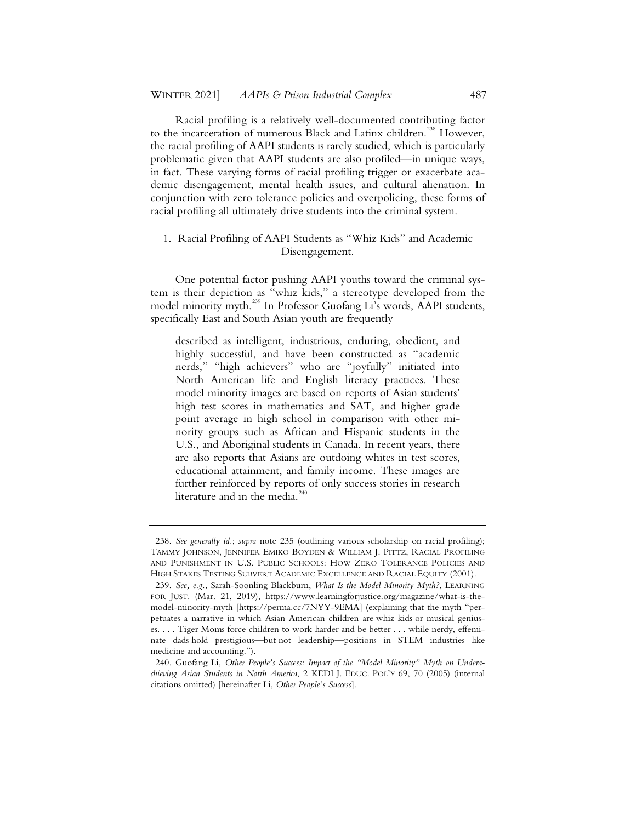Racial profiling is a relatively well-documented contributing factor to the incarceration of numerous Black and Latinx children.<sup>238</sup> However, the racial profiling of AAPI students is rarely studied, which is particularly problematic given that AAPI students are also profiled—in unique ways, in fact. These varying forms of racial profiling trigger or exacerbate academic disengagement, mental health issues, and cultural alienation. In conjunction with zero tolerance policies and overpolicing, these forms of racial profiling all ultimately drive students into the criminal system.

# 1. Racial Profiling of AAPI Students as "Whiz Kids" and Academic Disengagement.

One potential factor pushing AAPI youths toward the criminal system is their depiction as "whiz kids," a stereotype developed from the model minority myth.<sup>239</sup> In Professor Guofang Li's words, AAPI students, specifically East and South Asian youth are frequently

described as intelligent, industrious, enduring, obedient, and highly successful, and have been constructed as "academic nerds," "high achievers" who are "joyfully" initiated into North American life and English literacy practices. These model minority images are based on reports of Asian students' high test scores in mathematics and SAT, and higher grade point average in high school in comparison with other minority groups such as African and Hispanic students in the U.S., and Aboriginal students in Canada. In recent years, there are also reports that Asians are outdoing whites in test scores, educational attainment, and family income. These images are further reinforced by reports of only success stories in research literature and in the media. $240$ 

<sup>238.</sup> *See generally id.*; *supra* note 235 (outlining various scholarship on racial profiling); TAMMY JOHNSON, JENNIFER EMIKO BOYDEN & WILLIAM J. PITTZ, RACIAL PROFILING AND PUNISHMENT IN U.S. PUBLIC SCHOOLS: HOW ZERO TOLERANCE POLICIES AND HIGH STAKES TESTING SUBVERT ACADEMIC EXCELLENCE AND RACIAL EQUITY (2001).

<sup>239.</sup> *See, e.g.*, Sarah-Soonling Blackburn, *What Is the Model Minority Myth?*, LEARNING FOR JUST. (Mar. 21, 2019), https://www.learningforjustice.org/magazine/what-is-themodel-minority-myth [https://perma.cc/7NYY-9EMA] (explaining that the myth "perpetuates a narrative in which Asian American children are whiz kids or musical geniuses. . . . Tiger Moms force children to work harder and be better . . . while nerdy, effeminate dads hold prestigious—but not leadership—positions in STEM industries like medicine and accounting.").

<sup>240.</sup> Guofang Li, *Other People's Success: Impact of the "Model Minority" Myth on Underachieving Asian Students in North America*, 2 KEDI J. EDUC. POL'Y 69, 70 (2005) (internal citations omitted) [hereinafter Li, *Other People's Success*].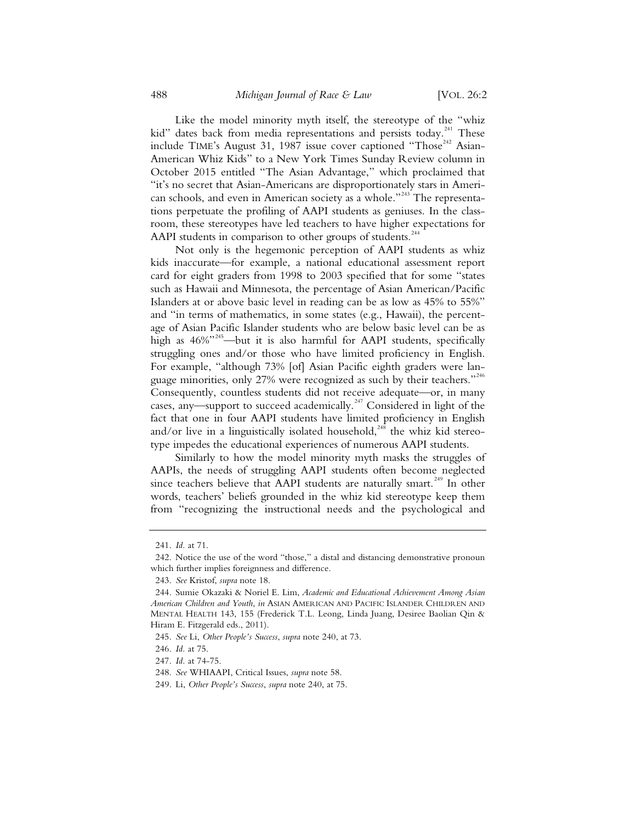Like the model minority myth itself, the stereotype of the "whiz kid" dates back from media representations and persists today.<sup>241</sup> These include TIME's August 31, 1987 issue cover captioned "Those<sup>242</sup> Asian-American Whiz Kids" to a New York Times Sunday Review column in October 2015 entitled "The Asian Advantage," which proclaimed that "it's no secret that Asian-Americans are disproportionately stars in American schools, and even in American society as a whole."<sup>243</sup> The representations perpetuate the profiling of AAPI students as geniuses. In the classroom, these stereotypes have led teachers to have higher expectations for AAPI students in comparison to other groups of students.<sup>244</sup>

Not only is the hegemonic perception of AAPI students as whiz kids inaccurate—for example, a national educational assessment report card for eight graders from 1998 to 2003 specified that for some "states such as Hawaii and Minnesota, the percentage of Asian American/Pacific Islanders at or above basic level in reading can be as low as 45% to 55%" and "in terms of mathematics, in some states (e.g., Hawaii), the percentage of Asian Pacific Islander students who are below basic level can be as high as  $46\%$ <sup>345</sup>—but it is also harmful for AAPI students, specifically struggling ones and/or those who have limited proficiency in English. For example, "although 73% [of] Asian Pacific eighth graders were language minorities, only 27% were recognized as such by their teachers."<sup>246</sup> Consequently, countless students did not receive adequate—or, in many cases, any—support to succeed academically.<sup>247</sup> Considered in light of the fact that one in four AAPI students have limited proficiency in English and/or live in a linguistically isolated household,<sup>248</sup> the whiz kid stereotype impedes the educational experiences of numerous AAPI students.

Similarly to how the model minority myth masks the struggles of AAPIs, the needs of struggling AAPI students often become neglected since teachers believe that AAPI students are naturally smart.<sup>249</sup> In other words, teachers' beliefs grounded in the whiz kid stereotype keep them from "recognizing the instructional needs and the psychological and

<sup>241.</sup> *Id.* at 71.

<sup>242.</sup> Notice the use of the word "those," a distal and distancing demonstrative pronoun which further implies foreignness and difference.

<sup>243.</sup> *See* Kristof, *supra* note 18.

<sup>244.</sup> Sumie Okazaki & Noriel E. Lim, *Academic and Educational Achievement Among Asian American Children and Youth*, *in* ASIAN AMERICAN AND PACIFIC ISLANDER CHILDREN AND MENTAL HEALTH 143, 155 (Frederick T.L. Leong, Linda Juang, Desiree Baolian Qin & Hiram E. Fitzgerald eds., 2011).

<sup>245.</sup> *See* Li, *Other People's Success*, *supra* note 240, at 73.

<sup>246.</sup> *Id.* at 75.

<sup>247.</sup> *Id.* at 74-75.

<sup>248.</sup> *See* WHIAAPI, Critical Issues, *supra* note 58.

<sup>249.</sup> Li, *Other People's Success*, *supra* note 240, at 75.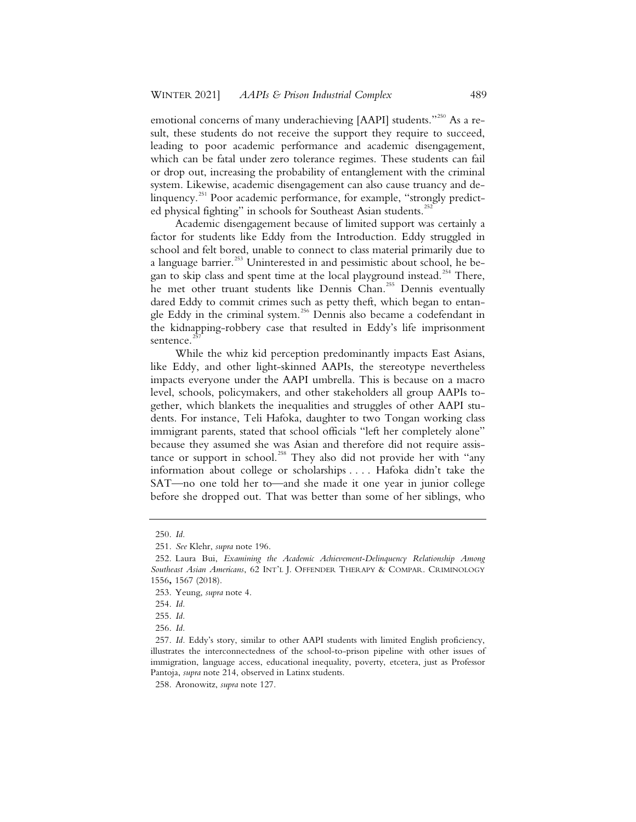emotional concerns of many underachieving [AAPI] students."<sup>250</sup> As a result, these students do not receive the support they require to succeed, leading to poor academic performance and academic disengagement, which can be fatal under zero tolerance regimes. These students can fail or drop out, increasing the probability of entanglement with the criminal system. Likewise, academic disengagement can also cause truancy and delinquency.<sup>251</sup> Poor academic performance, for example, "strongly predicted physical fighting" in schools for Southeast Asian students.<sup>25</sup>

Academic disengagement because of limited support was certainly a factor for students like Eddy from the Introduction. Eddy struggled in school and felt bored, unable to connect to class material primarily due to a language barrier.<sup>253</sup> Uninterested in and pessimistic about school, he began to skip class and spent time at the local playground instead.<sup>254</sup> There, he met other truant students like Dennis Chan.<sup>255</sup> Dennis eventually dared Eddy to commit crimes such as petty theft, which began to entangle Eddy in the criminal system.<sup>256</sup> Dennis also became a codefendant in the kidnapping-robbery case that resulted in Eddy's life imprisonment sentence.<sup>21</sup>

While the whiz kid perception predominantly impacts East Asians, like Eddy, and other light-skinned AAPIs, the stereotype nevertheless impacts everyone under the AAPI umbrella. This is because on a macro level, schools, policymakers, and other stakeholders all group AAPIs together, which blankets the inequalities and struggles of other AAPI students. For instance, Teli Hafoka, daughter to two Tongan working class immigrant parents, stated that school officials "left her completely alone" because they assumed she was Asian and therefore did not require assistance or support in school.<sup>258</sup> They also did not provide her with "any information about college or scholarships . . . . Hafoka didn't take the SAT—no one told her to—and she made it one year in junior college before she dropped out. That was better than some of her siblings, who

<sup>250.</sup> *Id.*

<sup>251.</sup> *See* Klehr, *supra* note 196.

<sup>252.</sup> Laura Bui, *Examining the Academic Achievement-Delinquency Relationship Among Southeast Asian Americans*, 62 INT'L J. OFFENDER THERAPY & COMPAR. CRIMINOLOGY 1556**,** 1567 (2018).

<sup>253.</sup> Yeung, *supra* note 4.

<sup>254.</sup> *Id.*

<sup>255.</sup> *Id.*

<sup>256.</sup> *Id.*

<sup>257.</sup> *Id.* Eddy's story, similar to other AAPI students with limited English proficiency, illustrates the interconnectedness of the school-to-prison pipeline with other issues of immigration, language access, educational inequality, poverty, etcetera, just as Professor Pantoja, *supra* note 214, observed in Latinx students.

<sup>258.</sup> Aronowitz, *supra* note 127.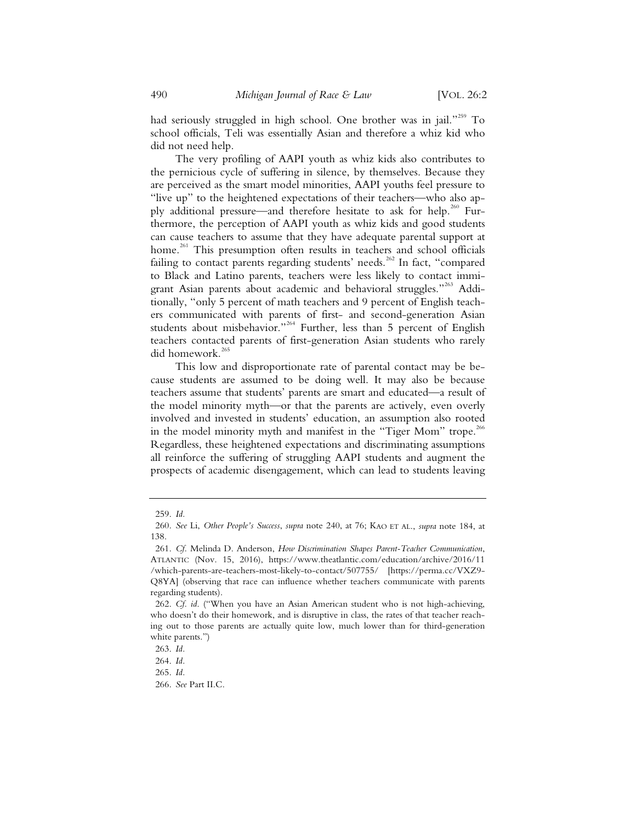had seriously struggled in high school. One brother was in jail."<sup>259</sup> To school officials, Teli was essentially Asian and therefore a whiz kid who did not need help.

The very profiling of AAPI youth as whiz kids also contributes to the pernicious cycle of suffering in silence, by themselves. Because they are perceived as the smart model minorities, AAPI youths feel pressure to "live up" to the heightened expectations of their teachers—who also apply additional pressure—and therefore hesitate to ask for help.<sup>260</sup> Furthermore, the perception of AAPI youth as whiz kids and good students can cause teachers to assume that they have adequate parental support at home.<sup>261</sup> This presumption often results in teachers and school officials failing to contact parents regarding students' needs.<sup>262</sup> In fact, "compared to Black and Latino parents, teachers were less likely to contact immigrant Asian parents about academic and behavioral struggles."<sup>263</sup> Additionally, "only 5 percent of math teachers and 9 percent of English teachers communicated with parents of first- and second-generation Asian students about misbehavior."<sup>264</sup> Further, less than 5 percent of English teachers contacted parents of first-generation Asian students who rarely did homework.<sup>265</sup>

This low and disproportionate rate of parental contact may be because students are assumed to be doing well. It may also be because teachers assume that students' parents are smart and educated—a result of the model minority myth—or that the parents are actively, even overly involved and invested in students' education, an assumption also rooted in the model minority myth and manifest in the "Tiger Mom" trope.<sup>266</sup> Regardless, these heightened expectations and discriminating assumptions all reinforce the suffering of struggling AAPI students and augment the prospects of academic disengagement, which can lead to students leaving

<sup>259.</sup> *Id.*

<sup>260.</sup> *See* Li, *Other People's Success*, *supra* note 240, at 76; KAO ET AL., *supra* note 184, at 138.

<sup>261.</sup> *Cf.* Melinda D. Anderson, *How Discrimination Shapes Parent-Teacher Communication*, ATLANTIC (Nov. 15, 2016), https://www.theatlantic.com/education/archive/2016/11 /which-parents-are-teachers-most-likely-to-contact/507755/ [https://perma.cc/VXZ9- Q8YA] (observing that race can influence whether teachers communicate with parents regarding students).

<sup>262.</sup> *Cf. id*. ("When you have an Asian American student who is not high-achieving, who doesn't do their homework, and is disruptive in class, the rates of that teacher reaching out to those parents are actually quite low, much lower than for third-generation white parents.")

<sup>263.</sup> *Id.*

<sup>264.</sup> *Id.*

<sup>265.</sup> *Id.*

<sup>266.</sup> *See* Part II.C.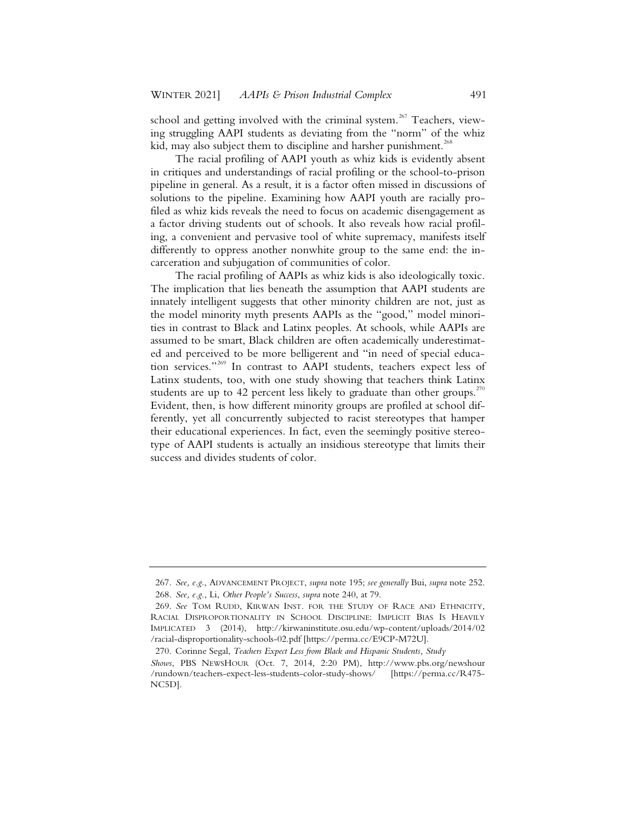school and getting involved with the criminal system.<sup>267</sup> Teachers, viewing struggling AAPI students as deviating from the "norm" of the whiz kid, may also subject them to discipline and harsher punishment.<sup>268</sup>

The racial profiling of AAPI youth as whiz kids is evidently absent in critiques and understandings of racial profiling or the school-to-prison pipeline in general. As a result, it is a factor often missed in discussions of solutions to the pipeline. Examining how AAPI youth are racially profiled as whiz kids reveals the need to focus on academic disengagement as a factor driving students out of schools. It also reveals how racial profiling, a convenient and pervasive tool of white supremacy, manifests itself differently to oppress another nonwhite group to the same end: the incarceration and subjugation of communities of color.

The racial profiling of AAPIs as whiz kids is also ideologically toxic. The implication that lies beneath the assumption that AAPI students are innately intelligent suggests that other minority children are not, just as the model minority myth presents AAPIs as the "good," model minorities in contrast to Black and Latinx peoples. At schools, while AAPIs are assumed to be smart, Black children are often academically underestimated and perceived to be more belligerent and "in need of special education services."<sup>269</sup> In contrast to AAPI students, teachers expect less of Latinx students, too, with one study showing that teachers think Latinx students are up to 42 percent less likely to graduate than other groups.<sup>270</sup> Evident, then, is how different minority groups are profiled at school differently, yet all concurrently subjected to racist stereotypes that hamper their educational experiences. In fact, even the seemingly positive stereotype of AAPI students is actually an insidious stereotype that limits their success and divides students of color.

<sup>267.</sup> *See, e.g.*, ADVANCEMENT PROJECT, *supra* note 195; *see generally* Bui, *supra* note 252. 268. *See, e.g.*, Li, *Other People's Success*, *supra* note 240, at 79.

<sup>269.</sup> *See* TOM RUDD, KIRWAN INST. FOR THE STUDY OF RACE AND ETHNICITY, RACIAL DISPROPORTIONALITY IN SCHOOL DISCIPLINE: IMPLICIT BIAS IS HEAVILY IMPLICATED 3 (2014), http://kirwaninstitute.osu.edu/wp-content/uploads/2014/02 /racial-disproportionality-schools-02.pdf [https://perma.cc/E9CP-M72U].

<sup>270.</sup> Corinne Segal, *Teachers Expect Less from Black and Hispanic Students, Study Shows*, PBS NEWSHOUR (Oct. 7, 2014, 2:20 PM), http://www.pbs.org/newshour /rundown/teachers-expect-less-students-color-study-shows/ [https://perma.cc/R475- NC5D].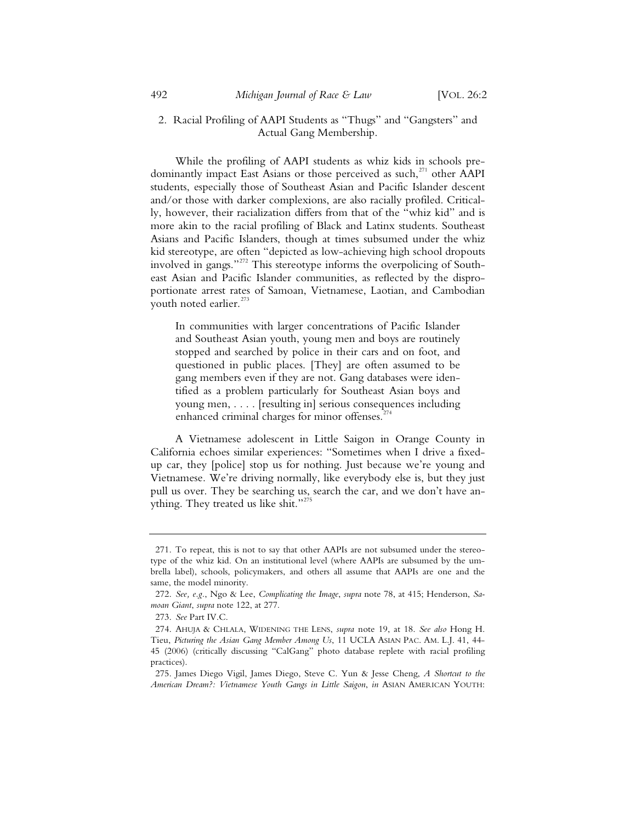## 2. Racial Profiling of AAPI Students as "Thugs" and "Gangsters" and Actual Gang Membership.

While the profiling of AAPI students as whiz kids in schools predominantly impact East Asians or those perceived as such,<sup>271</sup> other AAPI students, especially those of Southeast Asian and Pacific Islander descent and/or those with darker complexions, are also racially profiled. Critically, however, their racialization differs from that of the "whiz kid" and is more akin to the racial profiling of Black and Latinx students. Southeast Asians and Pacific Islanders, though at times subsumed under the whiz kid stereotype, are often "depicted as low-achieving high school dropouts involved in gangs."<sup>272</sup> This stereotype informs the overpolicing of Southeast Asian and Pacific Islander communities, as reflected by the disproportionate arrest rates of Samoan, Vietnamese, Laotian, and Cambodian youth noted earlier.<sup>27</sup>

In communities with larger concentrations of Pacific Islander and Southeast Asian youth, young men and boys are routinely stopped and searched by police in their cars and on foot, and questioned in public places. [They] are often assumed to be gang members even if they are not. Gang databases were identified as a problem particularly for Southeast Asian boys and young men, . . . . [resulting in] serious consequences including enhanced criminal charges for minor offenses.<sup>27</sup>

A Vietnamese adolescent in Little Saigon in Orange County in California echoes similar experiences: "Sometimes when I drive a fixedup car, they [police] stop us for nothing. Just because we're young and Vietnamese. We're driving normally, like everybody else is, but they just pull us over. They be searching us, search the car, and we don't have anything. They treated us like shit."<sup>275</sup>

<sup>271.</sup> To repeat, this is not to say that other AAPIs are not subsumed under the stereotype of the whiz kid. On an institutional level (where AAPIs are subsumed by the umbrella label), schools, policymakers, and others all assume that AAPIs are one and the same, the model minority.

<sup>272.</sup> *See, e.g.*, Ngo & Lee, *Complicating the Image*, *supra* note 78, at 415; Henderson, *Samoan Giant*, *supra* note 122, at 277.

<sup>273.</sup> *See* Part IV.C.

<sup>274.</sup> AHUJA & CHLALA, WIDENING THE LENS, *supra* note 19, at 18. *See also* Hong H. Tieu, *Picturing the Asian Gang Member Among Us*, 11 UCLA ASIAN PAC. AM. L.J. 41, 44- 45 (2006) (critically discussing "CalGang" photo database replete with racial profiling practices).

<sup>275.</sup> James Diego Vigil, James Diego, Steve C. Yun & Jesse Cheng, *A Shortcut to the American Dream?: Vietnamese Youth Gangs in Little Saigon*, *in* ASIAN AMERICAN YOUTH: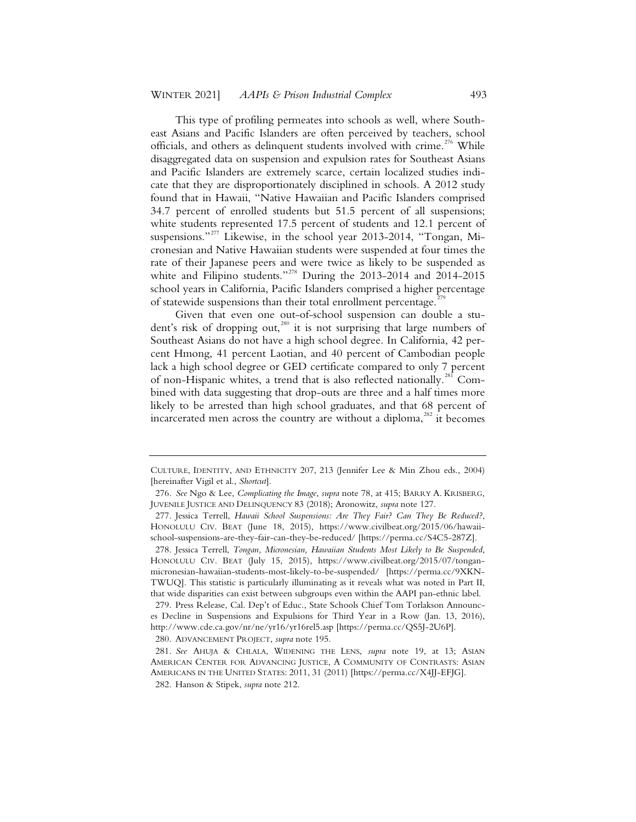This type of profiling permeates into schools as well, where Southeast Asians and Pacific Islanders are often perceived by teachers, school officials, and others as delinquent students involved with crime.<sup>276</sup> While disaggregated data on suspension and expulsion rates for Southeast Asians and Pacific Islanders are extremely scarce, certain localized studies indicate that they are disproportionately disciplined in schools. A 2012 study found that in Hawaii, "Native Hawaiian and Pacific Islanders comprised 34.7 percent of enrolled students but 51.5 percent of all suspensions; white students represented 17.5 percent of students and 12.1 percent of suspensions."<sup>277</sup> Likewise, in the school year 2013-2014, "Tongan, Micronesian and Native Hawaiian students were suspended at four times the rate of their Japanese peers and were twice as likely to be suspended as white and Filipino students."<sup>278</sup> During the 2013-2014 and 2014-2015 school years in California, Pacific Islanders comprised a higher percentage of statewide suspensions than their total enrollment percentage.<sup>2</sup>

Given that even one out-of-school suspension can double a student's risk of dropping out,<sup>280</sup> it is not surprising that large numbers of Southeast Asians do not have a high school degree. In California, 42 percent Hmong, 41 percent Laotian, and 40 percent of Cambodian people lack a high school degree or GED certificate compared to only 7 percent of non-Hispanic whites, a trend that is also reflected nationally.<sup>281</sup> Combined with data suggesting that drop-outs are three and a half times more likely to be arrested than high school graduates, and that 68 percent of incarcerated men across the country are without a diploma, $282$  it becomes

CULTURE, IDENTITY, AND ETHNICITY 207, 213 (Jennifer Lee & Min Zhou eds., 2004) [hereinafter Vigil et al., *Shortcut*].

<sup>276.</sup> *See* Ngo & Lee, *Complicating the Image*, *supra* note 78, at 415; BARRY A. KRISBERG, JUVENILE JUSTICE AND DELINQUENCY 83 (2018); Aronowitz, *supra* note 127.

<sup>277.</sup> Jessica Terrell, *Hawaii School Suspensions: Are They Fair? Can They Be Reduced?*, HONOLULU CIV. BEAT (June 18, 2015), https://www.civilbeat.org/2015/06/hawaiischool-suspensions-are-they-fair-can-they-be-reduced/ [https://perma.cc/S4C5-287Z].

<sup>278.</sup> Jessica Terrell, *Tongan, Micronesian, Hawaiian Students Most Likely to Be Suspended*, HONOLULU CIV. BEAT (July 15, 2015), https://www.civilbeat.org/2015/07/tonganmicronesian-hawaiian-students-most-likely-to-be-suspended/ [https://perma.cc/9XKN-TWUQ]. This statistic is particularly illuminating as it reveals what was noted in Part II, that wide disparities can exist between subgroups even within the AAPI pan-ethnic label.

<sup>279.</sup> Press Release, Cal. Dep't of Educ., State Schools Chief Tom Torlakson Announces Decline in Suspensions and Expulsions for Third Year in a Row (Jan. 13, 2016), http://www.cde.ca.gov/nr/ne/yr16/yr16rel5.asp [https://perma.cc/QS5J-2U6P].

<sup>280.</sup> ADVANCEMENT PROJECT, *supra* note 195.

<sup>281.</sup> *See* AHUJA & CHLALA, WIDENING THE LENS, *supra* note 19, at 13; ASIAN AMERICAN CENTER FOR ADVANCING JUSTICE, A COMMUNITY OF CONTRASTS: ASIAN AMERICANS IN THE UNITED STATES: 2011, 31 (2011) [https://perma.cc/X4JJ-EFJG].

<sup>282.</sup> Hanson & Stipek, *supra* note 212.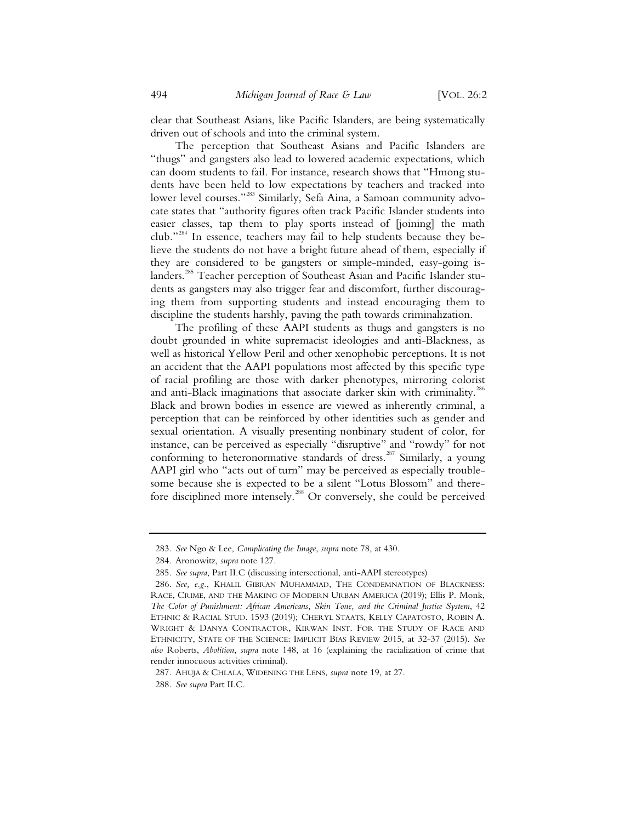clear that Southeast Asians, like Pacific Islanders, are being systematically driven out of schools and into the criminal system.

The perception that Southeast Asians and Pacific Islanders are "thugs" and gangsters also lead to lowered academic expectations, which can doom students to fail. For instance, research shows that "Hmong students have been held to low expectations by teachers and tracked into lower level courses."<sup>283</sup> Similarly, Sefa Aina, a Samoan community advocate states that "authority figures often track Pacific Islander students into easier classes, tap them to play sports instead of [joining] the math club."<sup>284</sup> In essence, teachers may fail to help students because they believe the students do not have a bright future ahead of them, especially if they are considered to be gangsters or simple-minded, easy-going islanders.<sup>285</sup> Teacher perception of Southeast Asian and Pacific Islander students as gangsters may also trigger fear and discomfort, further discouraging them from supporting students and instead encouraging them to discipline the students harshly, paving the path towards criminalization.

The profiling of these AAPI students as thugs and gangsters is no doubt grounded in white supremacist ideologies and anti-Blackness, as well as historical Yellow Peril and other xenophobic perceptions. It is not an accident that the AAPI populations most affected by this specific type of racial profiling are those with darker phenotypes, mirroring colorist and anti-Black imaginations that associate darker skin with criminality.<sup>286</sup> Black and brown bodies in essence are viewed as inherently criminal, a perception that can be reinforced by other identities such as gender and sexual orientation. A visually presenting nonbinary student of color, for instance, can be perceived as especially "disruptive" and "rowdy" for not conforming to heteronormative standards of dress.<sup>287</sup> Similarly, a young AAPI girl who "acts out of turn" may be perceived as especially troublesome because she is expected to be a silent "Lotus Blossom" and therefore disciplined more intensely.<sup>288</sup> Or conversely, she could be perceived

<sup>283.</sup> *See* Ngo & Lee, *Complicating the Image*, *supra* note 78, at 430.

<sup>284.</sup> Aronowitz, *supra* note 127.

<sup>285.</sup> *See supra*, Part II.C (discussing intersectional, anti-AAPI stereotypes)

<sup>286.</sup> *See, e.g.*, KHALIL GIBRAN MUHAMMAD, THE CONDEMNATION OF BLACKNESS: RACE, CRIME, AND THE MAKING OF MODERN URBAN AMERICA (2019); Ellis P. Monk, *The Color of Punishment: African Americans, Skin Tone, and the Criminal Justice System*, 42 ETHNIC & RACIAL STUD. 1593 (2019); CHERYL STAATS, KELLY CAPATOSTO, ROBIN A. WRIGHT & DANYA CONTRACTOR, KIRWAN INST. FOR THE STUDY OF RACE AND ETHNICITY, STATE OF THE SCIENCE: IMPLICIT BIAS REVIEW 2015, at 32-37 (2015). *See also* Roberts, *Abolition*, *supra* note 148, at 16 (explaining the racialization of crime that render innocuous activities criminal).

<sup>287.</sup> AHUJA & CHLALA, WIDENING THE LENS, *supra* note 19, at 27.

<sup>288.</sup> *See supra* Part II.C.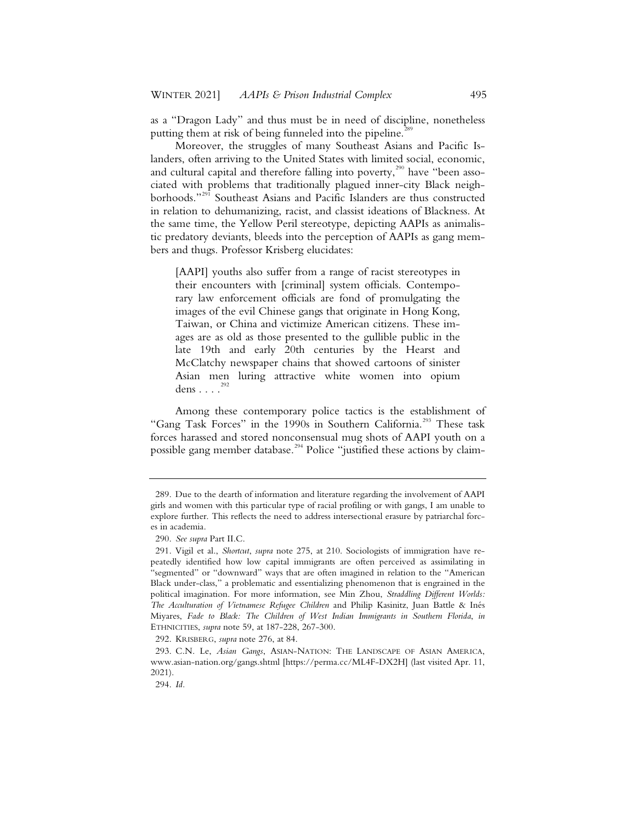as a "Dragon Lady" and thus must be in need of discipline, nonetheless putting them at risk of being funneled into the pipeline.<sup>2</sup>

Moreover, the struggles of many Southeast Asians and Pacific Islanders, often arriving to the United States with limited social, economic, and cultural capital and therefore falling into poverty, $290$  have "been associated with problems that traditionally plagued inner-city Black neighborhoods."<sup>291</sup> Southeast Asians and Pacific Islanders are thus constructed in relation to dehumanizing, racist, and classist ideations of Blackness. At the same time, the Yellow Peril stereotype, depicting AAPIs as animalistic predatory deviants, bleeds into the perception of AAPIs as gang members and thugs. Professor Krisberg elucidates:

[AAPI] youths also suffer from a range of racist stereotypes in their encounters with [criminal] system officials. Contemporary law enforcement officials are fond of promulgating the images of the evil Chinese gangs that originate in Hong Kong, Taiwan, or China and victimize American citizens. These images are as old as those presented to the gullible public in the late 19th and early 20th centuries by the Hearst and McClatchy newspaper chains that showed cartoons of sinister Asian men luring attractive white women into opium dens . . . . <sup>292</sup>

Among these contemporary police tactics is the establishment of "Gang Task Forces" in the 1990s in Southern California.<sup>293</sup> These task forces harassed and stored nonconsensual mug shots of AAPI youth on a possible gang member database.<sup>294</sup> Police "justified these actions by claim-

<sup>289.</sup> Due to the dearth of information and literature regarding the involvement of AAPI girls and women with this particular type of racial profiling or with gangs, I am unable to explore further. This reflects the need to address intersectional erasure by patriarchal forces in academia.

<sup>290.</sup> *See supra* Part II.C.

<sup>291.</sup> Vigil et al., *Shortcut*, *supra* note 275, at 210. Sociologists of immigration have repeatedly identified how low capital immigrants are often perceived as assimilating in "segmented" or "downward" ways that are often imagined in relation to the "American Black under-class," a problematic and essentializing phenomenon that is engrained in the political imagination. For more information, see Min Zhou, *Straddling Different Worlds: The Acculturation of Vietnamese Refugee Children* and Philip Kasinitz, Juan Battle & Inés Miyares, *Fade to Black: The Children of West Indian Immigrants in Southern Florida*, *in*  ETHNICITIES, *supra* note 59, at 187-228, 267-300.

<sup>292.</sup> KRISBERG, *supra* note 276, at 84.

<sup>293.</sup> C.N. Le, *Asian Gangs*, ASIAN-NATION: THE LANDSCAPE OF ASIAN AMERICA, www.asian-nation.org/gangs.shtml [https://perma.cc/ML4F-DX2H] (last visited Apr. 11, 2021).

<sup>294.</sup> *Id.*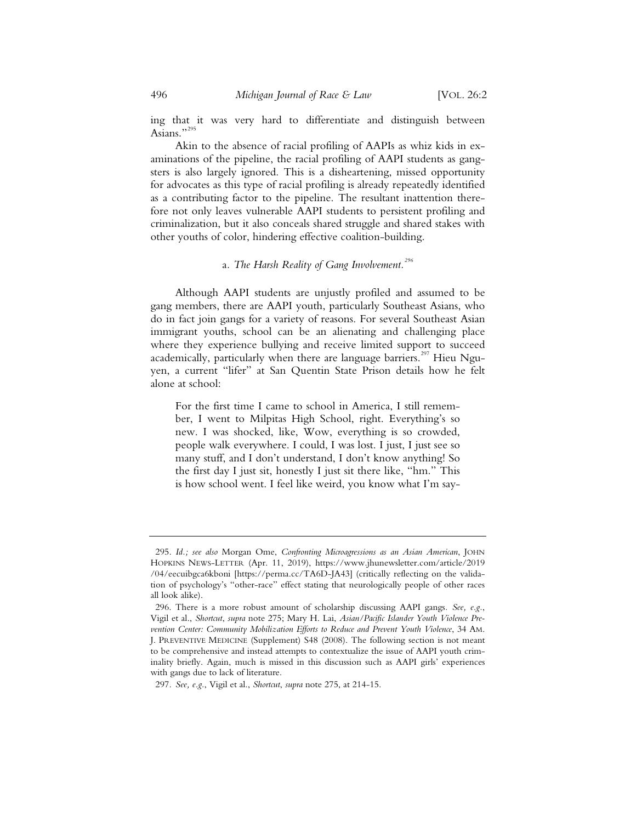ing that it was very hard to differentiate and distinguish between Asians."<sup>29</sup>

Akin to the absence of racial profiling of AAPIs as whiz kids in examinations of the pipeline, the racial profiling of AAPI students as gangsters is also largely ignored. This is a disheartening, missed opportunity for advocates as this type of racial profiling is already repeatedly identified as a contributing factor to the pipeline. The resultant inattention therefore not only leaves vulnerable AAPI students to persistent profiling and criminalization, but it also conceals shared struggle and shared stakes with other youths of color, hindering effective coalition-building.

# a*. The Harsh Reality of Gang Involvement.<sup>296</sup>*

Although AAPI students are unjustly profiled and assumed to be gang members, there are AAPI youth, particularly Southeast Asians, who do in fact join gangs for a variety of reasons. For several Southeast Asian immigrant youths, school can be an alienating and challenging place where they experience bullying and receive limited support to succeed academically, particularly when there are language barriers.<sup>297</sup> Hieu Nguyen, a current "lifer" at San Quentin State Prison details how he felt alone at school:

For the first time I came to school in America, I still remember, I went to Milpitas High School, right. Everything's so new. I was shocked, like, Wow, everything is so crowded, people walk everywhere. I could, I was lost. I just, I just see so many stuff, and I don't understand, I don't know anything! So the first day I just sit, honestly I just sit there like, "hm." This is how school went. I feel like weird, you know what I'm say-

<sup>295.</sup> *Id.; see also* Morgan Ome, *Confronting Microagressions as an Asian American*, JOHN HOPKINS NEWS-LETTER (Apr. 11, 2019), https://www.jhunewsletter.com/article/2019 /04/eecuibgca6kboni [https://perma.cc/TA6D-JA43] (critically reflecting on the validation of psychology's "other-race" effect stating that neurologically people of other races all look alike).

<sup>296.</sup> There is a more robust amount of scholarship discussing AAPI gangs*. See, e.g.*, Vigil et al., *Shortcut*, *supra* note 275; Mary H. Lai, *Asian/Pacific Islander Youth Violence Prevention Center: Community Mobilization Efforts to Reduce and Prevent Youth Violence*, 34 AM. J. PREVENTIVE MEDICINE (Supplement) S48 (2008). The following section is not meant to be comprehensive and instead attempts to contextualize the issue of AAPI youth criminality briefly. Again, much is missed in this discussion such as AAPI girls' experiences with gangs due to lack of literature.

<sup>297.</sup> *See, e.g.*, Vigil et al., *Shortcut*, *supra* note 275, at 214-15.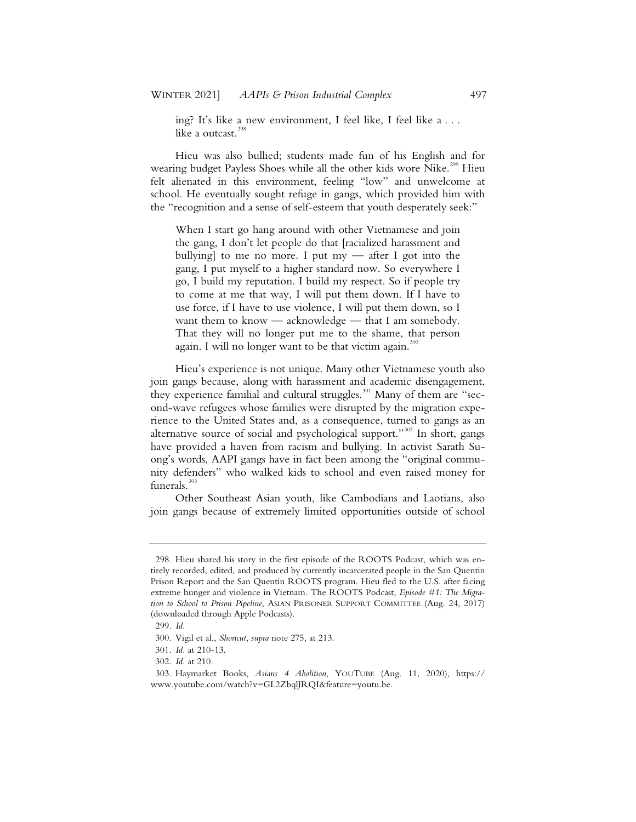ing? It's like a new environment, I feel like, I feel like a . . . like a outcast. $<sup>2</sup>$ </sup>

Hieu was also bullied; students made fun of his English and for wearing budget Payless Shoes while all the other kids wore Nike.<sup>299</sup> Hieu felt alienated in this environment, feeling "low" and unwelcome at school. He eventually sought refuge in gangs, which provided him with the "recognition and a sense of self-esteem that youth desperately seek:"

When I start go hang around with other Vietnamese and join the gang, I don't let people do that [racialized harassment and bullying] to me no more. I put  $my$  — after I got into the gang, I put myself to a higher standard now. So everywhere I go, I build my reputation. I build my respect. So if people try to come at me that way, I will put them down. If I have to use force, if I have to use violence, I will put them down, so I want them to know — acknowledge — that I am somebody. That they will no longer put me to the shame, that person again. I will no longer want to be that victim again.<sup>300</sup>

Hieu's experience is not unique. Many other Vietnamese youth also join gangs because, along with harassment and academic disengagement, they experience familial and cultural struggles.<sup>301</sup> Many of them are "second-wave refugees whose families were disrupted by the migration experience to the United States and, as a consequence, turned to gangs as an alternative source of social and psychological support."<sup>302</sup> In short, gangs have provided a haven from racism and bullying. In activist Sarath Suong's words, AAPI gangs have in fact been among the "original community defenders" who walked kids to school and even raised money for funerals.<sup>303</sup>

Other Southeast Asian youth, like Cambodians and Laotians, also join gangs because of extremely limited opportunities outside of school

<sup>298.</sup> Hieu shared his story in the first episode of the ROOTS Podcast, which was entirely recorded, edited, and produced by currently incarcerated people in the San Quentin Prison Report and the San Quentin ROOTS program. Hieu fled to the U.S. after facing extreme hunger and violence in Vietnam. The ROOTS Podcast, *Episode #1: The Migration to School to Prison Pipeline*, ASIAN PRISONER SUPPORT COMMITTEE (Aug. 24, 2017) (downloaded through Apple Podcasts).

<sup>299.</sup> *Id.*

<sup>300.</sup> Vigil et al., *Shortcut*, *supra* note 275, at 213.

<sup>301.</sup> *Id.* at 210-13.

<sup>302.</sup> *Id.* at 210.

<sup>303.</sup> Haymarket Books, *Asians 4 Abolition*, YOUTUBE (Aug. 11, 2020), https:// www.youtube.com/watch?v=GL2ZbqlJRQI&feature=youtu.be.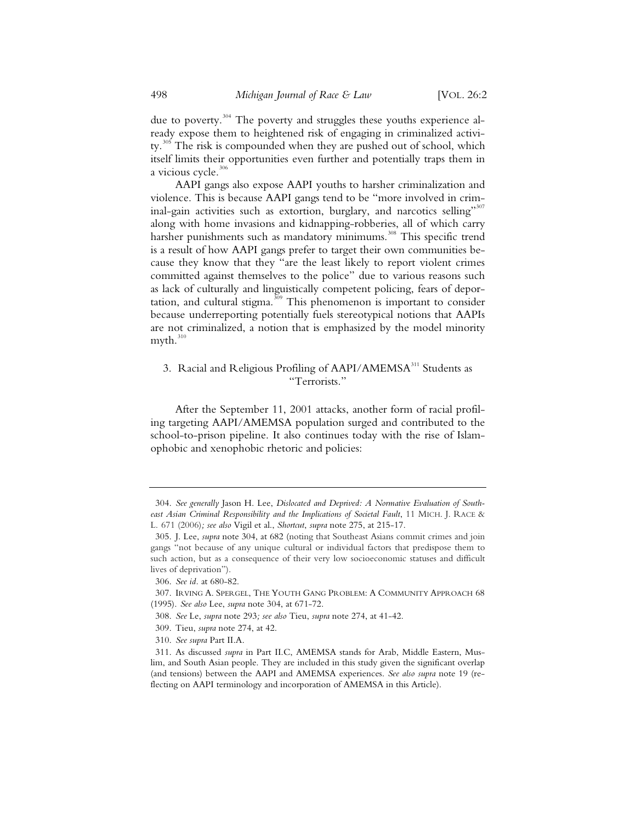due to poverty.<sup>304</sup> The poverty and struggles these youths experience already expose them to heightened risk of engaging in criminalized activity.<sup>305</sup> The risk is compounded when they are pushed out of school, which itself limits their opportunities even further and potentially traps them in a vicious cycle. $306$ 

AAPI gangs also expose AAPI youths to harsher criminalization and violence. This is because AAPI gangs tend to be "more involved in criminal-gain activities such as extortion, burglary, and narcotics selling"<sup>307</sup> along with home invasions and kidnapping-robberies, all of which carry harsher punishments such as mandatory minimums.<sup>308</sup> This specific trend is a result of how AAPI gangs prefer to target their own communities because they know that they "are the least likely to report violent crimes committed against themselves to the police" due to various reasons such as lack of culturally and linguistically competent policing, fears of deportation, and cultural stigma.<sup>309</sup> This phenomenon is important to consider because underreporting potentially fuels stereotypical notions that AAPIs are not criminalized, a notion that is emphasized by the model minority  $myth.<sup>310</sup>$ 

# 3. Racial and Religious Profiling of AAPI/AMEMSA<sup>311</sup> Students as "Terrorists."

After the September 11, 2001 attacks, another form of racial profiling targeting AAPI/AMEMSA population surged and contributed to the school-to-prison pipeline. It also continues today with the rise of Islamophobic and xenophobic rhetoric and policies:

 <sup>304.</sup> *See generally* Jason H. Lee, *Dislocated and Deprived: A Normative Evaluation of Southeast Asian Criminal Responsibility and the Implications of Societal Fault*, 11 MICH. J. RACE & L. 671 (2006)*; see also* Vigil et al., *Shortcut*, *supra* note 275, at 215-17.

 <sup>305.</sup> J. Lee, *supra* note 304, at 682 (noting that Southeast Asians commit crimes and join gangs "not because of any unique cultural or individual factors that predispose them to such action, but as a consequence of their very low socioeconomic statuses and difficult lives of deprivation").

 <sup>306.</sup> *See id.* at 680-82.

 <sup>307.</sup> IRVING A. SPERGEL, THE YOUTH GANG PROBLEM: A COMMUNITY APPROACH 68 (1995). *See also* Lee, *supra* note 304, at 671-72.

 <sup>308.</sup> *See* Le, *supra* note 293*; see also* Tieu, *supra* note 274, at 41-42.

 <sup>309.</sup> Tieu, *supra* note 274, at 42.

 <sup>310.</sup> *See supra* Part II.A.

 <sup>311.</sup> As discussed *supra* in Part II.C, AMEMSA stands for Arab, Middle Eastern, Muslim, and South Asian people. They are included in this study given the significant overlap (and tensions) between the AAPI and AMEMSA experiences. *See also supra* note 19 (reflecting on AAPI terminology and incorporation of AMEMSA in this Article).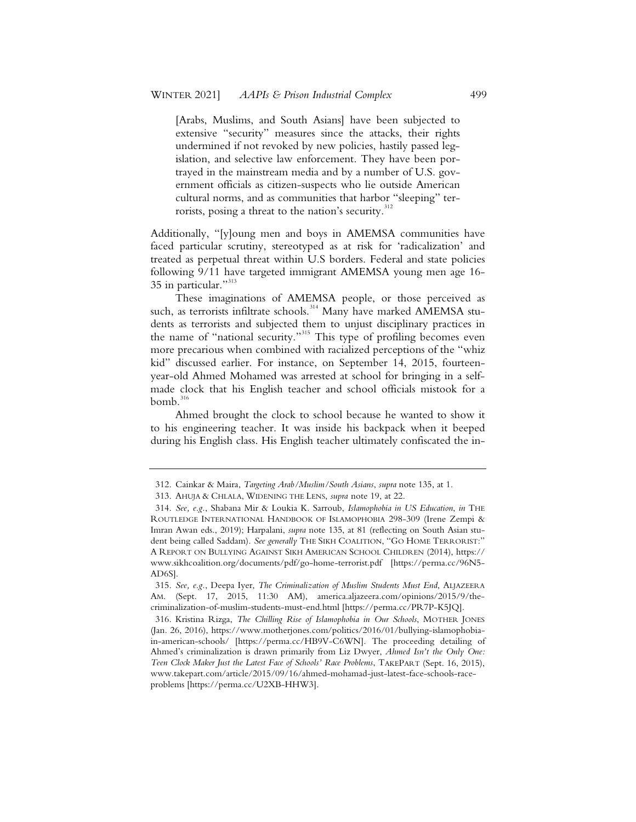[Arabs, Muslims, and South Asians] have been subjected to extensive "security" measures since the attacks, their rights undermined if not revoked by new policies, hastily passed legislation, and selective law enforcement. They have been portrayed in the mainstream media and by a number of U.S. government officials as citizen-suspects who lie outside American cultural norms, and as communities that harbor "sleeping" terrorists, posing a threat to the nation's security.<sup>312</sup>

Additionally, "[y]oung men and boys in AMEMSA communities have faced particular scrutiny, stereotyped as at risk for 'radicalization' and treated as perpetual threat within U.S borders. Federal and state policies following 9/11 have targeted immigrant AMEMSA young men age 16- 35 in particular."313

These imaginations of AMEMSA people, or those perceived as such, as terrorists infiltrate schools.<sup>314</sup> Many have marked AMEMSA students as terrorists and subjected them to unjust disciplinary practices in the name of "national security."<sup>315</sup> This type of profiling becomes even more precarious when combined with racialized perceptions of the "whiz kid" discussed earlier. For instance, on September 14, 2015, fourteenyear-old Ahmed Mohamed was arrested at school for bringing in a selfmade clock that his English teacher and school officials mistook for a  $bomb.<sup>316</sup>$ 

Ahmed brought the clock to school because he wanted to show it to his engineering teacher. It was inside his backpack when it beeped during his English class. His English teacher ultimately confiscated the in-

<sup>312.</sup> Cainkar & Maira, *Targeting Arab/Muslim/South Asians*, *supra* note 135, at 1.

<sup>313.</sup> AHUJA & CHLALA, WIDENING THE LENS, *supra* note 19, at 22.

<sup>314.</sup> *See, e.g.*, Shabana Mir & Loukia K. Sarroub, *Islamophobia in US Education*, *in* THE ROUTLEDGE INTERNATIONAL HANDBOOK OF ISLAMOPHOBIA 298-309 (Irene Zempi & Imran Awan eds., 2019); Harpalani, *supra* note 135, at 81 (reflecting on South Asian student being called Saddam). See generally THE SIKH COALITION, "GO HOME TERRORIST:" A REPORT ON BULLYING AGAINST SIKH AMERICAN SCHOOL CHILDREN (2014), https:// www.sikhcoalition.org/documents/pdf/go-home-terrorist.pdf [https://perma.cc/96N5- AD6S].

<sup>315.</sup> *See, e.g.*, Deepa Iyer, *The Criminalization of Muslim Students Must End*, ALJAZEERA AM. (Sept. 17, 2015, 11:30 AM), america.aljazeera.com/opinions/2015/9/thecriminalization-of-muslim-students-must-end.html [https://perma.cc/PR7P-K5JQ].

<sup>316.</sup> Kristina Rizga, *The Chilling Rise of Islamophobia in Our Schools*, MOTHER JONES (Jan. 26, 2016), https://www.motherjones.com/politics/2016/01/bullying-islamophobiain-american-schools/ [https://perma.cc/HB9V-C6WN]. The proceeding detailing of Ahmed's criminalization is drawn primarily from Liz Dwyer, *Ahmed Isn't the Only One: Teen Clock Maker Just the Latest Face of Schools' Race Problems*, TAKEPART (Sept. 16, 2015), www.takepart.com/article/2015/09/16/ahmed-mohamad-just-latest-face-schools-raceproblems [https://perma.cc/U2XB-HHW3].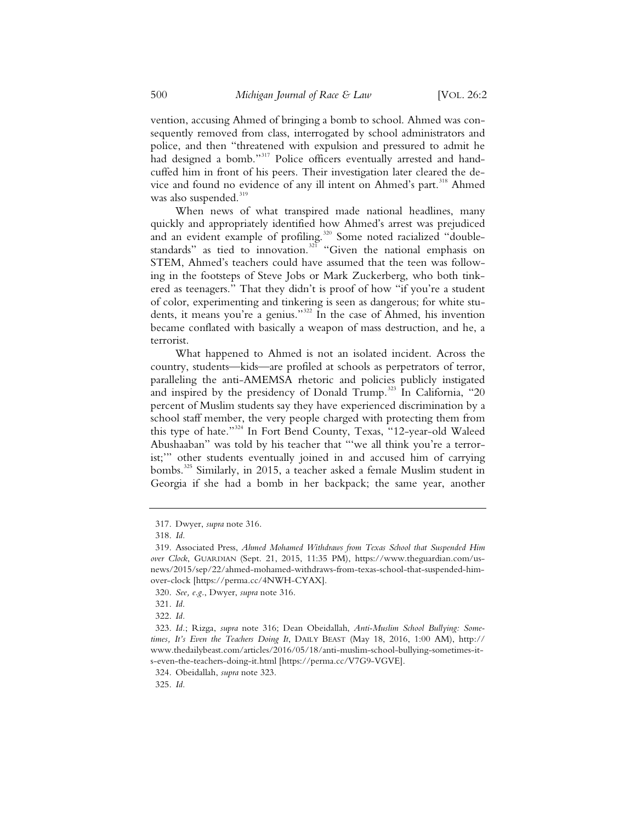vention, accusing Ahmed of bringing a bomb to school. Ahmed was consequently removed from class, interrogated by school administrators and police, and then "threatened with expulsion and pressured to admit he had designed a bomb."<sup>317</sup> Police officers eventually arrested and handcuffed him in front of his peers. Their investigation later cleared the device and found no evidence of any ill intent on Ahmed's part.<sup>318</sup> Ahmed was also suspended.<sup>319</sup>

When news of what transpired made national headlines, many quickly and appropriately identified how Ahmed's arrest was prejudiced and an evident example of profiling.<sup>320</sup> Some noted racialized "doublestandards" as tied to innovation.<sup>321</sup> "Given the national emphasis on STEM, Ahmed's teachers could have assumed that the teen was following in the footsteps of Steve Jobs or Mark Zuckerberg, who both tinkered as teenagers." That they didn't is proof of how "if you're a student of color, experimenting and tinkering is seen as dangerous; for white students, it means you're a genius."<sup>322</sup> In the case of Ahmed, his invention became conflated with basically a weapon of mass destruction, and he, a terrorist.

What happened to Ahmed is not an isolated incident. Across the country, students—kids—are profiled at schools as perpetrators of terror, paralleling the anti-AMEMSA rhetoric and policies publicly instigated and inspired by the presidency of Donald Trump.<sup>323</sup> In California, "20 percent of Muslim students say they have experienced discrimination by a school staff member, the very people charged with protecting them from this type of hate."<sup>324</sup> In Fort Bend County, Texas, "12-year-old Waleed Abushaaban" was told by his teacher that "'we all think you're a terrorist;'" other students eventually joined in and accused him of carrying bombs.<sup>325</sup> Similarly, in 2015, a teacher asked a female Muslim student in Georgia if she had a bomb in her backpack; the same year, another

<sup>317.</sup> Dwyer, *supra* note 316.

<sup>318.</sup> *Id.*

<sup>319.</sup> Associated Press, *Ahmed Mohamed Withdraws from Texas School that Suspended Him over Clock*, GUARDIAN (Sept. 21, 2015, 11:35 PM), https://www.theguardian.com/usnews/2015/sep/22/ahmed-mohamed-withdraws-from-texas-school-that-suspended-himover-clock [https://perma.cc/4NWH-CYAX].

<sup>320.</sup> *See, e.g.*, Dwyer, *supra* note 316.

<sup>321.</sup> *Id*.

<sup>322.</sup> *Id.*

<sup>323.</sup> *Id.*; Rizga, *supra* note 316; Dean Obeidallah, *Anti-Muslim School Bullying: Sometimes, It's Even the Teachers Doing It*, DAILY BEAST (May 18, 2016, 1:00 AM), http:// www.thedailybeast.com/articles/2016/05/18/anti-muslim-school-bullying-sometimes-its-even-the-teachers-doing-it.html [https://perma.cc/V7G9-VGVE].

<sup>324.</sup> Obeidallah, *supra* note 323.

<sup>325.</sup> *Id.*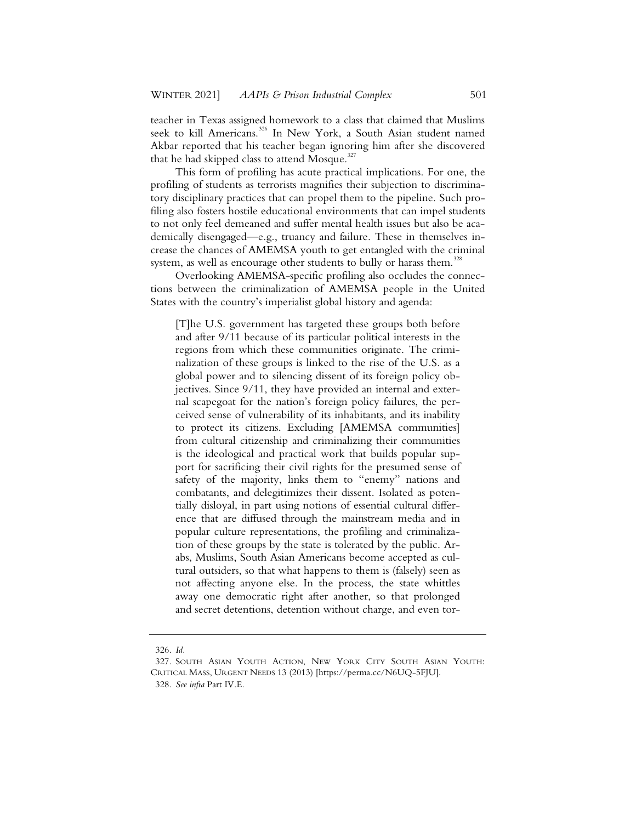teacher in Texas assigned homework to a class that claimed that Muslims seek to kill Americans.<sup>326</sup> In New York, a South Asian student named Akbar reported that his teacher began ignoring him after she discovered that he had skipped class to attend Mosque.<sup>327</sup>

This form of profiling has acute practical implications. For one, the profiling of students as terrorists magnifies their subjection to discriminatory disciplinary practices that can propel them to the pipeline. Such profiling also fosters hostile educational environments that can impel students to not only feel demeaned and suffer mental health issues but also be academically disengaged—e.g., truancy and failure. These in themselves increase the chances of AMEMSA youth to get entangled with the criminal system, as well as encourage other students to bully or harass them.<sup>328</sup>

Overlooking AMEMSA-specific profiling also occludes the connections between the criminalization of AMEMSA people in the United States with the country's imperialist global history and agenda:

[T]he U.S. government has targeted these groups both before and after 9/11 because of its particular political interests in the regions from which these communities originate. The criminalization of these groups is linked to the rise of the U.S. as a global power and to silencing dissent of its foreign policy objectives. Since 9/11, they have provided an internal and external scapegoat for the nation's foreign policy failures, the perceived sense of vulnerability of its inhabitants, and its inability to protect its citizens. Excluding [AMEMSA communities] from cultural citizenship and criminalizing their communities is the ideological and practical work that builds popular support for sacrificing their civil rights for the presumed sense of safety of the majority, links them to "enemy" nations and combatants, and delegitimizes their dissent. Isolated as potentially disloyal, in part using notions of essential cultural difference that are diffused through the mainstream media and in popular culture representations, the profiling and criminalization of these groups by the state is tolerated by the public. Arabs, Muslims, South Asian Americans become accepted as cultural outsiders, so that what happens to them is (falsely) seen as not affecting anyone else. In the process, the state whittles away one democratic right after another, so that prolonged and secret detentions, detention without charge, and even tor-

<sup>326.</sup> *Id.*

<sup>327.</sup> SOUTH ASIAN YOUTH ACTION, NEW YORK CITY SOUTH ASIAN YOUTH: CRITICAL MASS, URGENT NEEDS 13 (2013) [https://perma.cc/N6UQ-5FJU].

<sup>328.</sup> *See infra* Part IV.E.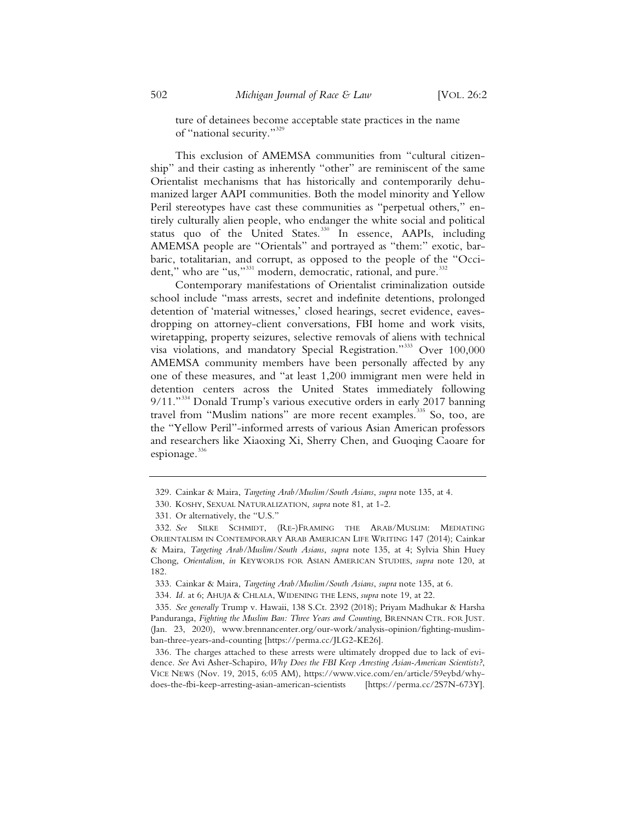ture of detainees become acceptable state practices in the name of "national security."<sup>329</sup>

This exclusion of AMEMSA communities from "cultural citizenship" and their casting as inherently "other" are reminiscent of the same Orientalist mechanisms that has historically and contemporarily dehumanized larger AAPI communities. Both the model minority and Yellow Peril stereotypes have cast these communities as "perpetual others," entirely culturally alien people, who endanger the white social and political status quo of the United States.<sup>330</sup> In essence, AAPIs, including AMEMSA people are "Orientals" and portrayed as "them:" exotic, barbaric, totalitarian, and corrupt, as opposed to the people of the "Occident," who are "us,"<sup>331</sup> modern, democratic, rational, and pure.<sup>332</sup>

Contemporary manifestations of Orientalist criminalization outside school include "mass arrests, secret and indefinite detentions, prolonged detention of 'material witnesses,' closed hearings, secret evidence, eavesdropping on attorney-client conversations, FBI home and work visits, wiretapping, property seizures, selective removals of aliens with technical visa violations, and mandatory Special Registration."<sup>333</sup> Over 100,000 AMEMSA community members have been personally affected by any one of these measures, and "at least 1,200 immigrant men were held in detention centers across the United States immediately following 9/11."<sup>334</sup> Donald Trump's various executive orders in early 2017 banning travel from "Muslim nations" are more recent examples.<sup>335</sup> So, too, are the "Yellow Peril"-informed arrests of various Asian American professors and researchers like Xiaoxing Xi, Sherry Chen, and Guoqing Caoare for espionage.<sup>336</sup>

<sup>329.</sup> Cainkar & Maira, *Targeting Arab/Muslim/South Asians*, *supra* note 135, at 4.

<sup>330.</sup> KOSHY, SEXUAL NATURALIZATION, *supra* note 81, at 1-2.

<sup>331.</sup> Or alternatively, the "U.S."

<sup>332.</sup> *See* SILKE SCHMIDT, (RE-)FRAMING THE ARAB/MUSLIM: MEDIATING ORIENTALISM IN CONTEMPORARY ARAB AMERICAN LIFE WRITING 147 (2014); Cainkar & Maira, *Targeting Arab/Muslim/South Asians*, *supra* note 135, at 4; Sylvia Shin Huey Chong, *Orientalism*, *in* KEYWORDS FOR ASIAN AMERICAN STUDIES, *supra* note 120, at 182.

<sup>333.</sup> Cainkar & Maira, *Targeting Arab/Muslim/South Asians*, *supra* note 135, at 6.

<sup>334.</sup> *Id.* at 6; AHUJA & CHLALA, WIDENING THE LENS, *supra* note 19, at 22.

<sup>335.</sup> *See generally* Trump v. Hawaii, 138 S.Ct. 2392 (2018); Priyam Madhukar & Harsha Panduranga, *Fighting the Muslim Ban: Three Years and Counting*, BRENNAN CTR. FOR JUST. (Jan. 23, 2020), www.brennancenter.org/our-work/analysis-opinion/fighting-muslimban-three-years-and-counting [https://perma.cc/JLG2-KE26].

<sup>336.</sup> The charges attached to these arrests were ultimately dropped due to lack of evidence. *See* Avi Asher-Schapiro, *Why Does the FBI Keep Arresting Asian-American Scientists?*, VICE NEWS (Nov. 19, 2015, 6:05 AM), https://www.vice.com/en/article/59eybd/whydoes-the-fbi-keep-arresting-asian-american-scientists [https://perma.cc/2S7N-673Y].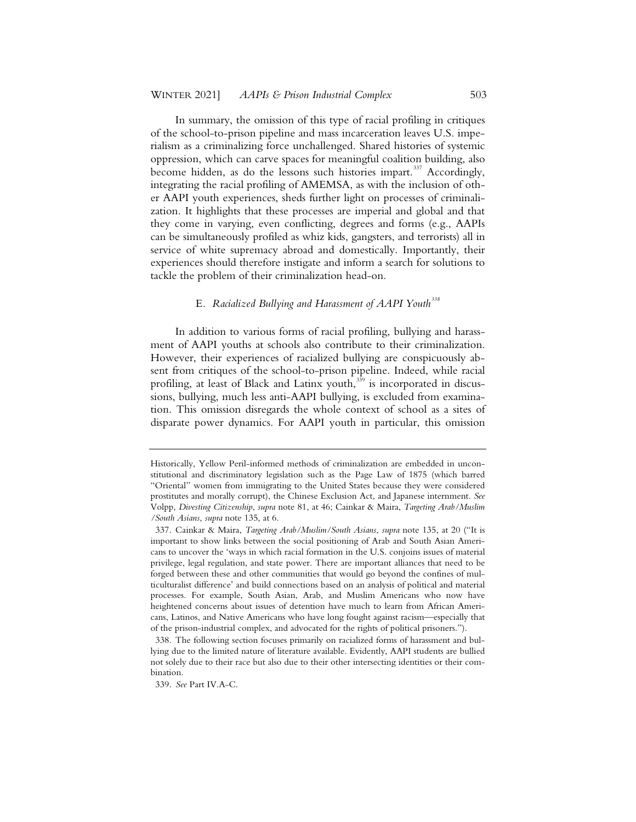In summary, the omission of this type of racial profiling in critiques of the school-to-prison pipeline and mass incarceration leaves U.S. imperialism as a criminalizing force unchallenged. Shared histories of systemic oppression, which can carve spaces for meaningful coalition building, also become hidden, as do the lessons such histories impart.<sup>337</sup> Accordingly, integrating the racial profiling of AMEMSA, as with the inclusion of other AAPI youth experiences, sheds further light on processes of criminalization. It highlights that these processes are imperial and global and that they come in varying, even conflicting, degrees and forms (e.g., AAPIs can be simultaneously profiled as whiz kids, gangsters, and terrorists) all in service of white supremacy abroad and domestically. Importantly, their experiences should therefore instigate and inform a search for solutions to tackle the problem of their criminalization head-on.

# E*. Racialized Bullying and Harassment of AAPI Youth<sup>338</sup>*

In addition to various forms of racial profiling, bullying and harassment of AAPI youths at schools also contribute to their criminalization. However, their experiences of racialized bullying are conspicuously absent from critiques of the school-to-prison pipeline. Indeed, while racial profiling, at least of Black and Latinx youth, $339$  is incorporated in discussions, bullying, much less anti-AAPI bullying, is excluded from examination. This omission disregards the whole context of school as a sites of disparate power dynamics. For AAPI youth in particular, this omission

Historically, Yellow Peril-informed methods of criminalization are embedded in unconstitutional and discriminatory legislation such as the Page Law of 1875 (which barred "Oriental" women from immigrating to the United States because they were considered prostitutes and morally corrupt), the Chinese Exclusion Act, and Japanese internment. *See* Volpp, *Divesting Citizenship*, *supra* note 81, at 46; Cainkar & Maira, *Targeting Arab/Muslim /South Asians*, *supra* note 135, at 6.

<sup>337.</sup> Cainkar & Maira, *Targeting Arab/Muslim/South Asians*, *supra* note 135, at 20 ("It is important to show links between the social positioning of Arab and South Asian Americans to uncover the 'ways in which racial formation in the U.S. conjoins issues of material privilege, legal regulation, and state power. There are important alliances that need to be forged between these and other communities that would go beyond the confines of multiculturalist difference' and build connections based on an analysis of political and material processes. For example, South Asian, Arab, and Muslim Americans who now have heightened concerns about issues of detention have much to learn from African Americans, Latinos, and Native Americans who have long fought against racism—especially that of the prison-industrial complex, and advocated for the rights of political prisoners.").

<sup>338.</sup> The following section focuses primarily on racialized forms of harassment and bullying due to the limited nature of literature available. Evidently, AAPI students are bullied not solely due to their race but also due to their other intersecting identities or their combination.

<sup>339.</sup> *See* Part IV.A-C.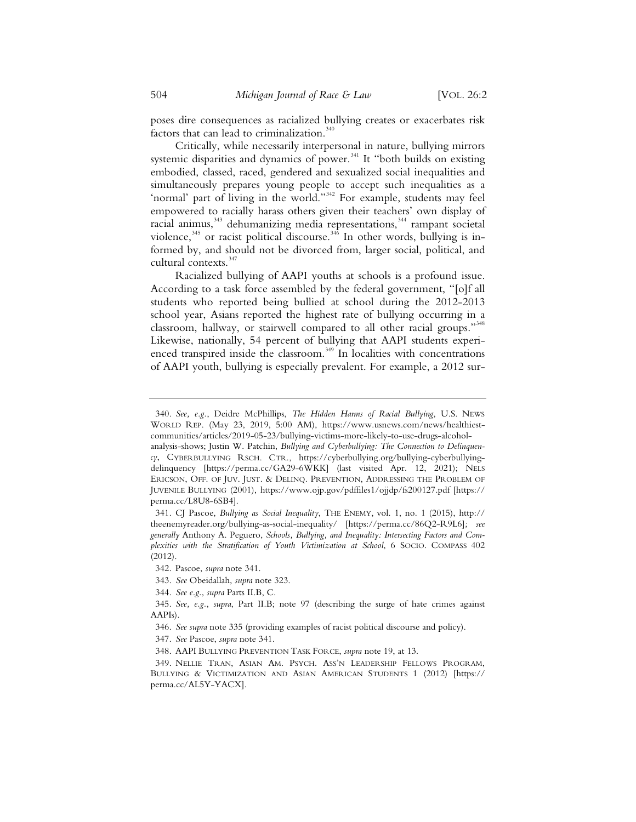poses dire consequences as racialized bullying creates or exacerbates risk factors that can lead to criminalization. $340$ 

Critically, while necessarily interpersonal in nature, bullying mirrors systemic disparities and dynamics of power.<sup>341</sup> It "both builds on existing embodied, classed, raced, gendered and sexualized social inequalities and simultaneously prepares young people to accept such inequalities as a 'normal' part of living in the world."<sup>342</sup> For example, students may feel empowered to racially harass others given their teachers' own display of racial animus,<sup>343</sup> dehumanizing media representations,<sup>344</sup> rampant societal violence,<sup>345</sup> or racist political discourse.<sup>346</sup> In other words, bullying is informed by, and should not be divorced from, larger social, political, and cultural contexts.<sup>347</sup>

Racialized bullying of AAPI youths at schools is a profound issue. According to a task force assembled by the federal government, "[o]f all students who reported being bullied at school during the 2012-2013 school year, Asians reported the highest rate of bullying occurring in a classroom, hallway, or stairwell compared to all other racial groups."<sup>348</sup> Likewise, nationally, 54 percent of bullying that AAPI students experienced transpired inside the classroom.<sup>349</sup> In localities with concentrations of AAPI youth, bullying is especially prevalent. For example, a 2012 sur-

<sup>340.</sup> *See, e.g.*, Deidre McPhillips, *The Hidden Harms of Racial Bullying*, U.S. NEWS WORLD REP. (May 23, 2019, 5:00 AM), https://www.usnews.com/news/healthiestcommunities/articles/2019-05-23/bullying-victims-more-likely-to-use-drugs-alcohol-

analysis-shows; Justin W. Patchin, *Bullying and Cyberbullying: The Connection to Delinquency*, CYBERBULLYING RSCH. CTR., https://cyberbullying.org/bullying-cyberbullyingdelinquency [https://perma.cc/GA29-6WKK] (last visited Apr. 12, 2021); NELS ERICSON, OFF. OF JUV. JUST. & DELINQ. PREVENTION, ADDRESSING THE PROBLEM OF JUVENILE BULLYING (2001), https://www.ojp.gov/pdffiles1/ojjdp/fs200127.pdf [https:// perma.cc/L8U8-6SB4].

<sup>341.</sup> CJ Pascoe, *Bullying as Social Inequality*, THE ENEMY, vol. 1, no. 1 (2015), http:// theenemyreader.org/bullying-as-social-inequality/ [https://perma.cc/86Q2-R9L6]*; see generally* Anthony A. Peguero, *Schools, Bullying, and Inequality: Intersecting Factors and Complexities with the Stratification of Youth Victimization at School*,6SOCIO. COMPASS 402 (2012).

<sup>342.</sup> Pascoe, *supra* note 341.

<sup>343.</sup> *See* Obeidallah, *supra* note 323.

<sup>344.</sup> *See e.g.*, *supra* Parts II.B, C.

<sup>345.</sup> *See, e.g.*, *supra*, Part II.B; note 97 (describing the surge of hate crimes against AAPIs).

<sup>346.</sup> *See supra* note 335 (providing examples of racist political discourse and policy).

<sup>347.</sup> *See* Pascoe, *supra* note 341.

<sup>348.</sup> AAPI BULLYING PREVENTION TASK FORCE, *supra* note 19, at 13.

<sup>349.</sup> NELLIE TRAN, ASIAN AM. PSYCH. ASS'N LEADERSHIP FELLOWS PROGRAM, BULLYING & VICTIMIZATION AND ASIAN AMERICAN STUDENTS 1 (2012) [https:// perma.cc/AL5Y-YACX].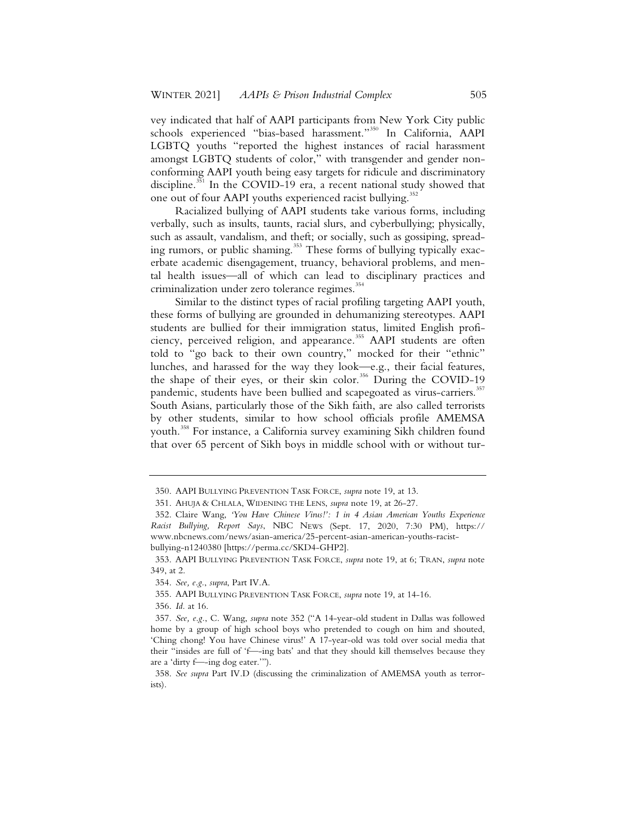vey indicated that half of AAPI participants from New York City public schools experienced "bias-based harassment."<sup>350</sup> In California, AAPI LGBTQ youths "reported the highest instances of racial harassment amongst LGBTQ students of color," with transgender and gender nonconforming AAPI youth being easy targets for ridicule and discriminatory discipline.<sup>351</sup> In the COVID-19 era, a recent national study showed that one out of four AAPI youths experienced racist bullying.<sup>352</sup>

Racialized bullying of AAPI students take various forms, including verbally, such as insults, taunts, racial slurs, and cyberbullying; physically, such as assault, vandalism, and theft; or socially, such as gossiping, spreading rumors, or public shaming.<sup>353</sup> These forms of bullying typically exacerbate academic disengagement, truancy, behavioral problems, and mental health issues—all of which can lead to disciplinary practices and criminalization under zero tolerance regimes.<sup>354</sup>

Similar to the distinct types of racial profiling targeting AAPI youth, these forms of bullying are grounded in dehumanizing stereotypes. AAPI students are bullied for their immigration status, limited English proficiency, perceived religion, and appearance.<sup>355</sup> AAPI students are often told to "go back to their own country," mocked for their "ethnic" lunches, and harassed for the way they look—e.g., their facial features, the shape of their eyes, or their skin color.<sup>356</sup> During the COVID-19 pandemic, students have been bullied and scapegoated as virus-carriers.<sup>357</sup> South Asians, particularly those of the Sikh faith, are also called terrorists by other students, similar to how school officials profile AMEMSA youth.<sup>358</sup> For instance, a California survey examining Sikh children found that over 65 percent of Sikh boys in middle school with or without tur-

356. *Id.* at 16.

<sup>350.</sup> AAPI BULLYING PREVENTION TASK FORCE, *supra* note 19, at 13.

<sup>351.</sup> AHUJA & CHLALA, WIDENING THE LENS, *supra* note 19, at 26-27.

<sup>352.</sup> Claire Wang, *'You Have Chinese Virus!': 1 in 4 Asian American Youths Experience Racist Bullying, Report Says*, NBC NEWS (Sept. 17, 2020, 7:30 PM), https:// www.nbcnews.com/news/asian-america/25-percent-asian-american-youths-racistbullying-n1240380 [https://perma.cc/SKD4-GHP2].

<sup>353.</sup> AAPI BULLYING PREVENTION TASK FORCE, *supra* note 19, at 6; TRAN, *supra* note 349, at 2.

<sup>354.</sup> *See, e.g.*, *supra*, Part IV.A.

<sup>355.</sup> AAPI BULLYING PREVENTION TASK FORCE, *supra* note 19, at 14-16.

<sup>357.</sup> *See, e.g.*, C. Wang, *supra* note 352 ("A 14-year-old student in Dallas was followed home by a group of high school boys who pretended to cough on him and shouted, 'Ching chong! You have Chinese virus!' A 17-year-old was told over social media that their "insides are full of 'f—-ing bats' and that they should kill themselves because they are a 'dirty f—-ing dog eater.'").

<sup>358.</sup> *See supra* Part IV.D (discussing the criminalization of AMEMSA youth as terrorists).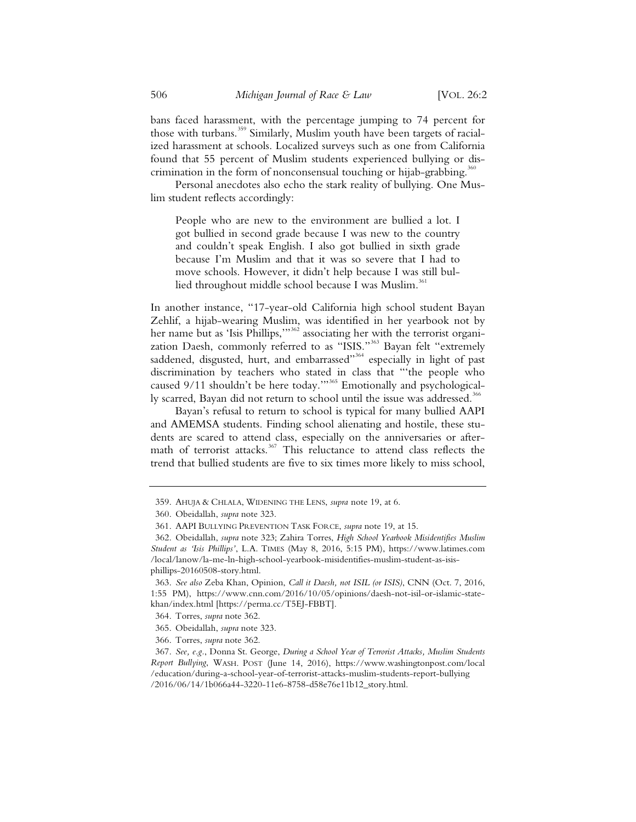bans faced harassment, with the percentage jumping to 74 percent for those with turbans.<sup>359</sup> Similarly, Muslim youth have been targets of racialized harassment at schools. Localized surveys such as one from California found that 55 percent of Muslim students experienced bullying or discrimination in the form of nonconsensual touching or hijab-grabbing.<sup>36</sup>

Personal anecdotes also echo the stark reality of bullying. One Muslim student reflects accordingly:

People who are new to the environment are bullied a lot. I got bullied in second grade because I was new to the country and couldn't speak English. I also got bullied in sixth grade because I'm Muslim and that it was so severe that I had to move schools. However, it didn't help because I was still bullied throughout middle school because I was Muslim.<sup>36</sup>

In another instance, "17-year-old California high school student Bayan Zehlif, a hijab-wearing Muslim, was identified in her yearbook not by her name but as 'Isis Phillips,'"<sup>362</sup> associating her with the terrorist organization Daesh, commonly referred to as "ISIS."<sup>363</sup> Bayan felt "extremely saddened, disgusted, hurt, and embarrassed"<sup>364</sup> especially in light of past discrimination by teachers who stated in class that "'the people who caused 9/11 shouldn't be here today.""<sup>365</sup> Emotionally and psychologically scarred, Bayan did not return to school until the issue was addressed.<sup>366</sup>

Bayan's refusal to return to school is typical for many bullied AAPI and AMEMSA students. Finding school alienating and hostile, these students are scared to attend class, especially on the anniversaries or aftermath of terrorist attacks.<sup>367</sup> This reluctance to attend class reflects the trend that bullied students are five to six times more likely to miss school,

<sup>359.</sup> AHUJA & CHLALA, WIDENING THE LENS, *supra* note 19, at 6.

<sup>360.</sup> Obeidallah, *supra* note 323.

<sup>361.</sup> AAPI BULLYING PREVENTION TASK FORCE, *supra* note 19, at 15.

<sup>362.</sup> Obeidallah, *supra* note 323; Zahira Torres, *High School Yearbook Misidentifies Muslim Student as 'Isis Phillips'*, L.A. TIMES (May 8, 2016, 5:15 PM), https://www.latimes.com /local/lanow/la-me-ln-high-school-yearbook-misidentifies-muslim-student-as-isisphillips-20160508-story.html.

<sup>363.</sup> *See also* Zeba Khan, Opinion, *Call it Daesh, not ISIL (or ISIS)*, CNN (Oct. 7, 2016, 1:55 PM), https://www.cnn.com/2016/10/05/opinions/daesh-not-isil-or-islamic-statekhan/index.html [https://perma.cc/T5EJ-FBBT].

<sup>364.</sup> Torres, *supra* note 362.

<sup>365.</sup> Obeidallah, *supra* note 323.

<sup>366.</sup> Torres, *supra* note 362.

<sup>367.</sup> *See, e.g.*, Donna St. George, *During a School Year of Terrorist Attacks, Muslim Students Report Bullying*, WASH. POST (June 14, 2016), https://www.washingtonpost.com/local /education/during-a-school-year-of-terrorist-attacks-muslim-students-report-bullying /2016/06/14/1b066a44-3220-11e6-8758-d58e76e11b12\_story.html.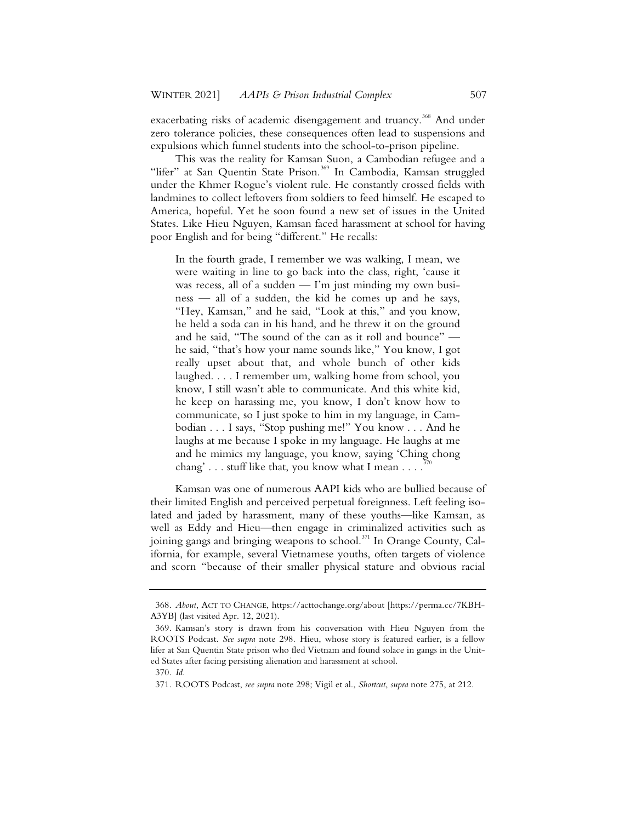exacerbating risks of academic disengagement and truancy.<sup>368</sup> And under zero tolerance policies, these consequences often lead to suspensions and expulsions which funnel students into the school-to-prison pipeline.

This was the reality for Kamsan Suon, a Cambodian refugee and a "lifer" at San Quentin State Prison.<sup>369</sup> In Cambodia, Kamsan struggled under the Khmer Rogue's violent rule. He constantly crossed fields with landmines to collect leftovers from soldiers to feed himself. He escaped to America, hopeful. Yet he soon found a new set of issues in the United States. Like Hieu Nguyen, Kamsan faced harassment at school for having poor English and for being "different." He recalls:

In the fourth grade, I remember we was walking, I mean, we were waiting in line to go back into the class, right, 'cause it was recess, all of a sudden — I'm just minding my own business — all of a sudden, the kid he comes up and he says, "Hey, Kamsan," and he said, "Look at this," and you know, he held a soda can in his hand, and he threw it on the ground and he said, "The sound of the can as it roll and bounce" he said, "that's how your name sounds like," You know, I got really upset about that, and whole bunch of other kids laughed. . . . I remember um, walking home from school, you know, I still wasn't able to communicate. And this white kid, he keep on harassing me, you know, I don't know how to communicate, so I just spoke to him in my language, in Cambodian . . . I says, "Stop pushing me!" You know . . . And he laughs at me because I spoke in my language. He laughs at me and he mimics my language, you know, saying 'Ching chong chang'  $\ldots$  stuff like that, you know what I mean  $\ldots$ .

Kamsan was one of numerous AAPI kids who are bullied because of their limited English and perceived perpetual foreignness. Left feeling isolated and jaded by harassment, many of these youths—like Kamsan, as well as Eddy and Hieu—then engage in criminalized activities such as joining gangs and bringing weapons to school.<sup>371</sup> In Orange County, California, for example, several Vietnamese youths, often targets of violence and scorn "because of their smaller physical stature and obvious racial

<sup>368.</sup> *About*, ACT TO CHANGE, https://acttochange.org/about [https://perma.cc/7KBH-A3YB] (last visited Apr. 12, 2021).

<sup>369.</sup> Kamsan's story is drawn from his conversation with Hieu Nguyen from the ROOTS Podcast. *See supra* note 298. Hieu, whose story is featured earlier, is a fellow lifer at San Quentin State prison who fled Vietnam and found solace in gangs in the United States after facing persisting alienation and harassment at school.

<sup>370.</sup> *Id.*

<sup>371.</sup> ROOTS Podcast, *see supra* note 298; Vigil et al., *Shortcut*, *supra* note 275, at 212.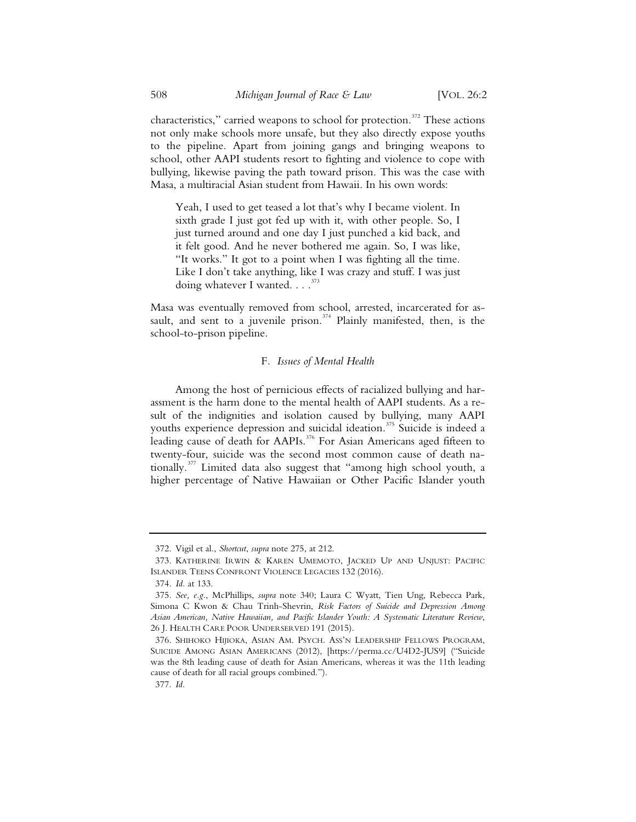characteristics," carried weapons to school for protection.<sup>372</sup> These actions not only make schools more unsafe, but they also directly expose youths to the pipeline. Apart from joining gangs and bringing weapons to school, other AAPI students resort to fighting and violence to cope with bullying, likewise paving the path toward prison. This was the case with Masa, a multiracial Asian student from Hawaii. In his own words:

Yeah, I used to get teased a lot that's why I became violent. In sixth grade I just got fed up with it, with other people. So, I just turned around and one day I just punched a kid back, and it felt good. And he never bothered me again. So, I was like, "It works." It got to a point when I was fighting all the time. Like I don't take anything, like I was crazy and stuff. I was just doing whatever I wanted. . . .<sup>373</sup>

Masa was eventually removed from school, arrested, incarcerated for assault, and sent to a juvenile prison.<sup>374</sup> Plainly manifested, then, is the school-to-prison pipeline.

#### F*. Issues of Mental Health*

Among the host of pernicious effects of racialized bullying and harassment is the harm done to the mental health of AAPI students. As a result of the indignities and isolation caused by bullying, many AAPI youths experience depression and suicidal ideation.<sup>375</sup> Suicide is indeed a leading cause of death for AAPIs.<sup>376</sup> For Asian Americans aged fifteen to twenty-four, suicide was the second most common cause of death nationally.<sup>377</sup> Limited data also suggest that "among high school youth, a higher percentage of Native Hawaiian or Other Pacific Islander youth

<sup>372.</sup> Vigil et al., *Shortcut*, *supra* note 275, at 212.

<sup>373.</sup> KATHERINE IRWIN & KAREN UMEMOTO, JACKED UP AND UNJUST: PACIFIC ISLANDER TEENS CONFRONT VIOLENCE LEGACIES 132 (2016).

<sup>374.</sup> *Id.* at 133.

<sup>375.</sup> *See, e.g.*, McPhillips, *supra* note 340; Laura C Wyatt, Tien Ung, Rebecca Park, Simona C Kwon & Chau Trinh-Shevrin, *Risk Factors of Suicide and Depression Among Asian American, Native Hawaiian, and Pacific Islander Youth: A Systematic Literature Review*, 26 J. HEALTH CARE POOR UNDERSERVED 191 (2015).

<sup>376.</sup> SHIHOKO HIJIOKA, ASIAN AM. PSYCH. ASS'N LEADERSHIP FELLOWS PROGRAM, SUICIDE AMONG ASIAN AMERICANS (2012), [https://perma.cc/U4D2-JUS9] ("Suicide was the 8th leading cause of death for Asian Americans, whereas it was the 11th leading cause of death for all racial groups combined.").

<sup>377.</sup> *Id.*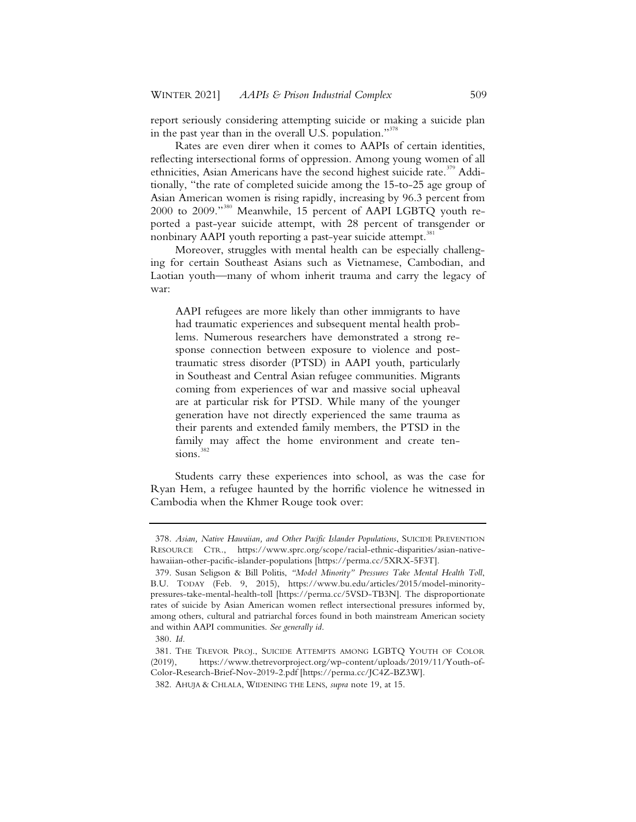report seriously considering attempting suicide or making a suicide plan in the past year than in the overall U.S. population."<sup>378</sup>

Rates are even direr when it comes to AAPIs of certain identities, reflecting intersectional forms of oppression. Among young women of all ethnicities, Asian Americans have the second highest suicide rate.<sup>379</sup> Additionally, "the rate of completed suicide among the 15-to-25 age group of Asian American women is rising rapidly, increasing by 96.3 percent from 2000 to 2009."<sup>380</sup> Meanwhile, 15 percent of AAPI LGBTQ youth reported a past-year suicide attempt, with 28 percent of transgender or nonbinary AAPI youth reporting a past-year suicide attempt.<sup>381</sup>

Moreover, struggles with mental health can be especially challenging for certain Southeast Asians such as Vietnamese, Cambodian, and Laotian youth—many of whom inherit trauma and carry the legacy of war:

AAPI refugees are more likely than other immigrants to have had traumatic experiences and subsequent mental health problems. Numerous researchers have demonstrated a strong response connection between exposure to violence and posttraumatic stress disorder (PTSD) in AAPI youth, particularly in Southeast and Central Asian refugee communities. Migrants coming from experiences of war and massive social upheaval are at particular risk for PTSD. While many of the younger generation have not directly experienced the same trauma as their parents and extended family members, the PTSD in the family may affect the home environment and create ten $sions.<sup>382</sup>$ 

Students carry these experiences into school, as was the case for Ryan Hem, a refugee haunted by the horrific violence he witnessed in Cambodia when the Khmer Rouge took over:

<sup>378.</sup> *Asian, Native Hawaiian, and Other Pacific Islander Populations*, SUICIDE PREVENTION RESOURCE CTR., https://www.sprc.org/scope/racial-ethnic-disparities/asian-nativehawaiian-other-pacific-islander-populations [https://perma.cc/5XRX-5F3T].

<sup>379.</sup> Susan Seligson & Bill Politis, *"Model Minority" Pressures Take Mental Health Toll*, B.U. TODAY (Feb. 9, 2015), https://www.bu.edu/articles/2015/model-minoritypressures-take-mental-health-toll [https://perma.cc/5VSD-TB3N]. The disproportionate rates of suicide by Asian American women reflect intersectional pressures informed by, among others, cultural and patriarchal forces found in both mainstream American society and within AAPI communities. *See generally id*.

<sup>380.</sup> *Id.*

<sup>381.</sup> THE TREVOR PROJ., SUICIDE ATTEMPTS AMONG LGBTQ YOUTH OF COLOR (2019), https://www.thetrevorproject.org/wp-content/uploads/2019/11/Youth-of-Color-Research-Brief-Nov-2019-2.pdf [https://perma.cc/JC4Z-BZ3W].

<sup>382.</sup> AHUJA & CHLALA, WIDENING THE LENS, *supra* note 19, at 15.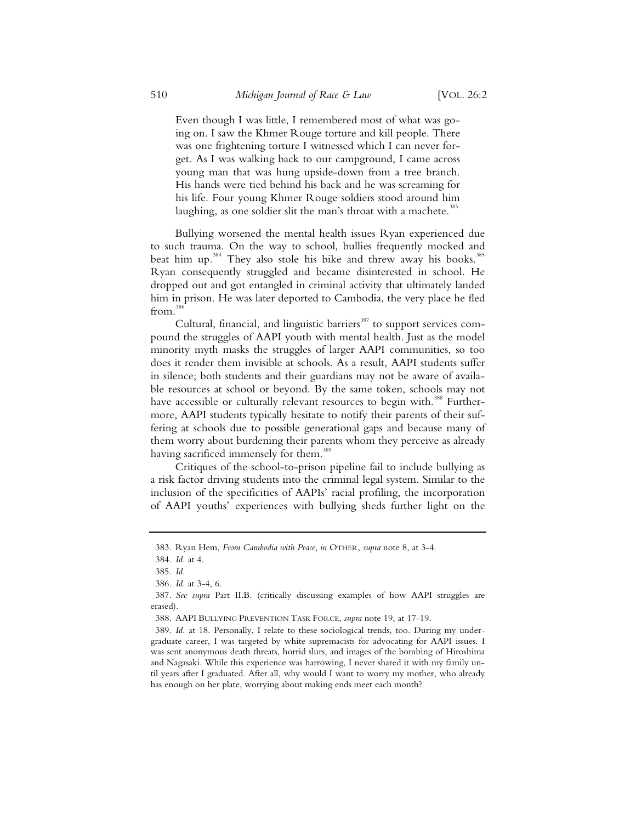Even though I was little, I remembered most of what was going on. I saw the Khmer Rouge torture and kill people. There was one frightening torture I witnessed which I can never forget. As I was walking back to our campground, I came across young man that was hung upside-down from a tree branch. His hands were tied behind his back and he was screaming for his life. Four young Khmer Rouge soldiers stood around him laughing, as one soldier slit the man's throat with a machete.<sup>383</sup>

Bullying worsened the mental health issues Ryan experienced due to such trauma. On the way to school, bullies frequently mocked and beat him up.<sup>384</sup> They also stole his bike and threw away his books.<sup>385</sup> Ryan consequently struggled and became disinterested in school. He dropped out and got entangled in criminal activity that ultimately landed him in prison. He was later deported to Cambodia, the very place he fled  $from.<sup>38</sup>$ 

Cultural, financial, and linguistic barriers<sup>387</sup> to support services compound the struggles of AAPI youth with mental health. Just as the model minority myth masks the struggles of larger AAPI communities, so too does it render them invisible at schools. As a result, AAPI students suffer in silence; both students and their guardians may not be aware of available resources at school or beyond. By the same token, schools may not have accessible or culturally relevant resources to begin with.<sup>388</sup> Furthermore, AAPI students typically hesitate to notify their parents of their suffering at schools due to possible generational gaps and because many of them worry about burdening their parents whom they perceive as already having sacrificed immensely for them.<sup>389</sup>

Critiques of the school-to-prison pipeline fail to include bullying as a risk factor driving students into the criminal legal system. Similar to the inclusion of the specificities of AAPIs' racial profiling, the incorporation of AAPI youths' experiences with bullying sheds further light on the

<sup>383.</sup> Ryan Hem, *From Cambodia with Peace*, *in* OTHER, *supra* note 8, at 3-4.

<sup>384.</sup> *Id.* at 4.

<sup>385.</sup> *Id.*

<sup>386.</sup> *Id.* at 3-4, 6.

<sup>387.</sup> *See supra* Part II.B. (critically discussing examples of how AAPI struggles are erased).

<sup>388.</sup> AAPI BULLYING PREVENTION TASK FORCE, *supra* note 19, at 17-19.

<sup>389.</sup> *Id.* at 18. Personally, I relate to these sociological trends, too. During my undergraduate career, I was targeted by white supremacists for advocating for AAPI issues. I was sent anonymous death threats, horrid slurs, and images of the bombing of Hiroshima and Nagasaki. While this experience was harrowing, I never shared it with my family until years after I graduated. After all, why would I want to worry my mother, who already has enough on her plate, worrying about making ends meet each month?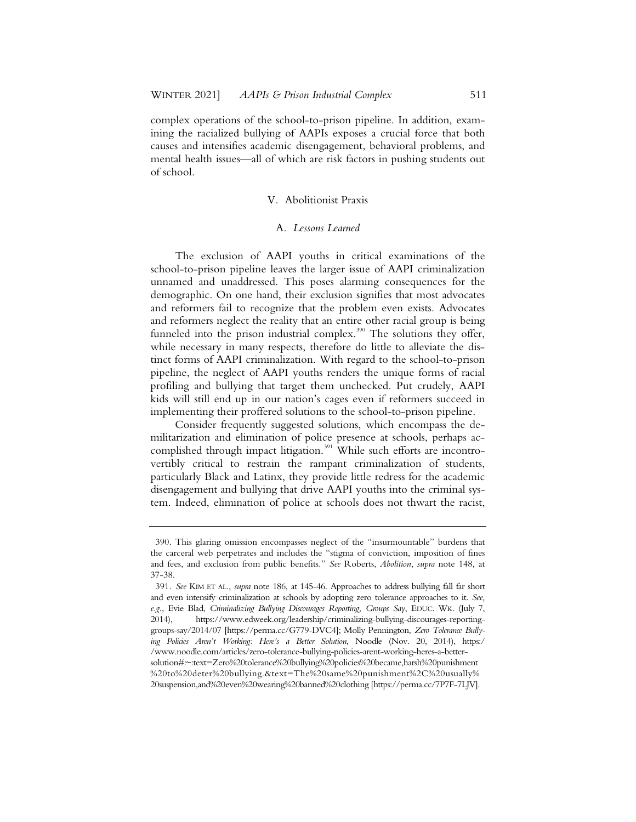complex operations of the school-to-prison pipeline. In addition, examining the racialized bullying of AAPIs exposes a crucial force that both causes and intensifies academic disengagement, behavioral problems, and mental health issues—all of which are risk factors in pushing students out of school.

## V. Abolitionist Praxis

## A. *Lessons Learned*

The exclusion of AAPI youths in critical examinations of the school-to-prison pipeline leaves the larger issue of AAPI criminalization unnamed and unaddressed. This poses alarming consequences for the demographic. On one hand, their exclusion signifies that most advocates and reformers fail to recognize that the problem even exists. Advocates and reformers neglect the reality that an entire other racial group is being funneled into the prison industrial complex.<sup>390</sup> The solutions they offer, while necessary in many respects, therefore do little to alleviate the distinct forms of AAPI criminalization. With regard to the school-to-prison pipeline, the neglect of AAPI youths renders the unique forms of racial profiling and bullying that target them unchecked. Put crudely, AAPI kids will still end up in our nation's cages even if reformers succeed in implementing their proffered solutions to the school-to-prison pipeline.

Consider frequently suggested solutions, which encompass the demilitarization and elimination of police presence at schools, perhaps accomplished through impact litigation.<sup>391</sup> While such efforts are incontrovertibly critical to restrain the rampant criminalization of students, particularly Black and Latinx, they provide little redress for the academic disengagement and bullying that drive AAPI youths into the criminal system. Indeed, elimination of police at schools does not thwart the racist,

<sup>390.</sup> This glaring omission encompasses neglect of the "insurmountable" burdens that the carceral web perpetrates and includes the "stigma of conviction, imposition of fines and fees, and exclusion from public benefits." *See* Roberts, *Abolition*, *supra* note 148, at 37-38.

<sup>391.</sup> *See* KIM ET AL., *supra* note 186, at 145-46. Approaches to address bullying fall far short and even intensify criminalization at schools by adopting zero tolerance approaches to it. *See, e.g.*, Evie Blad, *Criminalizing Bullying Discourages Reporting, Groups Say*, EDUC. WK. (July 7, 2014), https://www.edweek.org/leadership/criminalizing-bullying-discourages-reportinggroups-say/2014/07 [https://perma.cc/G779-DVC4]; Molly Pennington, *Zero Tolerance Bullying Policies Aren't Working: Here's a Better Solution*, Noodle (Nov. 20, 2014), https:/ /www.noodle.com/articles/zero-tolerance-bullying-policies-arent-working-heres-a-bettersolution#:~:text=Zero%20tolerance%20bullying%20policies%20became,harsh%20punishment %20to%20deter%20bullying.&text=The%20same%20punishment%2C%20usually% 20suspension,and%20even%20wearing%20banned%20clothing [https://perma.cc/7P7F-7LJV].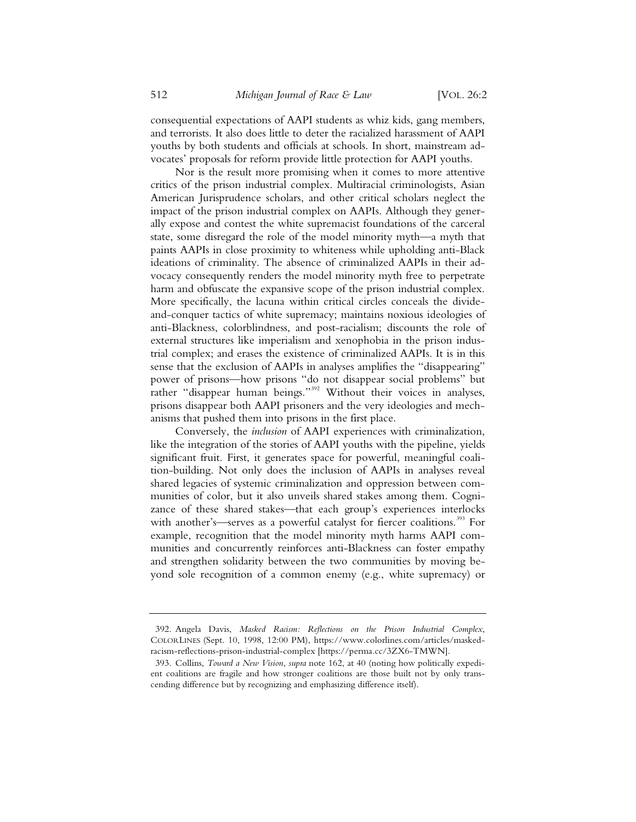consequential expectations of AAPI students as whiz kids, gang members, and terrorists. It also does little to deter the racialized harassment of AAPI youths by both students and officials at schools. In short, mainstream advocates' proposals for reform provide little protection for AAPI youths.

Nor is the result more promising when it comes to more attentive critics of the prison industrial complex. Multiracial criminologists, Asian American Jurisprudence scholars, and other critical scholars neglect the impact of the prison industrial complex on AAPIs. Although they generally expose and contest the white supremacist foundations of the carceral state, some disregard the role of the model minority myth—a myth that paints AAPIs in close proximity to whiteness while upholding anti-Black ideations of criminality. The absence of criminalized AAPIs in their advocacy consequently renders the model minority myth free to perpetrate harm and obfuscate the expansive scope of the prison industrial complex. More specifically, the lacuna within critical circles conceals the divideand-conquer tactics of white supremacy; maintains noxious ideologies of anti-Blackness, colorblindness, and post-racialism; discounts the role of external structures like imperialism and xenophobia in the prison industrial complex; and erases the existence of criminalized AAPIs. It is in this sense that the exclusion of AAPIs in analyses amplifies the "disappearing" power of prisons—how prisons "do not disappear social problems" but rather "disappear human beings."<sup>392</sup> Without their voices in analyses, prisons disappear both AAPI prisoners and the very ideologies and mechanisms that pushed them into prisons in the first place.

Conversely, the *inclusion* of AAPI experiences with criminalization, like the integration of the stories of AAPI youths with the pipeline, yields significant fruit. First, it generates space for powerful, meaningful coalition-building. Not only does the inclusion of AAPIs in analyses reveal shared legacies of systemic criminalization and oppression between communities of color, but it also unveils shared stakes among them. Cognizance of these shared stakes—that each group's experiences interlocks with another's—serves as a powerful catalyst for fiercer coalitions.<sup>393</sup> For example, recognition that the model minority myth harms AAPI communities and concurrently reinforces anti-Blackness can foster empathy and strengthen solidarity between the two communities by moving beyond sole recognition of a common enemy (e.g., white supremacy) or

<sup>392.</sup> Angela Davis, *Masked Racism: Reflections on the Prison Industrial Complex*, COLORLINES (Sept. 10, 1998, 12:00 PM), https://www.colorlines.com/articles/maskedracism-reflections-prison-industrial-complex [https://perma.cc/3ZX6-TMWN].

<sup>393.</sup> Collins, *Toward a New Vision*, *supra* note 162, at 40 (noting how politically expedient coalitions are fragile and how stronger coalitions are those built not by only transcending difference but by recognizing and emphasizing difference itself).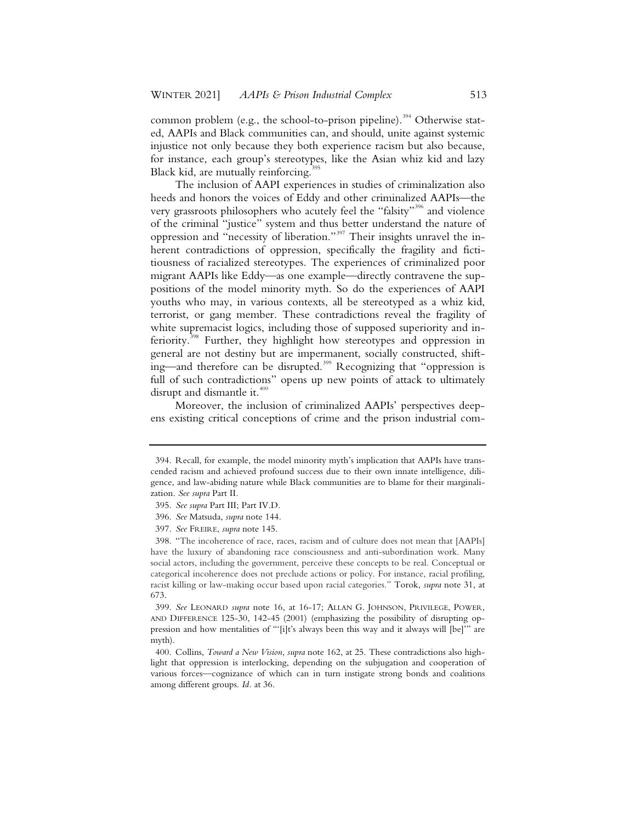common problem (e.g., the school-to-prison pipeline).<sup>394</sup> Otherwise stated, AAPIs and Black communities can, and should, unite against systemic injustice not only because they both experience racism but also because, for instance, each group's stereotypes, like the Asian whiz kid and lazy Black kid, are mutually reinforcing.<sup>3</sup>

The inclusion of AAPI experiences in studies of criminalization also heeds and honors the voices of Eddy and other criminalized AAPIs—the very grassroots philosophers who acutely feel the "falsity"<sup>396</sup> and violence of the criminal "justice" system and thus better understand the nature of oppression and "necessity of liberation."<sup>397</sup> Their insights unravel the inherent contradictions of oppression, specifically the fragility and fictitiousness of racialized stereotypes. The experiences of criminalized poor migrant AAPIs like Eddy—as one example—directly contravene the suppositions of the model minority myth. So do the experiences of AAPI youths who may, in various contexts, all be stereotyped as a whiz kid, terrorist, or gang member. These contradictions reveal the fragility of white supremacist logics, including those of supposed superiority and inferiority.398 Further, they highlight how stereotypes and oppression in general are not destiny but are impermanent, socially constructed, shifting—and therefore can be disrupted.<sup>399</sup> Recognizing that "oppression is full of such contradictions" opens up new points of attack to ultimately disrupt and dismantle it. $400$ 

Moreover, the inclusion of criminalized AAPIs' perspectives deepens existing critical conceptions of crime and the prison industrial com-

 <sup>394.</sup> Recall, for example, the model minority myth's implication that AAPIs have transcended racism and achieved profound success due to their own innate intelligence, diligence, and law-abiding nature while Black communities are to blame for their marginalization. *See supra* Part II.

 <sup>395.</sup> *See supra* Part III; Part IV.D.

 <sup>396.</sup> *See* Matsuda, *supra* note 144.

 <sup>397.</sup> *See* FREIRE, *supra* note 145.

 <sup>398. &</sup>quot;The incoherence of race, races, racism and of culture does not mean that [AAPIs] have the luxury of abandoning race consciousness and anti-subordination work. Many social actors, including the government, perceive these concepts to be real. Conceptual or categorical incoherence does not preclude actions or policy. For instance, racial profiling, racist killing or law-making occur based upon racial categories." Torok, *supra* note 31, at 673.

 <sup>399.</sup> *See* LEONARD *supra* note 16, at 16-17; ALLAN G. JOHNSON, PRIVILEGE, POWER, AND DIFFERENCE 125-30, 142-45 (2001) (emphasizing the possibility of disrupting oppression and how mentalities of "'[i]t's always been this way and it always will [be]'" are myth).

 <sup>400.</sup> Collins, *Toward a New Vision*, *supra* note 162, at 25. These contradictions also highlight that oppression is interlocking, depending on the subjugation and cooperation of various forces—cognizance of which can in turn instigate strong bonds and coalitions among different groups. *Id.* at 36.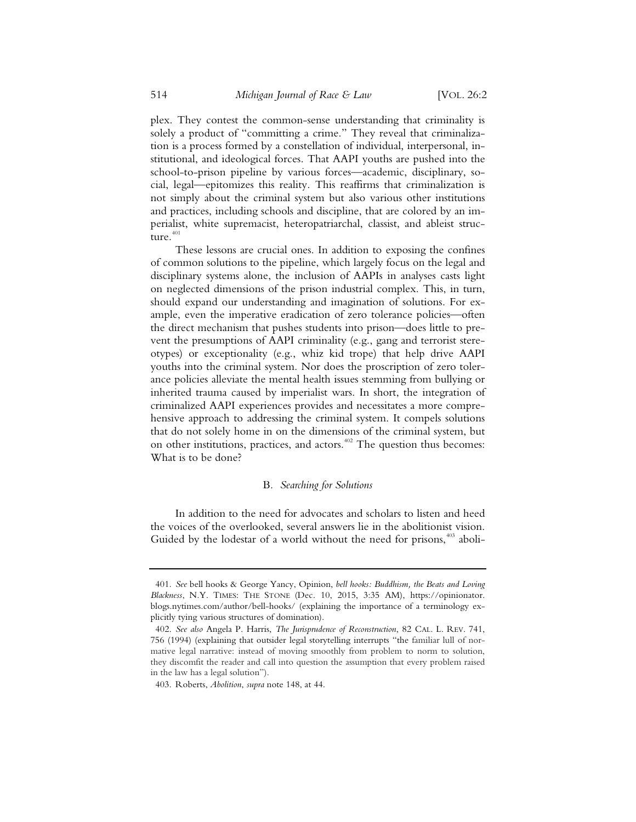plex. They contest the common-sense understanding that criminality is solely a product of "committing a crime." They reveal that criminalization is a process formed by a constellation of individual, interpersonal, institutional, and ideological forces. That AAPI youths are pushed into the school-to-prison pipeline by various forces—academic, disciplinary, social, legal—epitomizes this reality. This reaffirms that criminalization is not simply about the criminal system but also various other institutions and practices, including schools and discipline, that are colored by an imperialist, white supremacist, heteropatriarchal, classist, and ableist structure.<sup>401</sup>

These lessons are crucial ones. In addition to exposing the confines of common solutions to the pipeline, which largely focus on the legal and disciplinary systems alone, the inclusion of AAPIs in analyses casts light on neglected dimensions of the prison industrial complex. This, in turn, should expand our understanding and imagination of solutions. For example, even the imperative eradication of zero tolerance policies—often the direct mechanism that pushes students into prison—does little to prevent the presumptions of AAPI criminality (e.g., gang and terrorist stereotypes) or exceptionality (e.g., whiz kid trope) that help drive AAPI youths into the criminal system. Nor does the proscription of zero tolerance policies alleviate the mental health issues stemming from bullying or inherited trauma caused by imperialist wars. In short, the integration of criminalized AAPI experiences provides and necessitates a more comprehensive approach to addressing the criminal system. It compels solutions that do not solely home in on the dimensions of the criminal system, but on other institutions, practices, and actors.<sup>402</sup> The question thus becomes: What is to be done?

## B*. Searching for Solutions*

In addition to the need for advocates and scholars to listen and heed the voices of the overlooked, several answers lie in the abolitionist vision. Guided by the lodestar of a world without the need for prisons,<sup>403</sup> aboli-

 <sup>401.</sup> *See* bell hooks & George Yancy, Opinion, *bell hooks: Buddhism, the Beats and Loving Blackness*, N.Y. TIMES: THE STONE (Dec. 10, 2015, 3:35 AM), https://opinionator. blogs.nytimes.com/author/bell-hooks/ (explaining the importance of a terminology explicitly tying various structures of domination).

 <sup>402.</sup> *See also* Angela P. Harris, *The Jurisprudence of Reconstruction*, 82 CAL. L. REV. 741, 756 (1994) (explaining that outsider legal storytelling interrupts "the familiar lull of normative legal narrative: instead of moving smoothly from problem to norm to solution, they discomfit the reader and call into question the assumption that every problem raised in the law has a legal solution").

 <sup>403.</sup> Roberts, *Abolition*, *supra* note 148, at 44.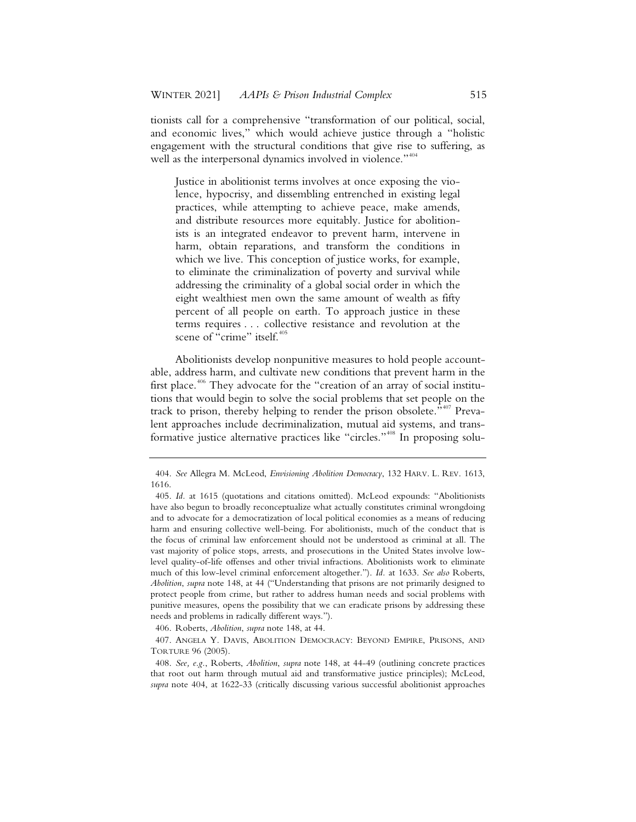tionists call for a comprehensive "transformation of our political, social, and economic lives," which would achieve justice through a "holistic engagement with the structural conditions that give rise to suffering, as well as the interpersonal dynamics involved in violence."<sup>404</sup>

Justice in abolitionist terms involves at once exposing the violence, hypocrisy, and dissembling entrenched in existing legal practices, while attempting to achieve peace, make amends, and distribute resources more equitably. Justice for abolitionists is an integrated endeavor to prevent harm, intervene in harm, obtain reparations, and transform the conditions in which we live. This conception of justice works, for example, to eliminate the criminalization of poverty and survival while addressing the criminality of a global social order in which the eight wealthiest men own the same amount of wealth as fifty percent of all people on earth. To approach justice in these terms requires . . . collective resistance and revolution at the scene of "crime" itself.<sup>405</sup>

Abolitionists develop nonpunitive measures to hold people accountable, address harm, and cultivate new conditions that prevent harm in the first place.<sup>406</sup> They advocate for the "creation of an array of social institutions that would begin to solve the social problems that set people on the track to prison, thereby helping to render the prison obsolete."<sup>407</sup> Prevalent approaches include decriminalization, mutual aid systems, and transformative justice alternative practices like "circles."<sup>408</sup> In proposing solu-

406. Roberts, *Abolition*, *supra* note 148, at 44.

<sup>404.</sup> *See* Allegra M. McLeod, *Envisioning Abolition Democracy*, 132 HARV. L. REV. 1613, 1616.

<sup>405.</sup> *Id.* at 1615 (quotations and citations omitted). McLeod expounds: "Abolitionists have also begun to broadly reconceptualize what actually constitutes criminal wrongdoing and to advocate for a democratization of local political economies as a means of reducing harm and ensuring collective well-being. For abolitionists, much of the conduct that is the focus of criminal law enforcement should not be understood as criminal at all. The vast majority of police stops, arrests, and prosecutions in the United States involve lowlevel quality-of-life offenses and other trivial infractions. Abolitionists work to eliminate much of this low-level criminal enforcement altogether."). *Id.* at 1633. *See also* Roberts, *Abolition*, *supra* note 148, at 44 ("Understanding that prisons are not primarily designed to protect people from crime, but rather to address human needs and social problems with punitive measures, opens the possibility that we can eradicate prisons by addressing these needs and problems in radically different ways.").

<sup>407.</sup> ANGELA Y. DAVIS, ABOLITION DEMOCRACY: BEYOND EMPIRE, PRISONS, AND TORTURE 96 (2005).

<sup>408.</sup> *See, e.g.*, Roberts, *Abolition*, *supra* note 148, at 44-49 (outlining concrete practices that root out harm through mutual aid and transformative justice principles); McLeod, *supra* note 404, at 1622-33 (critically discussing various successful abolitionist approaches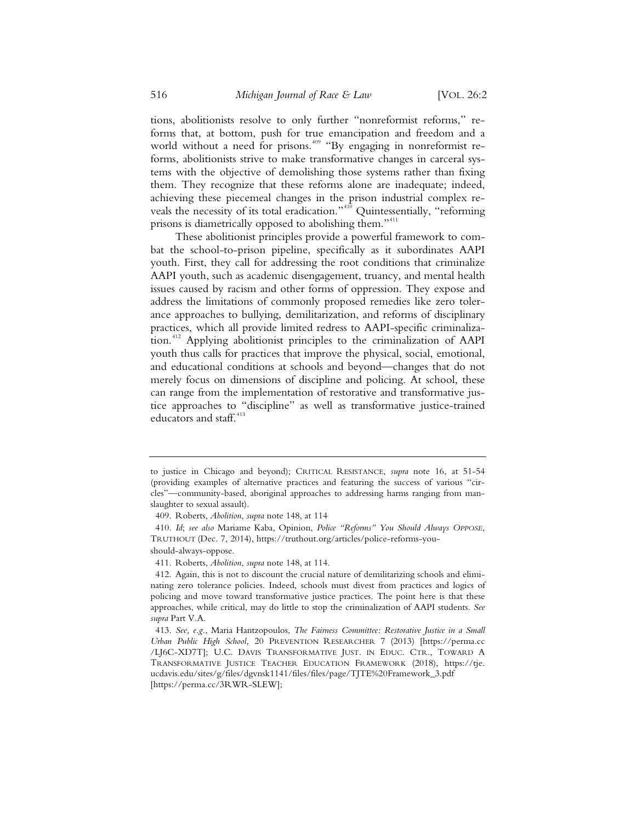tions, abolitionists resolve to only further "nonreformist reforms," reforms that, at bottom, push for true emancipation and freedom and a world without a need for prisons.<sup>409</sup> "By engaging in nonreformist reforms, abolitionists strive to make transformative changes in carceral systems with the objective of demolishing those systems rather than fixing them. They recognize that these reforms alone are inadequate; indeed, achieving these piecemeal changes in the prison industrial complex reveals the necessity of its total eradication."<sup>410</sup> Quintessentially, "reforming prisons is diametrically opposed to abolishing them."<sup>411</sup>

These abolitionist principles provide a powerful framework to combat the school-to-prison pipeline, specifically as it subordinates AAPI youth. First, they call for addressing the root conditions that criminalize AAPI youth, such as academic disengagement, truancy, and mental health issues caused by racism and other forms of oppression. They expose and address the limitations of commonly proposed remedies like zero tolerance approaches to bullying, demilitarization, and reforms of disciplinary practices, which all provide limited redress to AAPI-specific criminalization.<sup>412</sup> Applying abolitionist principles to the criminalization of AAPI youth thus calls for practices that improve the physical, social, emotional, and educational conditions at schools and beyond—changes that do not merely focus on dimensions of discipline and policing. At school, these can range from the implementation of restorative and transformative justice approaches to "discipline" as well as transformative justice-trained educators and staff.<sup>413</sup>

to justice in Chicago and beyond); CRITICAL RESISTANCE, *supra* note 16, at 51-54 (providing examples of alternative practices and featuring the success of various "circles"—community-based, aboriginal approaches to addressing harms ranging from manslaughter to sexual assault).

<sup>409.</sup> Roberts, *Abolition*, *supra* note 148, at 114

<sup>410.</sup> *Id*; *see also* Mariame Kaba, Opinion, *Police "Reforms" You Should Always OPPOSE*, TRUTHOUT (Dec. 7, 2014), https://truthout.org/articles/police-reforms-youshould-always-oppose.

<sup>411.</sup> Roberts, *Abolition*, *supra* note 148, at 114.

<sup>412.</sup> Again, this is not to discount the crucial nature of demilitarizing schools and eliminating zero tolerance policies. Indeed, schools must divest from practices and logics of policing and move toward transformative justice practices. The point here is that these approaches, while critical, may do little to stop the criminalization of AAPI students. *See supra* Part V.A.

<sup>413.</sup> *See, e.g.*, Maria Hantzopoulos, *The Fairness Committee: Restorative Justice in a Small Urban Public High School,* 20 PREVENTION RESEARCHER 7 (2013) [https://perma.cc /LJ6C-XD7T]; U.C. DAVIS TRANSFORMATIVE JUST. IN EDUC. CTR., TOWARD A TRANSFORMATIVE JUSTICE TEACHER EDUCATION FRAMEWORK (2018), https://tje. ucdavis.edu/sites/g/files/dgvnsk1141/files/files/page/TJTE%20Framework\_3.pdf [https://perma.cc/3RWR-SLEW];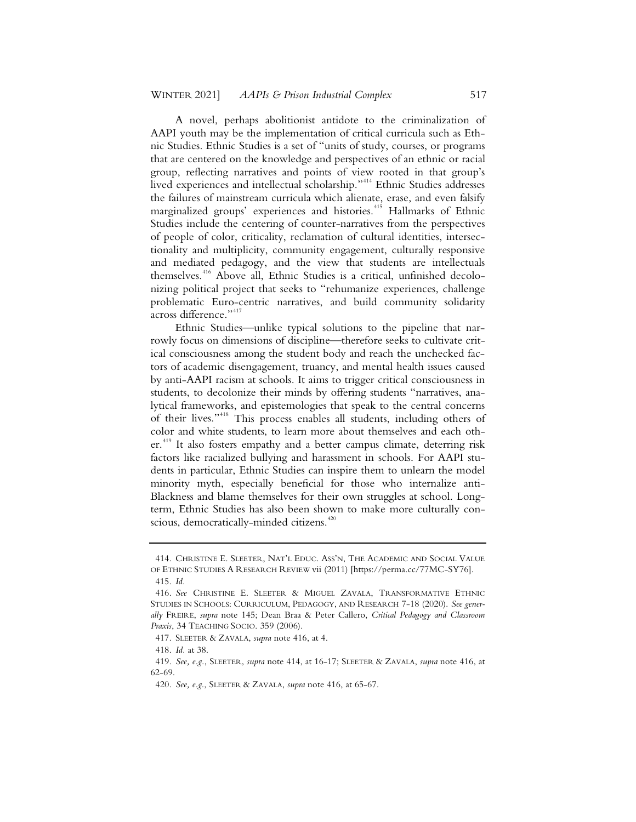A novel, perhaps abolitionist antidote to the criminalization of AAPI youth may be the implementation of critical curricula such as Ethnic Studies. Ethnic Studies is a set of "units of study, courses, or programs that are centered on the knowledge and perspectives of an ethnic or racial group, reflecting narratives and points of view rooted in that group's lived experiences and intellectual scholarship."<sup>414</sup> Ethnic Studies addresses the failures of mainstream curricula which alienate, erase, and even falsify marginalized groups' experiences and histories.<sup>415</sup> Hallmarks of Ethnic Studies include the centering of counter-narratives from the perspectives of people of color, criticality, reclamation of cultural identities, intersectionality and multiplicity, community engagement, culturally responsive and mediated pedagogy, and the view that students are intellectuals themselves.<sup>416</sup> Above all, Ethnic Studies is a critical, unfinished decolonizing political project that seeks to "rehumanize experiences, challenge problematic Euro-centric narratives, and build community solidarity across difference."<sup>417</sup>

Ethnic Studies—unlike typical solutions to the pipeline that narrowly focus on dimensions of discipline—therefore seeks to cultivate critical consciousness among the student body and reach the unchecked factors of academic disengagement, truancy, and mental health issues caused by anti-AAPI racism at schools. It aims to trigger critical consciousness in students, to decolonize their minds by offering students "narratives, analytical frameworks, and epistemologies that speak to the central concerns of their lives."<sup>418</sup> This process enables all students, including others of color and white students, to learn more about themselves and each other.<sup>419</sup> It also fosters empathy and a better campus climate, deterring risk factors like racialized bullying and harassment in schools. For AAPI students in particular, Ethnic Studies can inspire them to unlearn the model minority myth, especially beneficial for those who internalize anti-Blackness and blame themselves for their own struggles at school. Longterm, Ethnic Studies has also been shown to make more culturally conscious, democratically-minded citizens.<sup>420</sup>

<sup>414.</sup> CHRISTINE E. SLEETER, NAT'L EDUC. ASS'N, THE ACADEMIC AND SOCIAL VALUE OF ETHNIC STUDIES A RESEARCH REVIEW vii (2011) [https://perma.cc/77MC-SY76].

<sup>415.</sup> *Id.*

<sup>416.</sup> *See* CHRISTINE E. SLEETER & MIGUEL ZAVALA, TRANSFORMATIVE ETHNIC STUDIES IN SCHOOLS: CURRICULUM, PEDAGOGY, AND RESEARCH 7-18 (2020). *See generally* FREIRE, *supra* note 145; Dean Braa & Peter Callero, *Critical Pedagogy and Classroom Praxis*, 34 TEACHING SOCIO. 359 (2006).

<sup>417.</sup> SLEETER & ZAVALA, *supra* note 416, at 4.

<sup>418.</sup> *Id.* at 38.

<sup>419.</sup> *See, e.g.*, SLEETER, *supra* note 414, at 16-17; SLEETER & ZAVALA, *supra* note 416, at 62-69.

<sup>420.</sup> *See, e.g*., SLEETER & ZAVALA, *supra* note 416, at 65-67.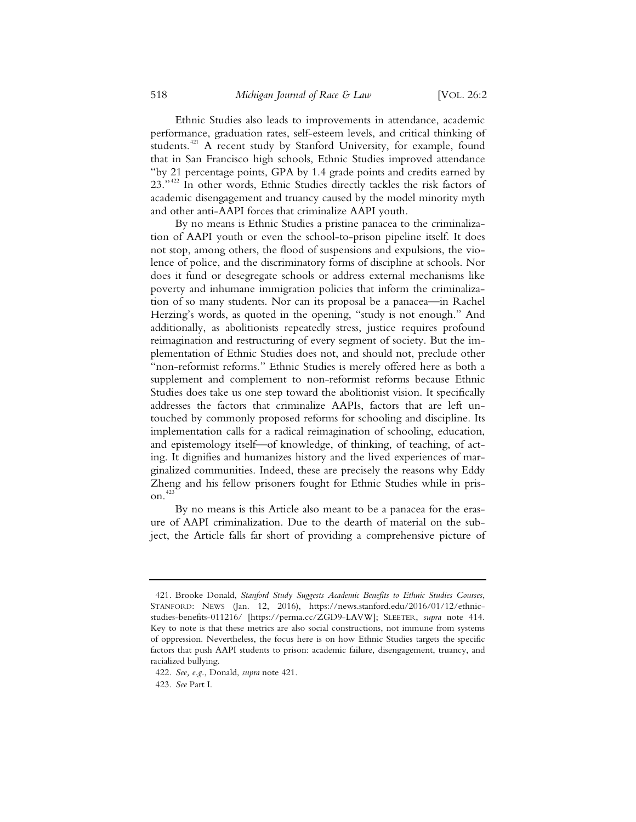Ethnic Studies also leads to improvements in attendance, academic performance, graduation rates, self-esteem levels, and critical thinking of students.<sup>421</sup> A recent study by Stanford University, for example, found that in San Francisco high schools, Ethnic Studies improved attendance "by 21 percentage points, GPA by 1.4 grade points and credits earned by 23."<sup>422</sup> In other words, Ethnic Studies directly tackles the risk factors of academic disengagement and truancy caused by the model minority myth and other anti-AAPI forces that criminalize AAPI youth.

By no means is Ethnic Studies a pristine panacea to the criminalization of AAPI youth or even the school-to-prison pipeline itself. It does not stop, among others, the flood of suspensions and expulsions, the violence of police, and the discriminatory forms of discipline at schools. Nor does it fund or desegregate schools or address external mechanisms like poverty and inhumane immigration policies that inform the criminalization of so many students. Nor can its proposal be a panacea—in Rachel Herzing's words, as quoted in the opening, "study is not enough." And additionally, as abolitionists repeatedly stress, justice requires profound reimagination and restructuring of every segment of society. But the implementation of Ethnic Studies does not, and should not, preclude other "non-reformist reforms." Ethnic Studies is merely offered here as both a supplement and complement to non-reformist reforms because Ethnic Studies does take us one step toward the abolitionist vision. It specifically addresses the factors that criminalize AAPIs, factors that are left untouched by commonly proposed reforms for schooling and discipline. Its implementation calls for a radical reimagination of schooling, education, and epistemology itself—of knowledge, of thinking, of teaching, of acting. It dignifies and humanizes history and the lived experiences of marginalized communities. Indeed, these are precisely the reasons why Eddy Zheng and his fellow prisoners fought for Ethnic Studies while in prison.<sup>423</sup>

By no means is this Article also meant to be a panacea for the erasure of AAPI criminalization. Due to the dearth of material on the subject, the Article falls far short of providing a comprehensive picture of

<sup>421.</sup> Brooke Donald, *Stanford Study Suggests Academic Benefits to Ethnic Studies Courses*, STANFORD: NEWS (Jan. 12, 2016), https://news.stanford.edu/2016/01/12/ethnicstudies-benefits-011216/ [https://perma.cc/ZGD9-LAVW]; SLEETER, *supra* note 414. Key to note is that these metrics are also social constructions, not immune from systems of oppression. Nevertheless, the focus here is on how Ethnic Studies targets the specific factors that push AAPI students to prison: academic failure, disengagement, truancy, and racialized bullying.

<sup>422.</sup> *See, e.g.*, Donald, *supra* note 421.

<sup>423.</sup> *See* Part I.